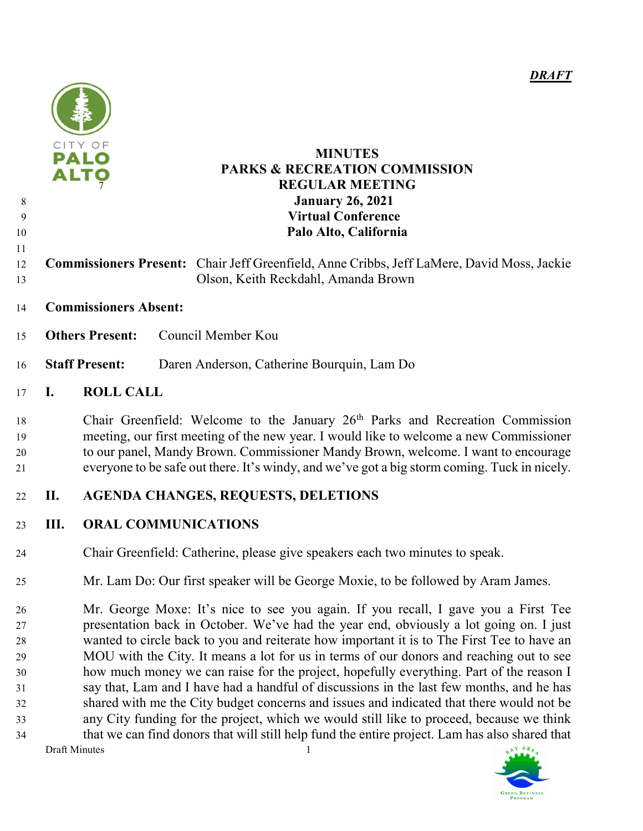

## PALO MINUTES **FO** PARKS & RECREATION COMMISSION REGULAR MEETING January 26, 2021 Virtual Conference Palo Alto, California

- Commissioners Present: Chair Jeff Greenfield, Anne Cribbs, Jeff LaMere, David Moss, Jackie Olson, Keith Reckdahl, Amanda Brown
- Commissioners Absent:
- Others Present: Council Member Kou
- Staff Present: Daren Anderson, Catherine Bourquin, Lam Do

# I. ROLL CALL

18 Chair Greenfield: Welcome to the January 26<sup>th</sup> Parks and Recreation Commission meeting, our first meeting of the new year. I would like to welcome a new Commissioner to our panel, Mandy Brown. Commissioner Mandy Brown, welcome. I want to encourage everyone to be safe out there. It's windy, and we've got a big storm coming. Tuck in nicely.

# II. AGENDA CHANGES, REQUESTS, DELETIONS

# III. ORAL COMMUNICATIONS

- Chair Greenfield: Catherine, please give speakers each two minutes to speak.
- Mr. Lam Do: Our first speaker will be George Moxie, to be followed by Aram James.

Draft Minutes 1 Mr. George Moxe: It's nice to see you again. If you recall, I gave you a First Tee presentation back in October. We've had the year end, obviously a lot going on. I just wanted to circle back to you and reiterate how important it is to The First Tee to have an MOU with the City. It means a lot for us in terms of our donors and reaching out to see how much money we can raise for the project, hopefully everything. Part of the reason I say that, Lam and I have had a handful of discussions in the last few months, and he has shared with me the City budget concerns and issues and indicated that there would not be any City funding for the project, which we would still like to proceed, because we think that we can find donors that will still help fund the entire project. Lam has also shared that

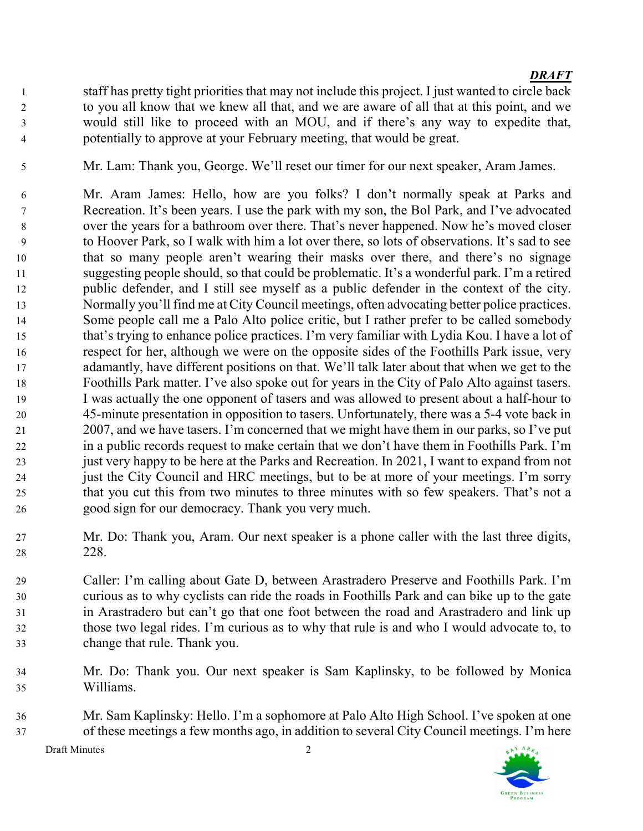- staff has pretty tight priorities that may not include this project. I just wanted to circle back to you all know that we knew all that, and we are aware of all that at this point, and we would still like to proceed with an MOU, and if there's any way to expedite that, potentially to approve at your February meeting, that would be great.
- Mr. Lam: Thank you, George. We'll reset our timer for our next speaker, Aram James.
- Mr. Aram James: Hello, how are you folks? I don't normally speak at Parks and Recreation. It's been years. I use the park with my son, the Bol Park, and I've advocated over the years for a bathroom over there. That's never happened. Now he's moved closer to Hoover Park, so I walk with him a lot over there, so lots of observations. It's sad to see that so many people aren't wearing their masks over there, and there's no signage suggesting people should, so that could be problematic. It's a wonderful park. I'm a retired public defender, and I still see myself as a public defender in the context of the city. Normally you'll find me at City Council meetings, often advocating better police practices. Some people call me a Palo Alto police critic, but I rather prefer to be called somebody that's trying to enhance police practices. I'm very familiar with Lydia Kou. I have a lot of respect for her, although we were on the opposite sides of the Foothills Park issue, very adamantly, have different positions on that. We'll talk later about that when we get to the Foothills Park matter. I've also spoke out for years in the City of Palo Alto against tasers. I was actually the one opponent of tasers and was allowed to present about a half-hour to 45-minute presentation in opposition to tasers. Unfortunately, there was a 5-4 vote back in 2007, and we have tasers. I'm concerned that we might have them in our parks, so I've put in a public records request to make certain that we don't have them in Foothills Park. I'm just very happy to be here at the Parks and Recreation. In 2021, I want to expand from not just the City Council and HRC meetings, but to be at more of your meetings. I'm sorry that you cut this from two minutes to three minutes with so few speakers. That's not a good sign for our democracy. Thank you very much.
- Mr. Do: Thank you, Aram. Our next speaker is a phone caller with the last three digits, 228.
- Caller: I'm calling about Gate D, between Arastradero Preserve and Foothills Park. I'm curious as to why cyclists can ride the roads in Foothills Park and can bike up to the gate in Arastradero but can't go that one foot between the road and Arastradero and link up those two legal rides. I'm curious as to why that rule is and who I would advocate to, to change that rule. Thank you.
- Mr. Do: Thank you. Our next speaker is Sam Kaplinsky, to be followed by Monica Williams.
- Mr. Sam Kaplinsky: Hello. I'm a sophomore at Palo Alto High School. I've spoken at one of these meetings a few months ago, in addition to several City Council meetings. I'm here

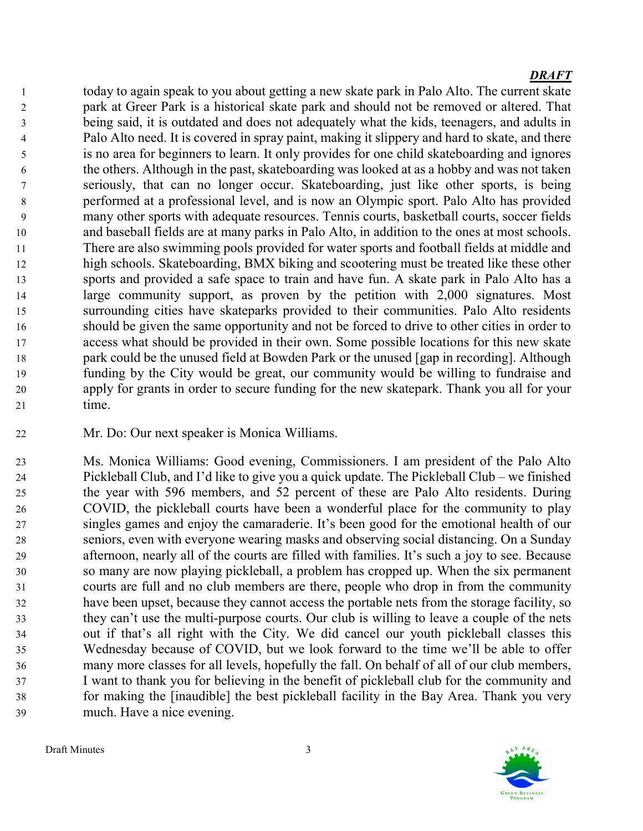today to again speak to you about getting a new skate park in Palo Alto. The current skate park at Greer Park is a historical skate park and should not be removed or altered. That being said, it is outdated and does not adequately what the kids, teenagers, and adults in Palo Alto need. It is covered in spray paint, making it slippery and hard to skate, and there is no area for beginners to learn. It only provides for one child skateboarding and ignores the others. Although in the past, skateboarding was looked at as a hobby and was not taken seriously, that can no longer occur. Skateboarding, just like other sports, is being performed at a professional level, and is now an Olympic sport. Palo Alto has provided many other sports with adequate resources. Tennis courts, basketball courts, soccer fields and baseball fields are at many parks in Palo Alto, in addition to the ones at most schools. There are also swimming pools provided for water sports and football fields at middle and high schools. Skateboarding, BMX biking and scootering must be treated like these other sports and provided a safe space to train and have fun. A skate park in Palo Alto has a large community support, as proven by the petition with 2,000 signatures. Most surrounding cities have skateparks provided to their communities. Palo Alto residents should be given the same opportunity and not be forced to drive to other cities in order to access what should be provided in their own. Some possible locations for this new skate park could be the unused field at Bowden Park or the unused [gap in recording]. Although funding by the City would be great, our community would be willing to fundraise and apply for grants in order to secure funding for the new skatepark. Thank you all for your time.

Mr. Do: Our next speaker is Monica Williams.

Ms. Monica Williams: Good evening, Commissioners. I am president of the Palo Alto Pickleball Club, and I'd like to give you a quick update. The Pickleball Club – we finished the year with 596 members, and 52 percent of these are Palo Alto residents. During COVID, the pickleball courts have been a wonderful place for the community to play singles games and enjoy the camaraderie. It's been good for the emotional health of our seniors, even with everyone wearing masks and observing social distancing. On a Sunday afternoon, nearly all of the courts are filled with families. It's such a joy to see. Because so many are now playing pickleball, a problem has cropped up. When the six permanent courts are full and no club members are there, people who drop in from the community have been upset, because they cannot access the portable nets from the storage facility, so they can't use the multi-purpose courts. Our club is willing to leave a couple of the nets out if that's all right with the City. We did cancel our youth pickleball classes this Wednesday because of COVID, but we look forward to the time we'll be able to offer many more classes for all levels, hopefully the fall. On behalf of all of our club members, I want to thank you for believing in the benefit of pickleball club for the community and for making the [inaudible] the best pickleball facility in the Bay Area. Thank you very much. Have a nice evening.

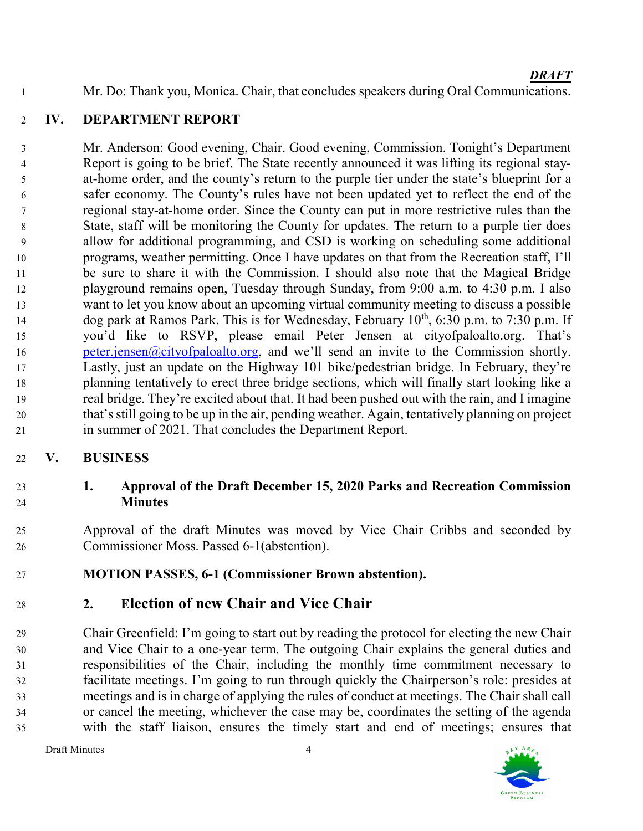Mr. Do: Thank you, Monica. Chair, that concludes speakers during Oral Communications.

# IV. DEPARTMENT REPORT

Mr. Anderson: Good evening, Chair. Good evening, Commission. Tonight's Department Report is going to be brief. The State recently announced it was lifting its regional stay-at-home order, and the county's return to the purple tier under the state's blueprint for a safer economy. The County's rules have not been updated yet to reflect the end of the regional stay-at-home order. Since the County can put in more restrictive rules than the State, staff will be monitoring the County for updates. The return to a purple tier does allow for additional programming, and CSD is working on scheduling some additional programs, weather permitting. Once I have updates on that from the Recreation staff, I'll be sure to share it with the Commission. I should also note that the Magical Bridge playground remains open, Tuesday through Sunday, from 9:00 a.m. to 4:30 p.m. I also want to let you know about an upcoming virtual community meeting to discuss a possible dog park at Ramos Park. This is for Wednesday, February  $10^{th}$ , 6:30 p.m. to 7:30 p.m. If you'd like to RSVP, please email Peter Jensen at cityofpaloalto.org. That's 16 peter.jensen@cityofpaloalto.org, and we'll send an invite to the Commission shortly. Lastly, just an update on the Highway 101 bike/pedestrian bridge. In February, they're planning tentatively to erect three bridge sections, which will finally start looking like a real bridge. They're excited about that. It had been pushed out with the rain, and I imagine that's still going to be up in the air, pending weather. Again, tentatively planning on project in summer of 2021. That concludes the Department Report.

# V. BUSINESS

# 1. Approval of the Draft December 15, 2020 Parks and Recreation Commission Minutes

Approval of the draft Minutes was moved by Vice Chair Cribbs and seconded by Commissioner Moss. Passed 6-1(abstention).

# MOTION PASSES, 6-1 (Commissioner Brown abstention).

# 2. Election of new Chair and Vice Chair

Chair Greenfield: I'm going to start out by reading the protocol for electing the new Chair and Vice Chair to a one-year term. The outgoing Chair explains the general duties and responsibilities of the Chair, including the monthly time commitment necessary to facilitate meetings. I'm going to run through quickly the Chairperson's role: presides at meetings and is in charge of applying the rules of conduct at meetings. The Chair shall call or cancel the meeting, whichever the case may be, coordinates the setting of the agenda with the staff liaison, ensures the timely start and end of meetings; ensures that

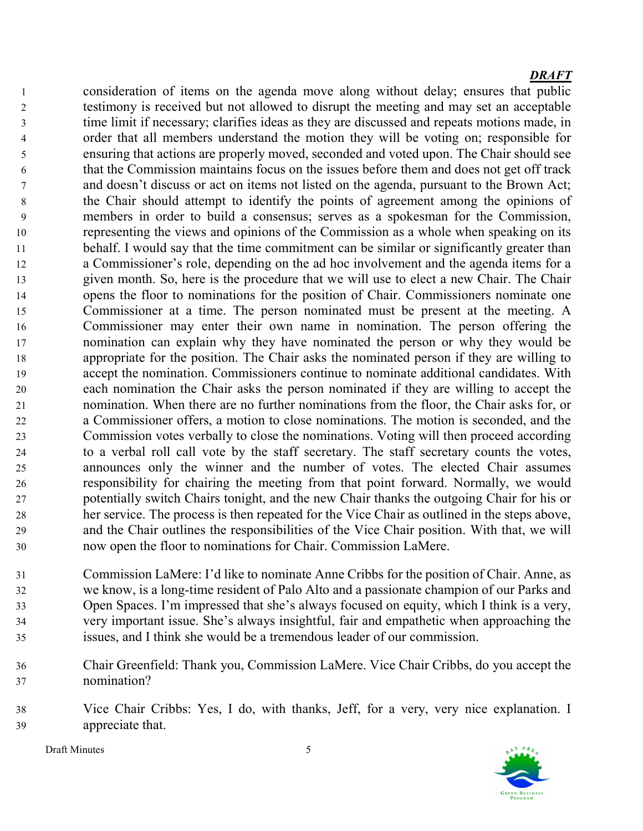consideration of items on the agenda move along without delay; ensures that public testimony is received but not allowed to disrupt the meeting and may set an acceptable time limit if necessary; clarifies ideas as they are discussed and repeats motions made, in order that all members understand the motion they will be voting on; responsible for ensuring that actions are properly moved, seconded and voted upon. The Chair should see that the Commission maintains focus on the issues before them and does not get off track and doesn't discuss or act on items not listed on the agenda, pursuant to the Brown Act; the Chair should attempt to identify the points of agreement among the opinions of members in order to build a consensus; serves as a spokesman for the Commission, representing the views and opinions of the Commission as a whole when speaking on its behalf. I would say that the time commitment can be similar or significantly greater than a Commissioner's role, depending on the ad hoc involvement and the agenda items for a given month. So, here is the procedure that we will use to elect a new Chair. The Chair opens the floor to nominations for the position of Chair. Commissioners nominate one Commissioner at a time. The person nominated must be present at the meeting. A Commissioner may enter their own name in nomination. The person offering the nomination can explain why they have nominated the person or why they would be appropriate for the position. The Chair asks the nominated person if they are willing to accept the nomination. Commissioners continue to nominate additional candidates. With each nomination the Chair asks the person nominated if they are willing to accept the nomination. When there are no further nominations from the floor, the Chair asks for, or a Commissioner offers, a motion to close nominations. The motion is seconded, and the Commission votes verbally to close the nominations. Voting will then proceed according to a verbal roll call vote by the staff secretary. The staff secretary counts the votes, announces only the winner and the number of votes. The elected Chair assumes responsibility for chairing the meeting from that point forward. Normally, we would potentially switch Chairs tonight, and the new Chair thanks the outgoing Chair for his or her service. The process is then repeated for the Vice Chair as outlined in the steps above, and the Chair outlines the responsibilities of the Vice Chair position. With that, we will now open the floor to nominations for Chair. Commission LaMere.

Commission LaMere: I'd like to nominate Anne Cribbs for the position of Chair. Anne, as we know, is a long-time resident of Palo Alto and a passionate champion of our Parks and Open Spaces. I'm impressed that she's always focused on equity, which I think is a very, very important issue. She's always insightful, fair and empathetic when approaching the issues, and I think she would be a tremendous leader of our commission.

- Chair Greenfield: Thank you, Commission LaMere. Vice Chair Cribbs, do you accept the nomination?
- Vice Chair Cribbs: Yes, I do, with thanks, Jeff, for a very, very nice explanation. I appreciate that.

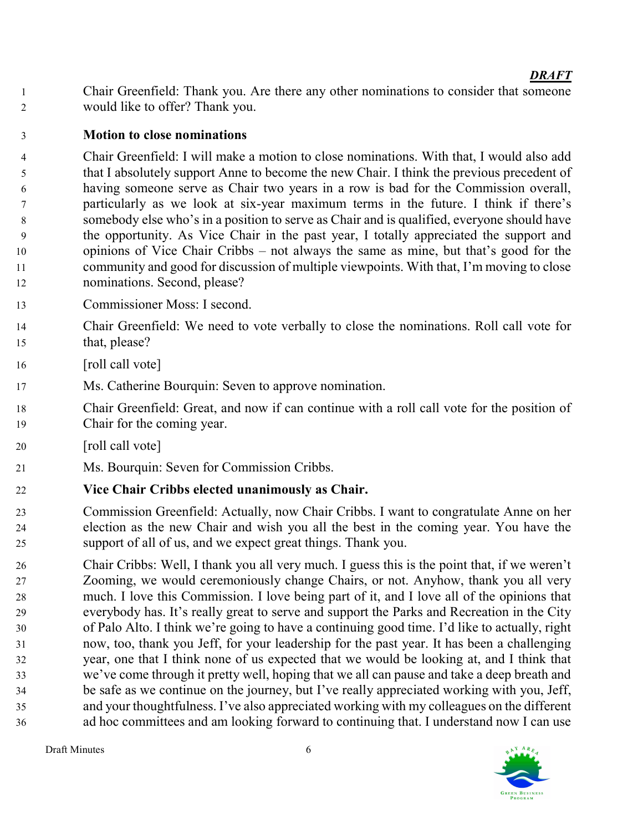Chair Greenfield: Thank you. Are there any other nominations to consider that someone would like to offer? Thank you.

# Motion to close nominations

Chair Greenfield: I will make a motion to close nominations. With that, I would also add that I absolutely support Anne to become the new Chair. I think the previous precedent of having someone serve as Chair two years in a row is bad for the Commission overall, particularly as we look at six-year maximum terms in the future. I think if there's somebody else who's in a position to serve as Chair and is qualified, everyone should have the opportunity. As Vice Chair in the past year, I totally appreciated the support and opinions of Vice Chair Cribbs – not always the same as mine, but that's good for the community and good for discussion of multiple viewpoints. With that, I'm moving to close nominations. Second, please?

- Commissioner Moss: I second.
- Chair Greenfield: We need to vote verbally to close the nominations. Roll call vote for that, please?
- 16 [roll call vote]
- Ms. Catherine Bourquin: Seven to approve nomination.
- Chair Greenfield: Great, and now if can continue with a roll call vote for the position of Chair for the coming year.
- 20 [roll call vote]
- Ms. Bourquin: Seven for Commission Cribbs.

# Vice Chair Cribbs elected unanimously as Chair.

- Commission Greenfield: Actually, now Chair Cribbs. I want to congratulate Anne on her election as the new Chair and wish you all the best in the coming year. You have the support of all of us, and we expect great things. Thank you.
- Chair Cribbs: Well, I thank you all very much. I guess this is the point that, if we weren't Zooming, we would ceremoniously change Chairs, or not. Anyhow, thank you all very much. I love this Commission. I love being part of it, and I love all of the opinions that everybody has. It's really great to serve and support the Parks and Recreation in the City of Palo Alto. I think we're going to have a continuing good time. I'd like to actually, right now, too, thank you Jeff, for your leadership for the past year. It has been a challenging year, one that I think none of us expected that we would be looking at, and I think that we've come through it pretty well, hoping that we all can pause and take a deep breath and be safe as we continue on the journey, but I've really appreciated working with you, Jeff, and your thoughtfulness. I've also appreciated working with my colleagues on the different ad hoc committees and am looking forward to continuing that. I understand now I can use

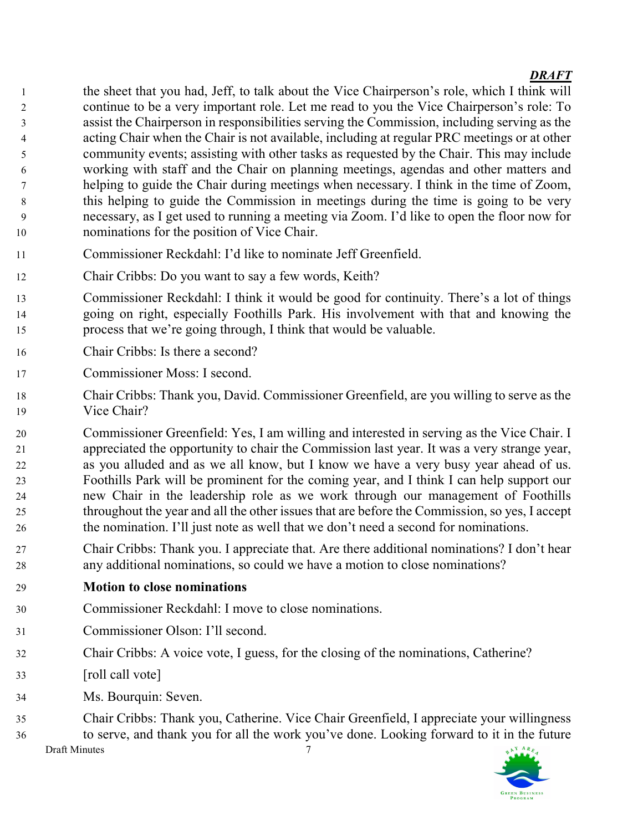- the sheet that you had, Jeff, to talk about the Vice Chairperson's role, which I think will continue to be a very important role. Let me read to you the Vice Chairperson's role: To assist the Chairperson in responsibilities serving the Commission, including serving as the acting Chair when the Chair is not available, including at regular PRC meetings or at other community events; assisting with other tasks as requested by the Chair. This may include working with staff and the Chair on planning meetings, agendas and other matters and helping to guide the Chair during meetings when necessary. I think in the time of Zoom, this helping to guide the Commission in meetings during the time is going to be very necessary, as I get used to running a meeting via Zoom. I'd like to open the floor now for nominations for the position of Vice Chair.
- Commissioner Reckdahl: I'd like to nominate Jeff Greenfield.
- Chair Cribbs: Do you want to say a few words, Keith?
- Commissioner Reckdahl: I think it would be good for continuity. There's a lot of things going on right, especially Foothills Park. His involvement with that and knowing the process that we're going through, I think that would be valuable.
- Chair Cribbs: Is there a second?
- Commissioner Moss: I second.
- Chair Cribbs: Thank you, David. Commissioner Greenfield, are you willing to serve as the Vice Chair?
- Commissioner Greenfield: Yes, I am willing and interested in serving as the Vice Chair. I appreciated the opportunity to chair the Commission last year. It was a very strange year, as you alluded and as we all know, but I know we have a very busy year ahead of us. Foothills Park will be prominent for the coming year, and I think I can help support our new Chair in the leadership role as we work through our management of Foothills throughout the year and all the other issues that are before the Commission, so yes, I accept the nomination. I'll just note as well that we don't need a second for nominations.
- Chair Cribbs: Thank you. I appreciate that. Are there additional nominations? I don't hear any additional nominations, so could we have a motion to close nominations?
- Motion to close nominations
- Commissioner Reckdahl: I move to close nominations.
- Commissioner Olson: I'll second.
- Chair Cribbs: A voice vote, I guess, for the closing of the nominations, Catherine?
- [roll call vote]
- Ms. Bourquin: Seven.
- Chair Cribbs: Thank you, Catherine. Vice Chair Greenfield, I appreciate your willingness to serve, and thank you for all the work you've done. Looking forward to it in the future

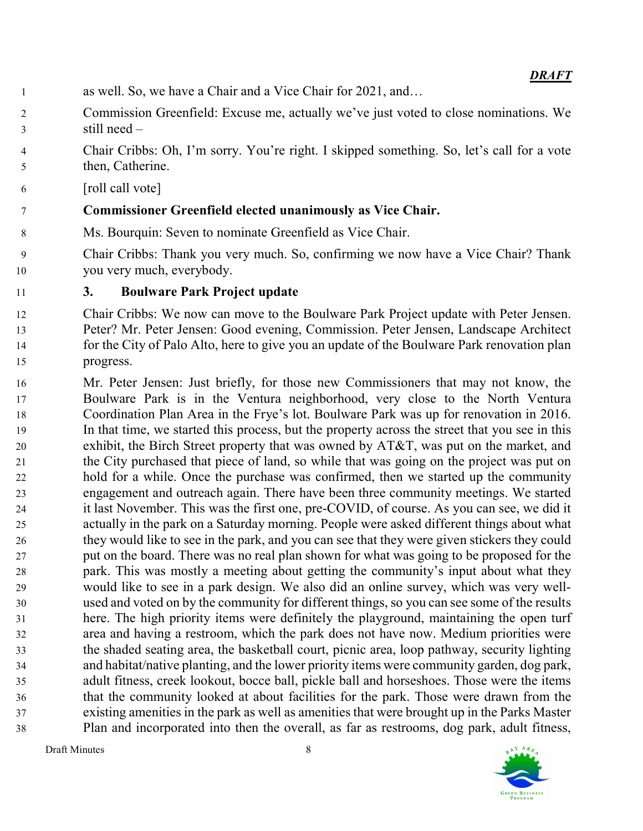- as well. So, we have a Chair and a Vice Chair for 2021, and…
- Commission Greenfield: Excuse me, actually we've just voted to close nominations. We still need –
- Chair Cribbs: Oh, I'm sorry. You're right. I skipped something. So, let's call for a vote then, Catherine.
- [roll call vote]

# Commissioner Greenfield elected unanimously as Vice Chair.

- Ms. Bourquin: Seven to nominate Greenfield as Vice Chair.
- Chair Cribbs: Thank you very much. So, confirming we now have a Vice Chair? Thank you very much, everybody.

# 3. Boulware Park Project update

- Chair Cribbs: We now can move to the Boulware Park Project update with Peter Jensen. Peter? Mr. Peter Jensen: Good evening, Commission. Peter Jensen, Landscape Architect for the City of Palo Alto, here to give you an update of the Boulware Park renovation plan progress.
- Mr. Peter Jensen: Just briefly, for those new Commissioners that may not know, the Boulware Park is in the Ventura neighborhood, very close to the North Ventura Coordination Plan Area in the Frye's lot. Boulware Park was up for renovation in 2016. In that time, we started this process, but the property across the street that you see in this exhibit, the Birch Street property that was owned by AT&T, was put on the market, and the City purchased that piece of land, so while that was going on the project was put on hold for a while. Once the purchase was confirmed, then we started up the community engagement and outreach again. There have been three community meetings. We started it last November. This was the first one, pre-COVID, of course. As you can see, we did it actually in the park on a Saturday morning. People were asked different things about what they would like to see in the park, and you can see that they were given stickers they could put on the board. There was no real plan shown for what was going to be proposed for the park. This was mostly a meeting about getting the community's input about what they would like to see in a park design. We also did an online survey, which was very well-used and voted on by the community for different things, so you can see some of the results here. The high priority items were definitely the playground, maintaining the open turf area and having a restroom, which the park does not have now. Medium priorities were the shaded seating area, the basketball court, picnic area, loop pathway, security lighting and habitat/native planting, and the lower priority items were community garden, dog park, adult fitness, creek lookout, bocce ball, pickle ball and horseshoes. Those were the items that the community looked at about facilities for the park. Those were drawn from the existing amenities in the park as well as amenities that were brought up in the Parks Master Plan and incorporated into then the overall, as far as restrooms, dog park, adult fitness,

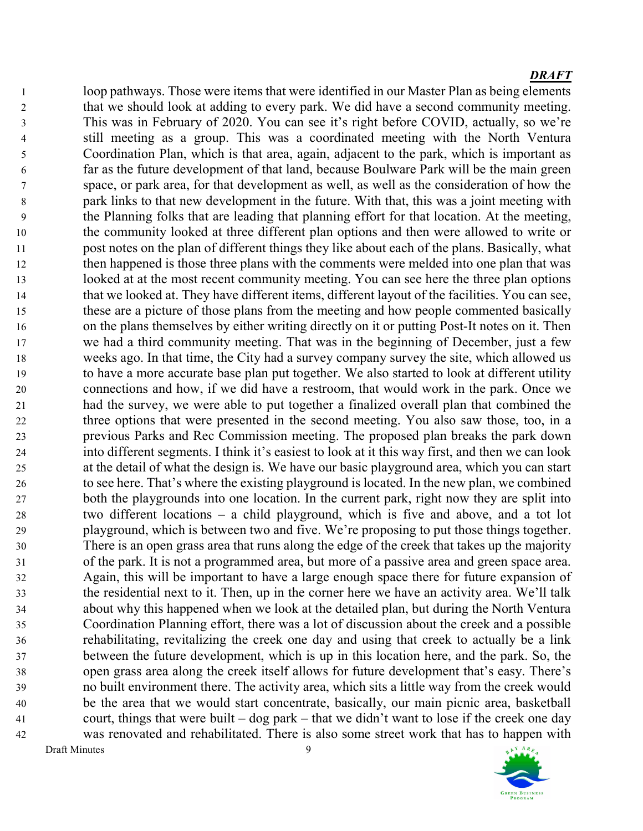Draft Minutes 9 loop pathways. Those were items that were identified in our Master Plan as being elements 2 that we should look at adding to every park. We did have a second community meeting. This was in February of 2020. You can see it's right before COVID, actually, so we're still meeting as a group. This was a coordinated meeting with the North Ventura Coordination Plan, which is that area, again, adjacent to the park, which is important as far as the future development of that land, because Boulware Park will be the main green space, or park area, for that development as well, as well as the consideration of how the park links to that new development in the future. With that, this was a joint meeting with the Planning folks that are leading that planning effort for that location. At the meeting, the community looked at three different plan options and then were allowed to write or post notes on the plan of different things they like about each of the plans. Basically, what then happened is those three plans with the comments were melded into one plan that was looked at at the most recent community meeting. You can see here the three plan options that we looked at. They have different items, different layout of the facilities. You can see, these are a picture of those plans from the meeting and how people commented basically on the plans themselves by either writing directly on it or putting Post-It notes on it. Then we had a third community meeting. That was in the beginning of December, just a few weeks ago. In that time, the City had a survey company survey the site, which allowed us to have a more accurate base plan put together. We also started to look at different utility connections and how, if we did have a restroom, that would work in the park. Once we had the survey, we were able to put together a finalized overall plan that combined the three options that were presented in the second meeting. You also saw those, too, in a previous Parks and Rec Commission meeting. The proposed plan breaks the park down into different segments. I think it's easiest to look at it this way first, and then we can look at the detail of what the design is. We have our basic playground area, which you can start to see here. That's where the existing playground is located. In the new plan, we combined both the playgrounds into one location. In the current park, right now they are split into two different locations – a child playground, which is five and above, and a tot lot playground, which is between two and five. We're proposing to put those things together. There is an open grass area that runs along the edge of the creek that takes up the majority of the park. It is not a programmed area, but more of a passive area and green space area. Again, this will be important to have a large enough space there for future expansion of the residential next to it. Then, up in the corner here we have an activity area. We'll talk about why this happened when we look at the detailed plan, but during the North Ventura Coordination Planning effort, there was a lot of discussion about the creek and a possible rehabilitating, revitalizing the creek one day and using that creek to actually be a link between the future development, which is up in this location here, and the park. So, the open grass area along the creek itself allows for future development that's easy. There's no built environment there. The activity area, which sits a little way from the creek would be the area that we would start concentrate, basically, our main picnic area, basketball court, things that were built – dog park – that we didn't want to lose if the creek one day was renovated and rehabilitated. There is also some street work that has to happen with

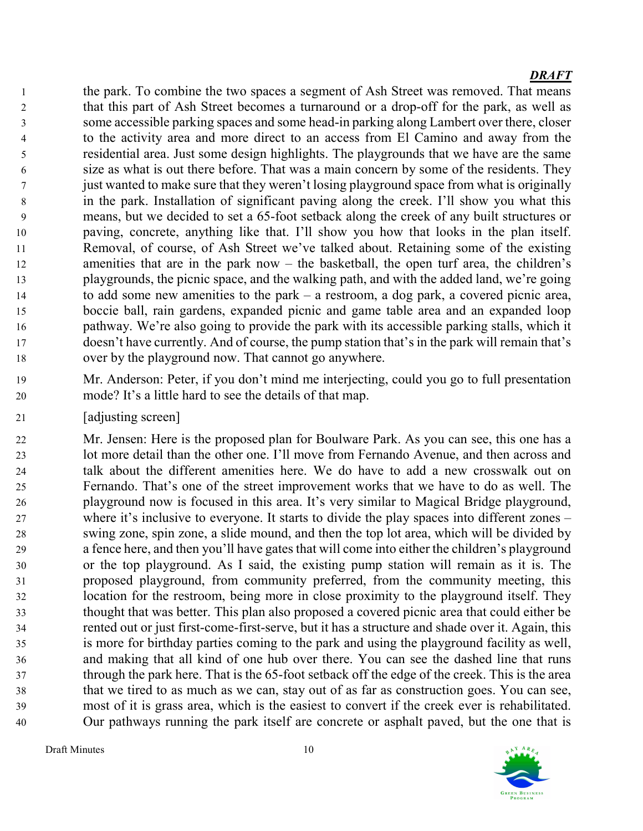the park. To combine the two spaces a segment of Ash Street was removed. That means that this part of Ash Street becomes a turnaround or a drop-off for the park, as well as some accessible parking spaces and some head-in parking along Lambert over there, closer to the activity area and more direct to an access from El Camino and away from the residential area. Just some design highlights. The playgrounds that we have are the same size as what is out there before. That was a main concern by some of the residents. They just wanted to make sure that they weren't losing playground space from what is originally in the park. Installation of significant paving along the creek. I'll show you what this means, but we decided to set a 65-foot setback along the creek of any built structures or paving, concrete, anything like that. I'll show you how that looks in the plan itself. Removal, of course, of Ash Street we've talked about. Retaining some of the existing amenities that are in the park now – the basketball, the open turf area, the children's playgrounds, the picnic space, and the walking path, and with the added land, we're going to add some new amenities to the park – a restroom, a dog park, a covered picnic area, boccie ball, rain gardens, expanded picnic and game table area and an expanded loop pathway. We're also going to provide the park with its accessible parking stalls, which it doesn't have currently. And of course, the pump station that's in the park will remain that's over by the playground now. That cannot go anywhere.

- Mr. Anderson: Peter, if you don't mind me interjecting, could you go to full presentation mode? It's a little hard to see the details of that map.
- [adjusting screen]

Mr. Jensen: Here is the proposed plan for Boulware Park. As you can see, this one has a lot more detail than the other one. I'll move from Fernando Avenue, and then across and talk about the different amenities here. We do have to add a new crosswalk out on Fernando. That's one of the street improvement works that we have to do as well. The playground now is focused in this area. It's very similar to Magical Bridge playground, where it's inclusive to everyone. It starts to divide the play spaces into different zones – swing zone, spin zone, a slide mound, and then the top lot area, which will be divided by a fence here, and then you'll have gates that will come into either the children's playground or the top playground. As I said, the existing pump station will remain as it is. The proposed playground, from community preferred, from the community meeting, this location for the restroom, being more in close proximity to the playground itself. They thought that was better. This plan also proposed a covered picnic area that could either be rented out or just first-come-first-serve, but it has a structure and shade over it. Again, this is more for birthday parties coming to the park and using the playground facility as well, and making that all kind of one hub over there. You can see the dashed line that runs through the park here. That is the 65-foot setback off the edge of the creek. This is the area that we tired to as much as we can, stay out of as far as construction goes. You can see, most of it is grass area, which is the easiest to convert if the creek ever is rehabilitated. Our pathways running the park itself are concrete or asphalt paved, but the one that is

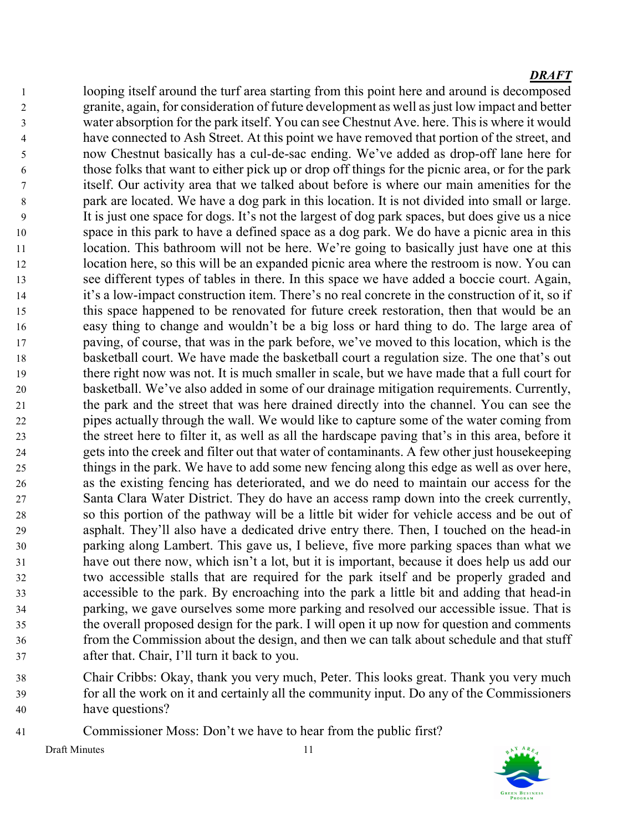looping itself around the turf area starting from this point here and around is decomposed granite, again, for consideration of future development as well as just low impact and better water absorption for the park itself. You can see Chestnut Ave. here. This is where it would have connected to Ash Street. At this point we have removed that portion of the street, and now Chestnut basically has a cul-de-sac ending. We've added as drop-off lane here for those folks that want to either pick up or drop off things for the picnic area, or for the park itself. Our activity area that we talked about before is where our main amenities for the park are located. We have a dog park in this location. It is not divided into small or large. It is just one space for dogs. It's not the largest of dog park spaces, but does give us a nice space in this park to have a defined space as a dog park. We do have a picnic area in this 11 location. This bathroom will not be here. We're going to basically just have one at this location here, so this will be an expanded picnic area where the restroom is now. You can see different types of tables in there. In this space we have added a boccie court. Again, it's a low-impact construction item. There's no real concrete in the construction of it, so if this space happened to be renovated for future creek restoration, then that would be an easy thing to change and wouldn't be a big loss or hard thing to do. The large area of paving, of course, that was in the park before, we've moved to this location, which is the basketball court. We have made the basketball court a regulation size. The one that's out there right now was not. It is much smaller in scale, but we have made that a full court for basketball. We've also added in some of our drainage mitigation requirements. Currently, the park and the street that was here drained directly into the channel. You can see the pipes actually through the wall. We would like to capture some of the water coming from the street here to filter it, as well as all the hardscape paving that's in this area, before it gets into the creek and filter out that water of contaminants. A few other just housekeeping things in the park. We have to add some new fencing along this edge as well as over here, as the existing fencing has deteriorated, and we do need to maintain our access for the Santa Clara Water District. They do have an access ramp down into the creek currently, so this portion of the pathway will be a little bit wider for vehicle access and be out of asphalt. They'll also have a dedicated drive entry there. Then, I touched on the head-in parking along Lambert. This gave us, I believe, five more parking spaces than what we have out there now, which isn't a lot, but it is important, because it does help us add our two accessible stalls that are required for the park itself and be properly graded and accessible to the park. By encroaching into the park a little bit and adding that head-in parking, we gave ourselves some more parking and resolved our accessible issue. That is the overall proposed design for the park. I will open it up now for question and comments from the Commission about the design, and then we can talk about schedule and that stuff after that. Chair, I'll turn it back to you.

- Chair Cribbs: Okay, thank you very much, Peter. This looks great. Thank you very much for all the work on it and certainly all the community input. Do any of the Commissioners have questions?
- Commissioner Moss: Don't we have to hear from the public first?



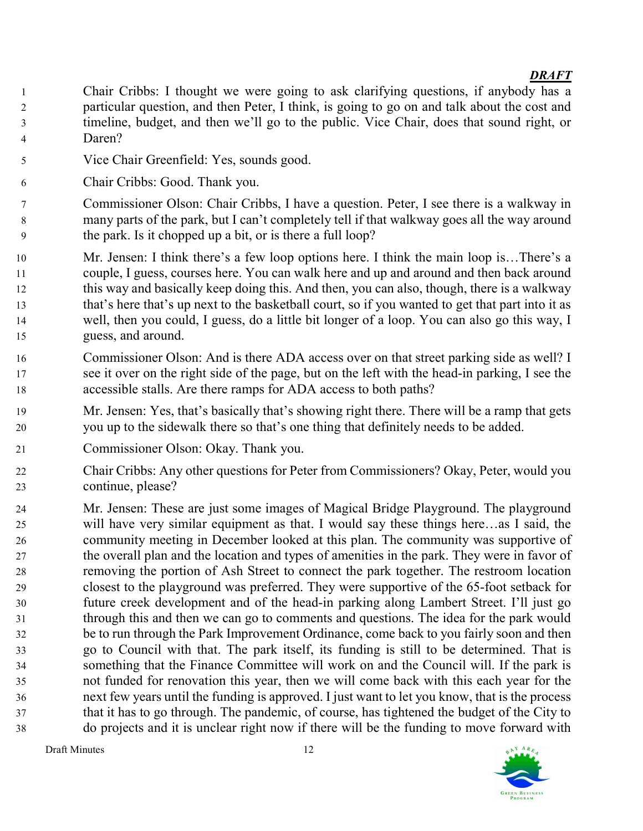- Chair Cribbs: I thought we were going to ask clarifying questions, if anybody has a particular question, and then Peter, I think, is going to go on and talk about the cost and timeline, budget, and then we'll go to the public. Vice Chair, does that sound right, or Daren?
- Vice Chair Greenfield: Yes, sounds good.
- Chair Cribbs: Good. Thank you.
- Commissioner Olson: Chair Cribbs, I have a question. Peter, I see there is a walkway in many parts of the park, but I can't completely tell if that walkway goes all the way around the park. Is it chopped up a bit, or is there a full loop?
- Mr. Jensen: I think there's a few loop options here. I think the main loop is…There's a couple, I guess, courses here. You can walk here and up and around and then back around this way and basically keep doing this. And then, you can also, though, there is a walkway that's here that's up next to the basketball court, so if you wanted to get that part into it as well, then you could, I guess, do a little bit longer of a loop. You can also go this way, I guess, and around.
- Commissioner Olson: And is there ADA access over on that street parking side as well? I see it over on the right side of the page, but on the left with the head-in parking, I see the accessible stalls. Are there ramps for ADA access to both paths?
- Mr. Jensen: Yes, that's basically that's showing right there. There will be a ramp that gets you up to the sidewalk there so that's one thing that definitely needs to be added.
- Commissioner Olson: Okay. Thank you.
- Chair Cribbs: Any other questions for Peter from Commissioners? Okay, Peter, would you continue, please?
- Mr. Jensen: These are just some images of Magical Bridge Playground. The playground will have very similar equipment as that. I would say these things here…as I said, the community meeting in December looked at this plan. The community was supportive of the overall plan and the location and types of amenities in the park. They were in favor of removing the portion of Ash Street to connect the park together. The restroom location closest to the playground was preferred. They were supportive of the 65-foot setback for future creek development and of the head-in parking along Lambert Street. I'll just go through this and then we can go to comments and questions. The idea for the park would be to run through the Park Improvement Ordinance, come back to you fairly soon and then go to Council with that. The park itself, its funding is still to be determined. That is something that the Finance Committee will work on and the Council will. If the park is not funded for renovation this year, then we will come back with this each year for the next few years until the funding is approved. I just want to let you know, that is the process that it has to go through. The pandemic, of course, has tightened the budget of the City to do projects and it is unclear right now if there will be the funding to move forward with

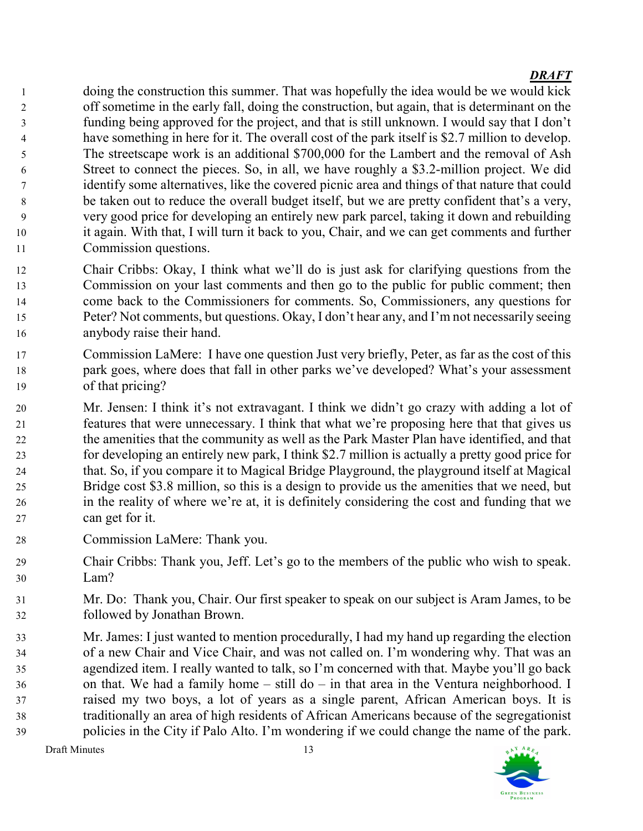doing the construction this summer. That was hopefully the idea would be we would kick off sometime in the early fall, doing the construction, but again, that is determinant on the funding being approved for the project, and that is still unknown. I would say that I don't have something in here for it. The overall cost of the park itself is \$2.7 million to develop. The streetscape work is an additional \$700,000 for the Lambert and the removal of Ash Street to connect the pieces. So, in all, we have roughly a \$3.2-million project. We did identify some alternatives, like the covered picnic area and things of that nature that could be taken out to reduce the overall budget itself, but we are pretty confident that's a very, very good price for developing an entirely new park parcel, taking it down and rebuilding it again. With that, I will turn it back to you, Chair, and we can get comments and further Commission questions.

- Chair Cribbs: Okay, I think what we'll do is just ask for clarifying questions from the Commission on your last comments and then go to the public for public comment; then come back to the Commissioners for comments. So, Commissioners, any questions for Peter? Not comments, but questions. Okay, I don't hear any, and I'm not necessarily seeing anybody raise their hand.
- Commission LaMere: I have one question Just very briefly, Peter, as far as the cost of this park goes, where does that fall in other parks we've developed? What's your assessment of that pricing?
- Mr. Jensen: I think it's not extravagant. I think we didn't go crazy with adding a lot of features that were unnecessary. I think that what we're proposing here that that gives us the amenities that the community as well as the Park Master Plan have identified, and that for developing an entirely new park, I think \$2.7 million is actually a pretty good price for that. So, if you compare it to Magical Bridge Playground, the playground itself at Magical Bridge cost \$3.8 million, so this is a design to provide us the amenities that we need, but in the reality of where we're at, it is definitely considering the cost and funding that we can get for it.
- Commission LaMere: Thank you.
- Chair Cribbs: Thank you, Jeff. Let's go to the members of the public who wish to speak. Lam?
- Mr. Do: Thank you, Chair. Our first speaker to speak on our subject is Aram James, to be followed by Jonathan Brown.
- Mr. James: I just wanted to mention procedurally, I had my hand up regarding the election of a new Chair and Vice Chair, and was not called on. I'm wondering why. That was an agendized item. I really wanted to talk, so I'm concerned with that. Maybe you'll go back on that. We had a family home – still do – in that area in the Ventura neighborhood. I raised my two boys, a lot of years as a single parent, African American boys. It is traditionally an area of high residents of African Americans because of the segregationist policies in the City if Palo Alto. I'm wondering if we could change the name of the park.

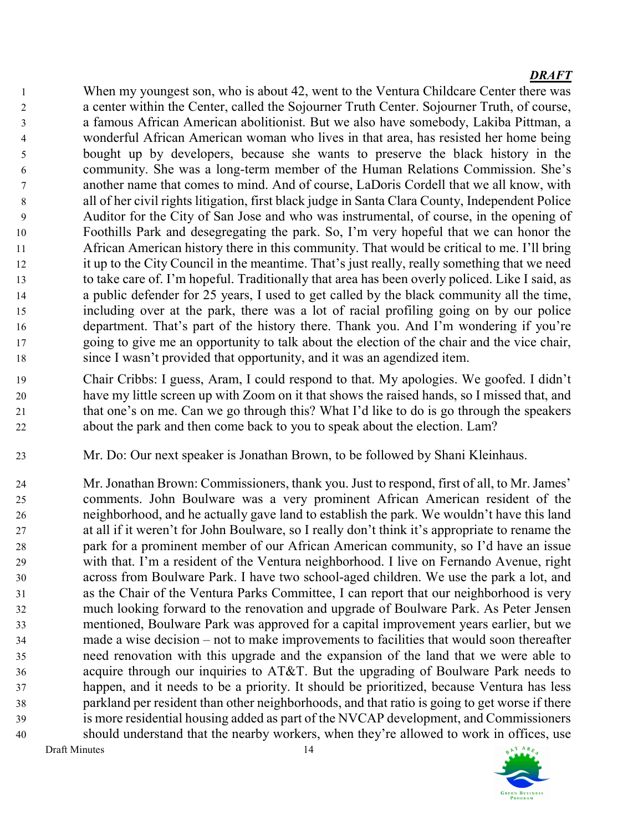When my youngest son, who is about 42, went to the Ventura Childcare Center there was a center within the Center, called the Sojourner Truth Center. Sojourner Truth, of course, a famous African American abolitionist. But we also have somebody, Lakiba Pittman, a wonderful African American woman who lives in that area, has resisted her home being bought up by developers, because she wants to preserve the black history in the community. She was a long-term member of the Human Relations Commission. She's another name that comes to mind. And of course, LaDoris Cordell that we all know, with all of her civil rights litigation, first black judge in Santa Clara County, Independent Police Auditor for the City of San Jose and who was instrumental, of course, in the opening of Foothills Park and desegregating the park. So, I'm very hopeful that we can honor the African American history there in this community. That would be critical to me. I'll bring it up to the City Council in the meantime. That's just really, really something that we need to take care of. I'm hopeful. Traditionally that area has been overly policed. Like I said, as a public defender for 25 years, I used to get called by the black community all the time, including over at the park, there was a lot of racial profiling going on by our police department. That's part of the history there. Thank you. And I'm wondering if you're going to give me an opportunity to talk about the election of the chair and the vice chair, since I wasn't provided that opportunity, and it was an agendized item.

- Chair Cribbs: I guess, Aram, I could respond to that. My apologies. We goofed. I didn't have my little screen up with Zoom on it that shows the raised hands, so I missed that, and that one's on me. Can we go through this? What I'd like to do is go through the speakers about the park and then come back to you to speak about the election. Lam?
- Mr. Do: Our next speaker is Jonathan Brown, to be followed by Shani Kleinhaus.

Mr. Jonathan Brown: Commissioners, thank you. Just to respond, first of all, to Mr. James' comments. John Boulware was a very prominent African American resident of the neighborhood, and he actually gave land to establish the park. We wouldn't have this land at all if it weren't for John Boulware, so I really don't think it's appropriate to rename the park for a prominent member of our African American community, so I'd have an issue with that. I'm a resident of the Ventura neighborhood. I live on Fernando Avenue, right across from Boulware Park. I have two school-aged children. We use the park a lot, and as the Chair of the Ventura Parks Committee, I can report that our neighborhood is very much looking forward to the renovation and upgrade of Boulware Park. As Peter Jensen mentioned, Boulware Park was approved for a capital improvement years earlier, but we made a wise decision – not to make improvements to facilities that would soon thereafter need renovation with this upgrade and the expansion of the land that we were able to acquire through our inquiries to AT&T. But the upgrading of Boulware Park needs to happen, and it needs to be a priority. It should be prioritized, because Ventura has less parkland per resident than other neighborhoods, and that ratio is going to get worse if there is more residential housing added as part of the NVCAP development, and Commissioners should understand that the nearby workers, when they're allowed to work in offices, use

AY ARE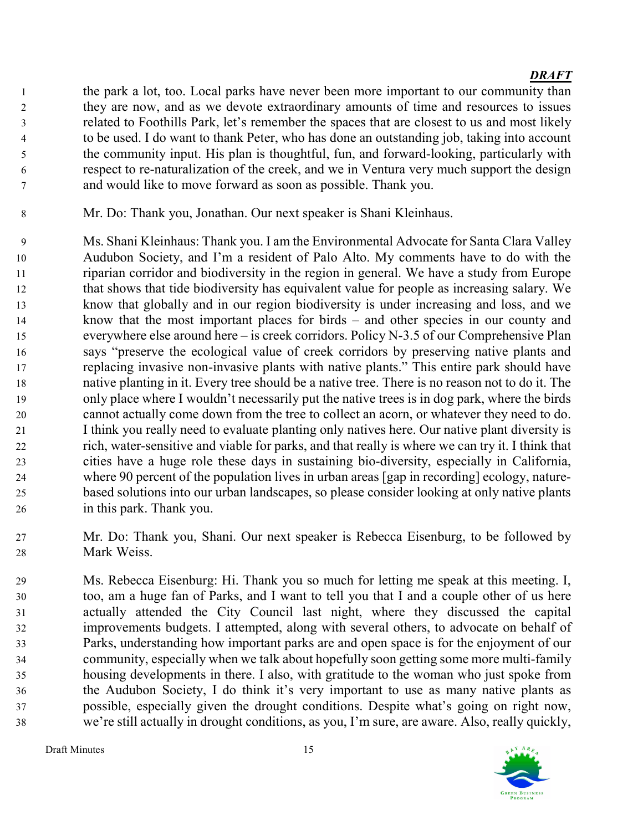the park a lot, too. Local parks have never been more important to our community than they are now, and as we devote extraordinary amounts of time and resources to issues related to Foothills Park, let's remember the spaces that are closest to us and most likely to be used. I do want to thank Peter, who has done an outstanding job, taking into account the community input. His plan is thoughtful, fun, and forward-looking, particularly with respect to re-naturalization of the creek, and we in Ventura very much support the design and would like to move forward as soon as possible. Thank you.

Mr. Do: Thank you, Jonathan. Our next speaker is Shani Kleinhaus.

Ms. Shani Kleinhaus: Thank you. I am the Environmental Advocate for Santa Clara Valley Audubon Society, and I'm a resident of Palo Alto. My comments have to do with the riparian corridor and biodiversity in the region in general. We have a study from Europe that shows that tide biodiversity has equivalent value for people as increasing salary. We know that globally and in our region biodiversity is under increasing and loss, and we know that the most important places for birds – and other species in our county and everywhere else around here – is creek corridors. Policy N-3.5 of our Comprehensive Plan says "preserve the ecological value of creek corridors by preserving native plants and replacing invasive non-invasive plants with native plants." This entire park should have native planting in it. Every tree should be a native tree. There is no reason not to do it. The only place where I wouldn't necessarily put the native trees is in dog park, where the birds cannot actually come down from the tree to collect an acorn, or whatever they need to do. I think you really need to evaluate planting only natives here. Our native plant diversity is rich, water-sensitive and viable for parks, and that really is where we can try it. I think that cities have a huge role these days in sustaining bio-diversity, especially in California, where 90 percent of the population lives in urban areas [gap in recording] ecology, nature-based solutions into our urban landscapes, so please consider looking at only native plants in this park. Thank you.

Mr. Do: Thank you, Shani. Our next speaker is Rebecca Eisenburg, to be followed by Mark Weiss.

Ms. Rebecca Eisenburg: Hi. Thank you so much for letting me speak at this meeting. I, too, am a huge fan of Parks, and I want to tell you that I and a couple other of us here actually attended the City Council last night, where they discussed the capital improvements budgets. I attempted, along with several others, to advocate on behalf of Parks, understanding how important parks are and open space is for the enjoyment of our community, especially when we talk about hopefully soon getting some more multi-family housing developments in there. I also, with gratitude to the woman who just spoke from the Audubon Society, I do think it's very important to use as many native plants as possible, especially given the drought conditions. Despite what's going on right now, we're still actually in drought conditions, as you, I'm sure, are aware. Also, really quickly,

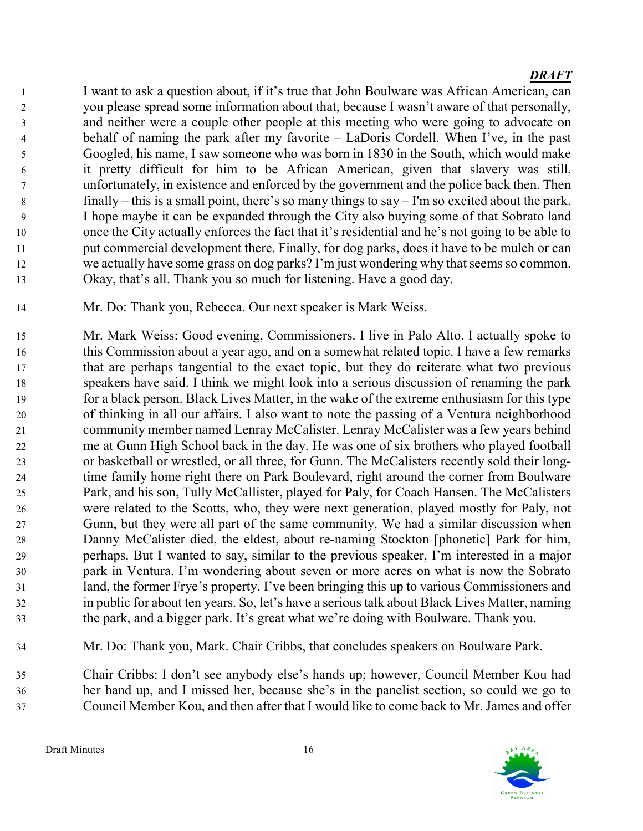I want to ask a question about, if it's true that John Boulware was African American, can you please spread some information about that, because I wasn't aware of that personally, and neither were a couple other people at this meeting who were going to advocate on behalf of naming the park after my favorite – LaDoris Cordell. When I've, in the past Googled, his name, I saw someone who was born in 1830 in the South, which would make it pretty difficult for him to be African American, given that slavery was still, unfortunately, in existence and enforced by the government and the police back then. Then finally – this is a small point, there's so many things to say – I'm so excited about the park. I hope maybe it can be expanded through the City also buying some of that Sobrato land once the City actually enforces the fact that it's residential and he's not going to be able to put commercial development there. Finally, for dog parks, does it have to be mulch or can we actually have some grass on dog parks? I'm just wondering why that seems so common. Okay, that's all. Thank you so much for listening. Have a good day.

- Mr. Do: Thank you, Rebecca. Our next speaker is Mark Weiss.
- Mr. Mark Weiss: Good evening, Commissioners. I live in Palo Alto. I actually spoke to this Commission about a year ago, and on a somewhat related topic. I have a few remarks that are perhaps tangential to the exact topic, but they do reiterate what two previous speakers have said. I think we might look into a serious discussion of renaming the park for a black person. Black Lives Matter, in the wake of the extreme enthusiasm for this type of thinking in all our affairs. I also want to note the passing of a Ventura neighborhood community member named Lenray McCalister. Lenray McCalister was a few years behind me at Gunn High School back in the day. He was one of six brothers who played football or basketball or wrestled, or all three, for Gunn. The McCalisters recently sold their long-time family home right there on Park Boulevard, right around the corner from Boulware Park, and his son, Tully McCallister, played for Paly, for Coach Hansen. The McCalisters were related to the Scotts, who, they were next generation, played mostly for Paly, not Gunn, but they were all part of the same community. We had a similar discussion when Danny McCalister died, the eldest, about re-naming Stockton [phonetic] Park for him, perhaps. But I wanted to say, similar to the previous speaker, I'm interested in a major park in Ventura. I'm wondering about seven or more acres on what is now the Sobrato land, the former Frye's property. I've been bringing this up to various Commissioners and in public for about ten years. So, let's have a serious talk about Black Lives Matter, naming the park, and a bigger park. It's great what we're doing with Boulware. Thank you.
- Mr. Do: Thank you, Mark. Chair Cribbs, that concludes speakers on Boulware Park.

Chair Cribbs: I don't see anybody else's hands up; however, Council Member Kou had her hand up, and I missed her, because she's in the panelist section, so could we go to Council Member Kou, and then after that I would like to come back to Mr. James and offer

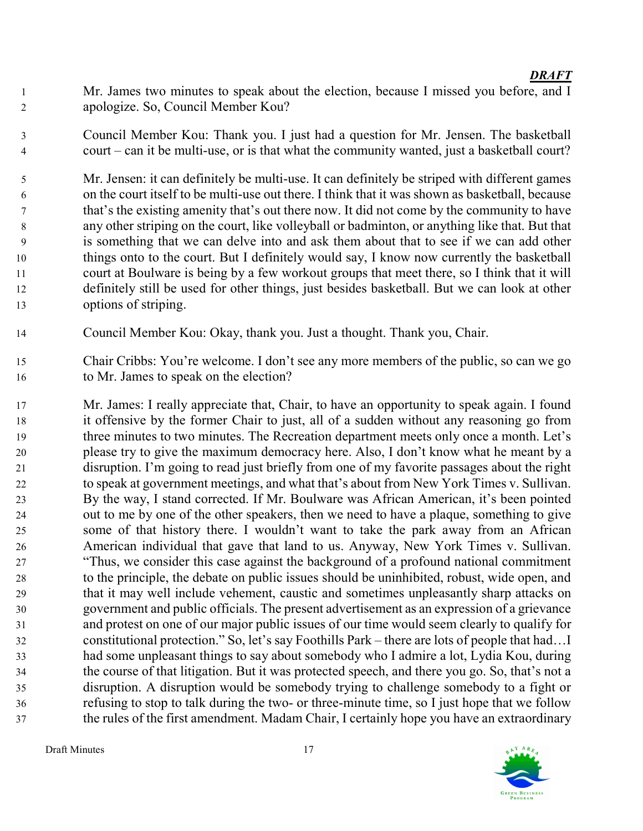- Mr. James two minutes to speak about the election, because I missed you before, and I apologize. So, Council Member Kou?
- Council Member Kou: Thank you. I just had a question for Mr. Jensen. The basketball court – can it be multi-use, or is that what the community wanted, just a basketball court?
- Mr. Jensen: it can definitely be multi-use. It can definitely be striped with different games on the court itself to be multi-use out there. I think that it was shown as basketball, because that's the existing amenity that's out there now. It did not come by the community to have any other striping on the court, like volleyball or badminton, or anything like that. But that is something that we can delve into and ask them about that to see if we can add other things onto to the court. But I definitely would say, I know now currently the basketball court at Boulware is being by a few workout groups that meet there, so I think that it will definitely still be used for other things, just besides basketball. But we can look at other options of striping.
- Council Member Kou: Okay, thank you. Just a thought. Thank you, Chair.
- Chair Cribbs: You're welcome. I don't see any more members of the public, so can we go to Mr. James to speak on the election?
- Mr. James: I really appreciate that, Chair, to have an opportunity to speak again. I found it offensive by the former Chair to just, all of a sudden without any reasoning go from three minutes to two minutes. The Recreation department meets only once a month. Let's please try to give the maximum democracy here. Also, I don't know what he meant by a disruption. I'm going to read just briefly from one of my favorite passages about the right to speak at government meetings, and what that's about from New York Times v. Sullivan. By the way, I stand corrected. If Mr. Boulware was African American, it's been pointed out to me by one of the other speakers, then we need to have a plaque, something to give some of that history there. I wouldn't want to take the park away from an African American individual that gave that land to us. Anyway, New York Times v. Sullivan. "Thus, we consider this case against the background of a profound national commitment to the principle, the debate on public issues should be uninhibited, robust, wide open, and that it may well include vehement, caustic and sometimes unpleasantly sharp attacks on government and public officials. The present advertisement as an expression of a grievance and protest on one of our major public issues of our time would seem clearly to qualify for constitutional protection." So, let's say Foothills Park – there are lots of people that had…I had some unpleasant things to say about somebody who I admire a lot, Lydia Kou, during the course of that litigation. But it was protected speech, and there you go. So, that's not a disruption. A disruption would be somebody trying to challenge somebody to a fight or refusing to stop to talk during the two- or three-minute time, so I just hope that we follow the rules of the first amendment. Madam Chair, I certainly hope you have an extraordinary

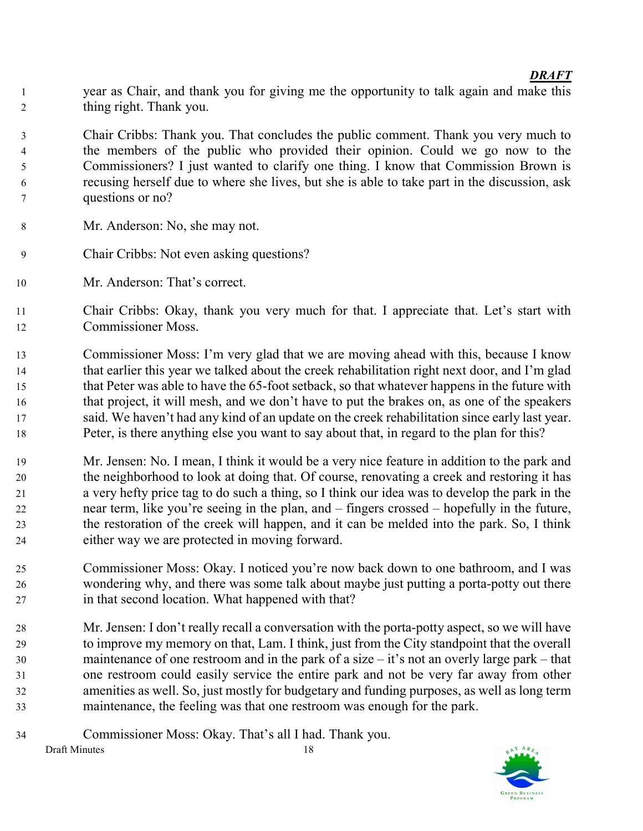year as Chair, and thank you for giving me the opportunity to talk again and make this thing right. Thank you.

Chair Cribbs: Thank you. That concludes the public comment. Thank you very much to the members of the public who provided their opinion. Could we go now to the Commissioners? I just wanted to clarify one thing. I know that Commission Brown is recusing herself due to where she lives, but she is able to take part in the discussion, ask questions or no?

- Mr. Anderson: No, she may not.
- Chair Cribbs: Not even asking questions?
- Mr. Anderson: That's correct.
- Chair Cribbs: Okay, thank you very much for that. I appreciate that. Let's start with Commissioner Moss.
- Commissioner Moss: I'm very glad that we are moving ahead with this, because I know that earlier this year we talked about the creek rehabilitation right next door, and I'm glad that Peter was able to have the 65-foot setback, so that whatever happens in the future with that project, it will mesh, and we don't have to put the brakes on, as one of the speakers said. We haven't had any kind of an update on the creek rehabilitation since early last year. Peter, is there anything else you want to say about that, in regard to the plan for this?
- Mr. Jensen: No. I mean, I think it would be a very nice feature in addition to the park and the neighborhood to look at doing that. Of course, renovating a creek and restoring it has a very hefty price tag to do such a thing, so I think our idea was to develop the park in the near term, like you're seeing in the plan, and – fingers crossed – hopefully in the future, the restoration of the creek will happen, and it can be melded into the park. So, I think either way we are protected in moving forward.
- Commissioner Moss: Okay. I noticed you're now back down to one bathroom, and I was wondering why, and there was some talk about maybe just putting a porta-potty out there in that second location. What happened with that?
- Mr. Jensen: I don't really recall a conversation with the porta-potty aspect, so we will have to improve my memory on that, Lam. I think, just from the City standpoint that the overall maintenance of one restroom and in the park of a size – it's not an overly large park – that one restroom could easily service the entire park and not be very far away from other amenities as well. So, just mostly for budgetary and funding purposes, as well as long term maintenance, the feeling was that one restroom was enough for the park.
- Draft Minutes 18 Commissioner Moss: Okay. That's all I had. Thank you.

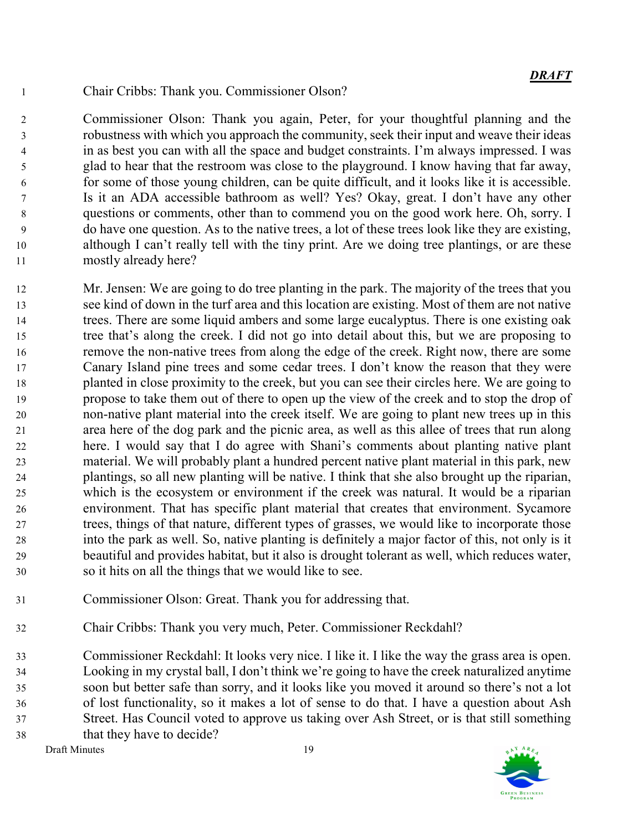Chair Cribbs: Thank you. Commissioner Olson?

Commissioner Olson: Thank you again, Peter, for your thoughtful planning and the robustness with which you approach the community, seek their input and weave their ideas in as best you can with all the space and budget constraints. I'm always impressed. I was glad to hear that the restroom was close to the playground. I know having that far away, for some of those young children, can be quite difficult, and it looks like it is accessible. Is it an ADA accessible bathroom as well? Yes? Okay, great. I don't have any other questions or comments, other than to commend you on the good work here. Oh, sorry. I do have one question. As to the native trees, a lot of these trees look like they are existing, although I can't really tell with the tiny print. Are we doing tree plantings, or are these mostly already here?

- Mr. Jensen: We are going to do tree planting in the park. The majority of the trees that you see kind of down in the turf area and this location are existing. Most of them are not native trees. There are some liquid ambers and some large eucalyptus. There is one existing oak tree that's along the creek. I did not go into detail about this, but we are proposing to remove the non-native trees from along the edge of the creek. Right now, there are some Canary Island pine trees and some cedar trees. I don't know the reason that they were planted in close proximity to the creek, but you can see their circles here. We are going to propose to take them out of there to open up the view of the creek and to stop the drop of non-native plant material into the creek itself. We are going to plant new trees up in this area here of the dog park and the picnic area, as well as this allee of trees that run along here. I would say that I do agree with Shani's comments about planting native plant material. We will probably plant a hundred percent native plant material in this park, new plantings, so all new planting will be native. I think that she also brought up the riparian, which is the ecosystem or environment if the creek was natural. It would be a riparian environment. That has specific plant material that creates that environment. Sycamore trees, things of that nature, different types of grasses, we would like to incorporate those into the park as well. So, native planting is definitely a major factor of this, not only is it beautiful and provides habitat, but it also is drought tolerant as well, which reduces water, so it hits on all the things that we would like to see.
- Commissioner Olson: Great. Thank you for addressing that.
- Chair Cribbs: Thank you very much, Peter. Commissioner Reckdahl?

Commissioner Reckdahl: It looks very nice. I like it. I like the way the grass area is open. Looking in my crystal ball, I don't think we're going to have the creek naturalized anytime soon but better safe than sorry, and it looks like you moved it around so there's not a lot of lost functionality, so it makes a lot of sense to do that. I have a question about Ash Street. Has Council voted to approve us taking over Ash Street, or is that still something that they have to decide?

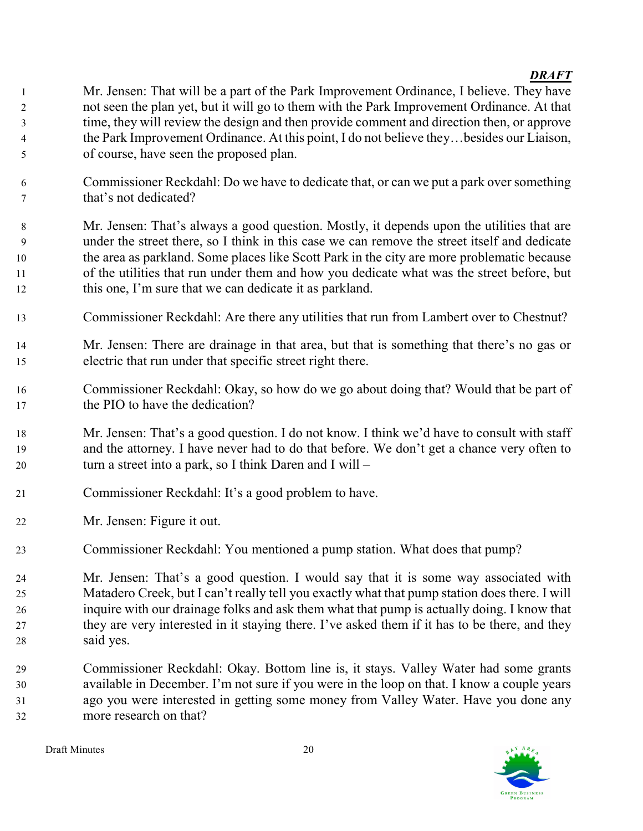Mr. Jensen: That will be a part of the Park Improvement Ordinance, I believe. They have not seen the plan yet, but it will go to them with the Park Improvement Ordinance. At that time, they will review the design and then provide comment and direction then, or approve the Park Improvement Ordinance. At this point, I do not believe they…besides our Liaison, of course, have seen the proposed plan.

Commissioner Reckdahl: Do we have to dedicate that, or can we put a park over something that's not dedicated?

Mr. Jensen: That's always a good question. Mostly, it depends upon the utilities that are under the street there, so I think in this case we can remove the street itself and dedicate the area as parkland. Some places like Scott Park in the city are more problematic because of the utilities that run under them and how you dedicate what was the street before, but this one, I'm sure that we can dedicate it as parkland.

- Commissioner Reckdahl: Are there any utilities that run from Lambert over to Chestnut?
- Mr. Jensen: There are drainage in that area, but that is something that there's no gas or electric that run under that specific street right there.
- Commissioner Reckdahl: Okay, so how do we go about doing that? Would that be part of the PIO to have the dedication?
- Mr. Jensen: That's a good question. I do not know. I think we'd have to consult with staff and the attorney. I have never had to do that before. We don't get a chance very often to turn a street into a park, so I think Daren and I will –
- Commissioner Reckdahl: It's a good problem to have.
- Mr. Jensen: Figure it out.
- Commissioner Reckdahl: You mentioned a pump station. What does that pump?

Mr. Jensen: That's a good question. I would say that it is some way associated with Matadero Creek, but I can't really tell you exactly what that pump station does there. I will inquire with our drainage folks and ask them what that pump is actually doing. I know that they are very interested in it staying there. I've asked them if it has to be there, and they said yes.

Commissioner Reckdahl: Okay. Bottom line is, it stays. Valley Water had some grants available in December. I'm not sure if you were in the loop on that. I know a couple years ago you were interested in getting some money from Valley Water. Have you done any more research on that?

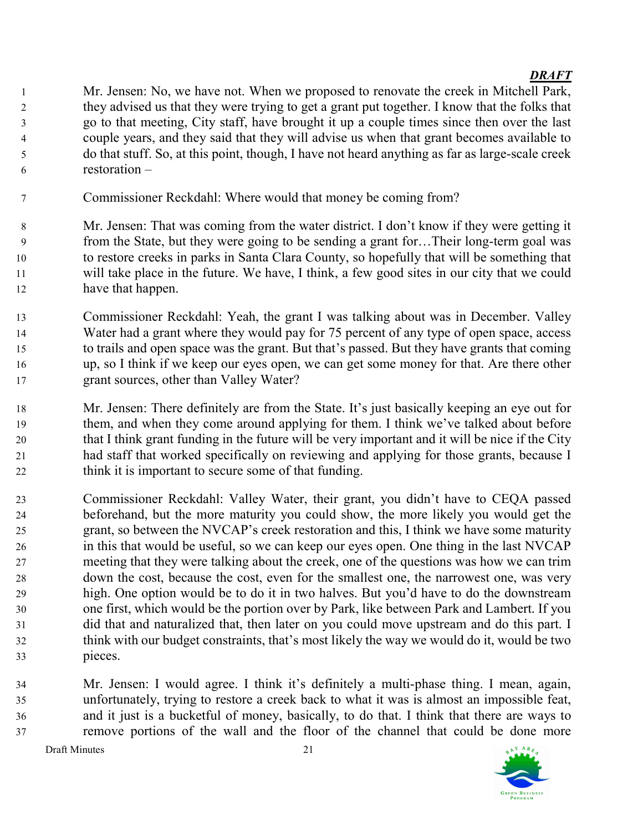Mr. Jensen: No, we have not. When we proposed to renovate the creek in Mitchell Park, they advised us that they were trying to get a grant put together. I know that the folks that go to that meeting, City staff, have brought it up a couple times since then over the last couple years, and they said that they will advise us when that grant becomes available to do that stuff. So, at this point, though, I have not heard anything as far as large-scale creek restoration –

- Commissioner Reckdahl: Where would that money be coming from?
- Mr. Jensen: That was coming from the water district. I don't know if they were getting it from the State, but they were going to be sending a grant for…Their long-term goal was to restore creeks in parks in Santa Clara County, so hopefully that will be something that will take place in the future. We have, I think, a few good sites in our city that we could have that happen.
- Commissioner Reckdahl: Yeah, the grant I was talking about was in December. Valley Water had a grant where they would pay for 75 percent of any type of open space, access to trails and open space was the grant. But that's passed. But they have grants that coming up, so I think if we keep our eyes open, we can get some money for that. Are there other grant sources, other than Valley Water?
- Mr. Jensen: There definitely are from the State. It's just basically keeping an eye out for them, and when they come around applying for them. I think we've talked about before that I think grant funding in the future will be very important and it will be nice if the City had staff that worked specifically on reviewing and applying for those grants, because I think it is important to secure some of that funding.
- Commissioner Reckdahl: Valley Water, their grant, you didn't have to CEQA passed beforehand, but the more maturity you could show, the more likely you would get the grant, so between the NVCAP's creek restoration and this, I think we have some maturity in this that would be useful, so we can keep our eyes open. One thing in the last NVCAP meeting that they were talking about the creek, one of the questions was how we can trim down the cost, because the cost, even for the smallest one, the narrowest one, was very high. One option would be to do it in two halves. But you'd have to do the downstream one first, which would be the portion over by Park, like between Park and Lambert. If you did that and naturalized that, then later on you could move upstream and do this part. I think with our budget constraints, that's most likely the way we would do it, would be two pieces.
- Mr. Jensen: I would agree. I think it's definitely a multi-phase thing. I mean, again, unfortunately, trying to restore a creek back to what it was is almost an impossible feat, and it just is a bucketful of money, basically, to do that. I think that there are ways to remove portions of the wall and the floor of the channel that could be done more

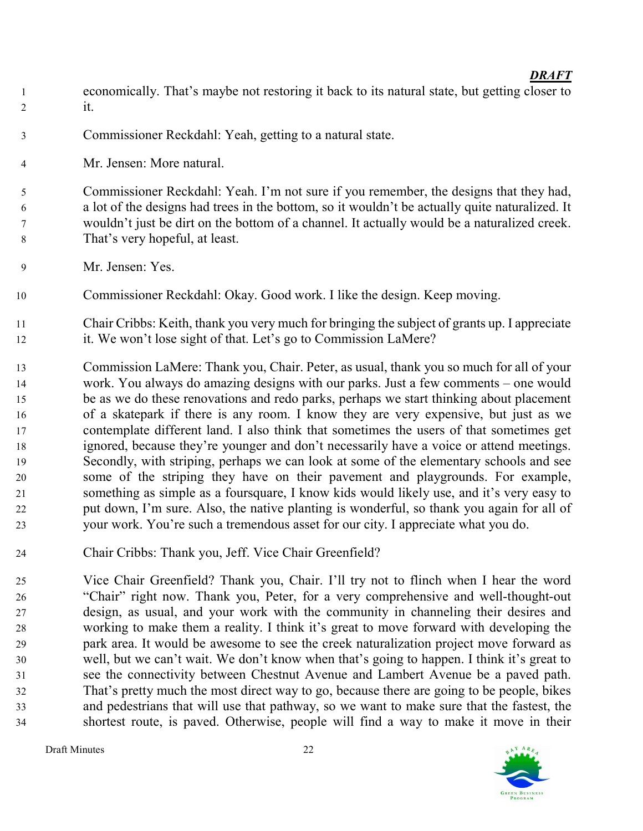- economically. That's maybe not restoring it back to its natural state, but getting closer to it.
- Commissioner Reckdahl: Yeah, getting to a natural state.
- Mr. Jensen: More natural.

Commissioner Reckdahl: Yeah. I'm not sure if you remember, the designs that they had, a lot of the designs had trees in the bottom, so it wouldn't be actually quite naturalized. It wouldn't just be dirt on the bottom of a channel. It actually would be a naturalized creek. That's very hopeful, at least.

- Mr. Jensen: Yes.
- Commissioner Reckdahl: Okay. Good work. I like the design. Keep moving.
- Chair Cribbs: Keith, thank you very much for bringing the subject of grants up. I appreciate it. We won't lose sight of that. Let's go to Commission LaMere?
- Commission LaMere: Thank you, Chair. Peter, as usual, thank you so much for all of your work. You always do amazing designs with our parks. Just a few comments – one would be as we do these renovations and redo parks, perhaps we start thinking about placement of a skatepark if there is any room. I know they are very expensive, but just as we contemplate different land. I also think that sometimes the users of that sometimes get ignored, because they're younger and don't necessarily have a voice or attend meetings. Secondly, with striping, perhaps we can look at some of the elementary schools and see some of the striping they have on their pavement and playgrounds. For example, something as simple as a foursquare, I know kids would likely use, and it's very easy to put down, I'm sure. Also, the native planting is wonderful, so thank you again for all of your work. You're such a tremendous asset for our city. I appreciate what you do.
- Chair Cribbs: Thank you, Jeff. Vice Chair Greenfield?

Vice Chair Greenfield? Thank you, Chair. I'll try not to flinch when I hear the word "Chair" right now. Thank you, Peter, for a very comprehensive and well-thought-out design, as usual, and your work with the community in channeling their desires and working to make them a reality. I think it's great to move forward with developing the park area. It would be awesome to see the creek naturalization project move forward as well, but we can't wait. We don't know when that's going to happen. I think it's great to see the connectivity between Chestnut Avenue and Lambert Avenue be a paved path. That's pretty much the most direct way to go, because there are going to be people, bikes and pedestrians that will use that pathway, so we want to make sure that the fastest, the shortest route, is paved. Otherwise, people will find a way to make it move in their

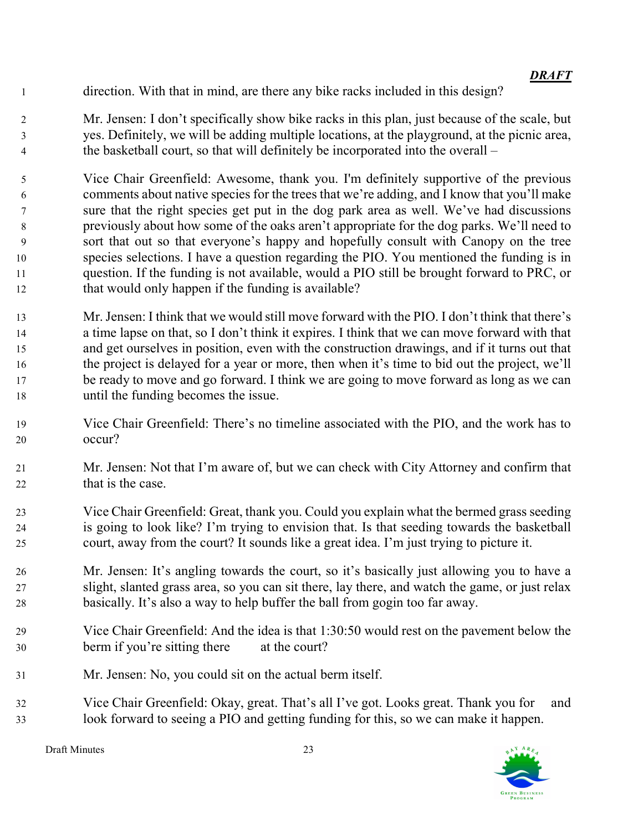direction. With that in mind, are there any bike racks included in this design?

Mr. Jensen: I don't specifically show bike racks in this plan, just because of the scale, but yes. Definitely, we will be adding multiple locations, at the playground, at the picnic area, the basketball court, so that will definitely be incorporated into the overall –

Vice Chair Greenfield: Awesome, thank you. I'm definitely supportive of the previous comments about native species for the trees that we're adding, and I know that you'll make sure that the right species get put in the dog park area as well. We've had discussions previously about how some of the oaks aren't appropriate for the dog parks. We'll need to sort that out so that everyone's happy and hopefully consult with Canopy on the tree species selections. I have a question regarding the PIO. You mentioned the funding is in question. If the funding is not available, would a PIO still be brought forward to PRC, or 12 that would only happen if the funding is available?

- Mr. Jensen: I think that we would still move forward with the PIO. I don't think that there's a time lapse on that, so I don't think it expires. I think that we can move forward with that and get ourselves in position, even with the construction drawings, and if it turns out that the project is delayed for a year or more, then when it's time to bid out the project, we'll be ready to move and go forward. I think we are going to move forward as long as we can until the funding becomes the issue.
- Vice Chair Greenfield: There's no timeline associated with the PIO, and the work has to occur?
- Mr. Jensen: Not that I'm aware of, but we can check with City Attorney and confirm that 22 that is the case.
- Vice Chair Greenfield: Great, thank you. Could you explain what the bermed grass seeding is going to look like? I'm trying to envision that. Is that seeding towards the basketball court, away from the court? It sounds like a great idea. I'm just trying to picture it.
- Mr. Jensen: It's angling towards the court, so it's basically just allowing you to have a slight, slanted grass area, so you can sit there, lay there, and watch the game, or just relax basically. It's also a way to help buffer the ball from gogin too far away.
- Vice Chair Greenfield: And the idea is that 1:30:50 would rest on the pavement below the berm if you're sitting there at the court?
- Mr. Jensen: No, you could sit on the actual berm itself.
- Vice Chair Greenfield: Okay, great. That's all I've got. Looks great. Thank you for and look forward to seeing a PIO and getting funding for this, so we can make it happen.

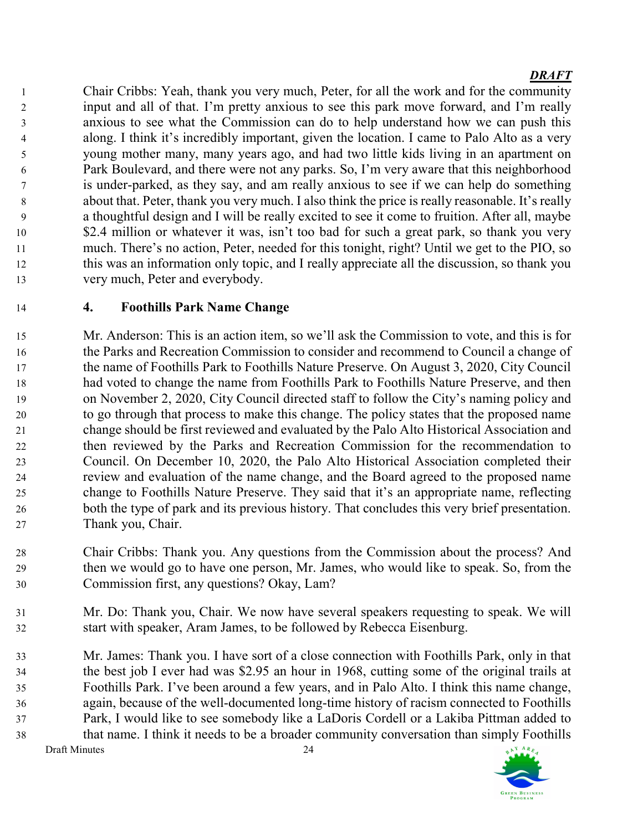Chair Cribbs: Yeah, thank you very much, Peter, for all the work and for the community input and all of that. I'm pretty anxious to see this park move forward, and I'm really anxious to see what the Commission can do to help understand how we can push this along. I think it's incredibly important, given the location. I came to Palo Alto as a very young mother many, many years ago, and had two little kids living in an apartment on Park Boulevard, and there were not any parks. So, I'm very aware that this neighborhood is under-parked, as they say, and am really anxious to see if we can help do something about that. Peter, thank you very much. I also think the price is really reasonable. It's really a thoughtful design and I will be really excited to see it come to fruition. After all, maybe \$2.4 million or whatever it was, isn't too bad for such a great park, so thank you very much. There's no action, Peter, needed for this tonight, right? Until we get to the PIO, so this was an information only topic, and I really appreciate all the discussion, so thank you very much, Peter and everybody.

# 4. Foothills Park Name Change

Mr. Anderson: This is an action item, so we'll ask the Commission to vote, and this is for the Parks and Recreation Commission to consider and recommend to Council a change of the name of Foothills Park to Foothills Nature Preserve. On August 3, 2020, City Council had voted to change the name from Foothills Park to Foothills Nature Preserve, and then on November 2, 2020, City Council directed staff to follow the City's naming policy and to go through that process to make this change. The policy states that the proposed name change should be first reviewed and evaluated by the Palo Alto Historical Association and then reviewed by the Parks and Recreation Commission for the recommendation to Council. On December 10, 2020, the Palo Alto Historical Association completed their review and evaluation of the name change, and the Board agreed to the proposed name change to Foothills Nature Preserve. They said that it's an appropriate name, reflecting both the type of park and its previous history. That concludes this very brief presentation. Thank you, Chair.

Chair Cribbs: Thank you. Any questions from the Commission about the process? And then we would go to have one person, Mr. James, who would like to speak. So, from the Commission first, any questions? Okay, Lam?

Mr. Do: Thank you, Chair. We now have several speakers requesting to speak. We will start with speaker, Aram James, to be followed by Rebecca Eisenburg.

Draft Minutes 24 Mr. James: Thank you. I have sort of a close connection with Foothills Park, only in that the best job I ever had was \$2.95 an hour in 1968, cutting some of the original trails at Foothills Park. I've been around a few years, and in Palo Alto. I think this name change, again, because of the well-documented long-time history of racism connected to Foothills Park, I would like to see somebody like a LaDoris Cordell or a Lakiba Pittman added to that name. I think it needs to be a broader community conversation than simply Foothills

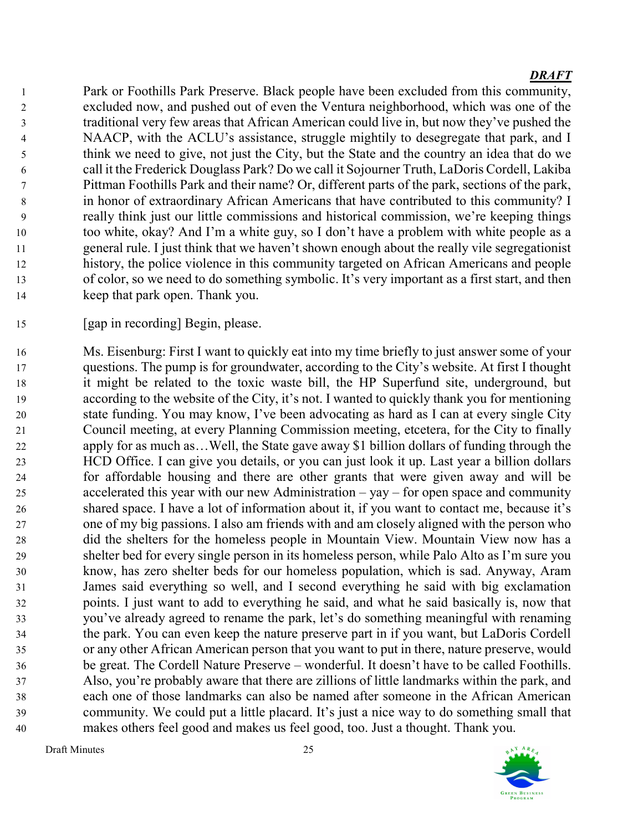Park or Foothills Park Preserve. Black people have been excluded from this community, excluded now, and pushed out of even the Ventura neighborhood, which was one of the traditional very few areas that African American could live in, but now they've pushed the NAACP, with the ACLU's assistance, struggle mightily to desegregate that park, and I think we need to give, not just the City, but the State and the country an idea that do we call it the Frederick Douglass Park? Do we call it Sojourner Truth, LaDoris Cordell, Lakiba Pittman Foothills Park and their name? Or, different parts of the park, sections of the park, in honor of extraordinary African Americans that have contributed to this community? I really think just our little commissions and historical commission, we're keeping things too white, okay? And I'm a white guy, so I don't have a problem with white people as a general rule. I just think that we haven't shown enough about the really vile segregationist history, the police violence in this community targeted on African Americans and people of color, so we need to do something symbolic. It's very important as a first start, and then keep that park open. Thank you.

[gap in recording] Begin, please.

Ms. Eisenburg: First I want to quickly eat into my time briefly to just answer some of your questions. The pump is for groundwater, according to the City's website. At first I thought it might be related to the toxic waste bill, the HP Superfund site, underground, but according to the website of the City, it's not. I wanted to quickly thank you for mentioning state funding. You may know, I've been advocating as hard as I can at every single City Council meeting, at every Planning Commission meeting, etcetera, for the City to finally apply for as much as…Well, the State gave away \$1 billion dollars of funding through the HCD Office. I can give you details, or you can just look it up. Last year a billion dollars for affordable housing and there are other grants that were given away and will be accelerated this year with our new Administration – yay – for open space and community shared space. I have a lot of information about it, if you want to contact me, because it's one of my big passions. I also am friends with and am closely aligned with the person who did the shelters for the homeless people in Mountain View. Mountain View now has a shelter bed for every single person in its homeless person, while Palo Alto as I'm sure you know, has zero shelter beds for our homeless population, which is sad. Anyway, Aram James said everything so well, and I second everything he said with big exclamation points. I just want to add to everything he said, and what he said basically is, now that you've already agreed to rename the park, let's do something meaningful with renaming the park. You can even keep the nature preserve part in if you want, but LaDoris Cordell or any other African American person that you want to put in there, nature preserve, would be great. The Cordell Nature Preserve – wonderful. It doesn't have to be called Foothills. Also, you're probably aware that there are zillions of little landmarks within the park, and each one of those landmarks can also be named after someone in the African American community. We could put a little placard. It's just a nice way to do something small that makes others feel good and makes us feel good, too. Just a thought. Thank you.

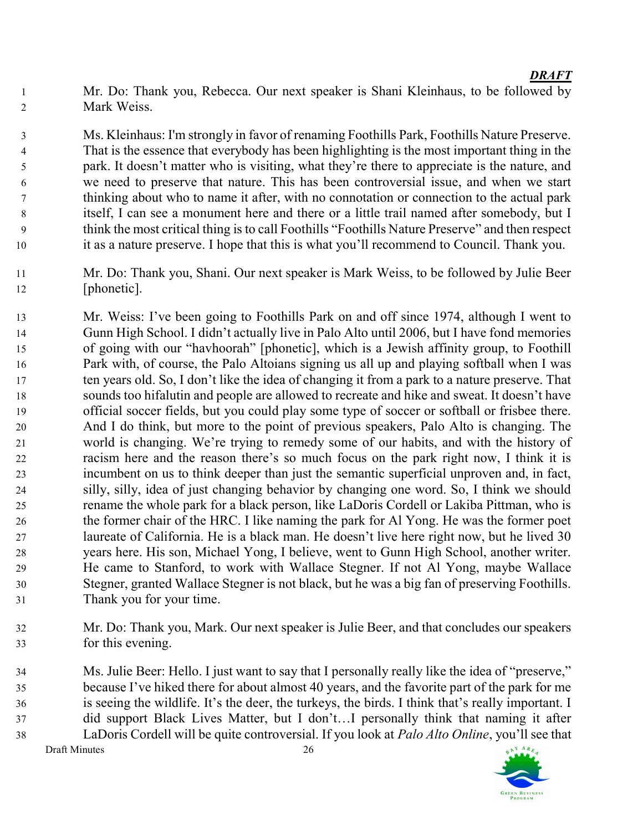Mr. Do: Thank you, Rebecca. Our next speaker is Shani Kleinhaus, to be followed by Mark Weiss.

Ms. Kleinhaus: I'm strongly in favor of renaming Foothills Park, Foothills Nature Preserve. That is the essence that everybody has been highlighting is the most important thing in the park. It doesn't matter who is visiting, what they're there to appreciate is the nature, and we need to preserve that nature. This has been controversial issue, and when we start thinking about who to name it after, with no connotation or connection to the actual park itself, I can see a monument here and there or a little trail named after somebody, but I think the most critical thing is to call Foothills "Foothills Nature Preserve" and then respect it as a nature preserve. I hope that this is what you'll recommend to Council. Thank you.

- Mr. Do: Thank you, Shani. Our next speaker is Mark Weiss, to be followed by Julie Beer [phonetic].
- Mr. Weiss: I've been going to Foothills Park on and off since 1974, although I went to Gunn High School. I didn't actually live in Palo Alto until 2006, but I have fond memories of going with our "havhoorah" [phonetic], which is a Jewish affinity group, to Foothill Park with, of course, the Palo Altoians signing us all up and playing softball when I was ten years old. So, I don't like the idea of changing it from a park to a nature preserve. That sounds too hifalutin and people are allowed to recreate and hike and sweat. It doesn't have official soccer fields, but you could play some type of soccer or softball or frisbee there. And I do think, but more to the point of previous speakers, Palo Alto is changing. The world is changing. We're trying to remedy some of our habits, and with the history of racism here and the reason there's so much focus on the park right now, I think it is incumbent on us to think deeper than just the semantic superficial unproven and, in fact, silly, silly, idea of just changing behavior by changing one word. So, I think we should rename the whole park for a black person, like LaDoris Cordell or Lakiba Pittman, who is the former chair of the HRC. I like naming the park for Al Yong. He was the former poet laureate of California. He is a black man. He doesn't live here right now, but he lived 30 years here. His son, Michael Yong, I believe, went to Gunn High School, another writer. He came to Stanford, to work with Wallace Stegner. If not Al Yong, maybe Wallace Stegner, granted Wallace Stegner is not black, but he was a big fan of preserving Foothills. Thank you for your time.
- Mr. Do: Thank you, Mark. Our next speaker is Julie Beer, and that concludes our speakers for this evening.

Draft Minutes 26 Ms. Julie Beer: Hello. I just want to say that I personally really like the idea of "preserve," because I've hiked there for about almost 40 years, and the favorite part of the park for me is seeing the wildlife. It's the deer, the turkeys, the birds. I think that's really important. I did support Black Lives Matter, but I don't…I personally think that naming it after LaDoris Cordell will be quite controversial. If you look at Palo Alto Online, you'll see that

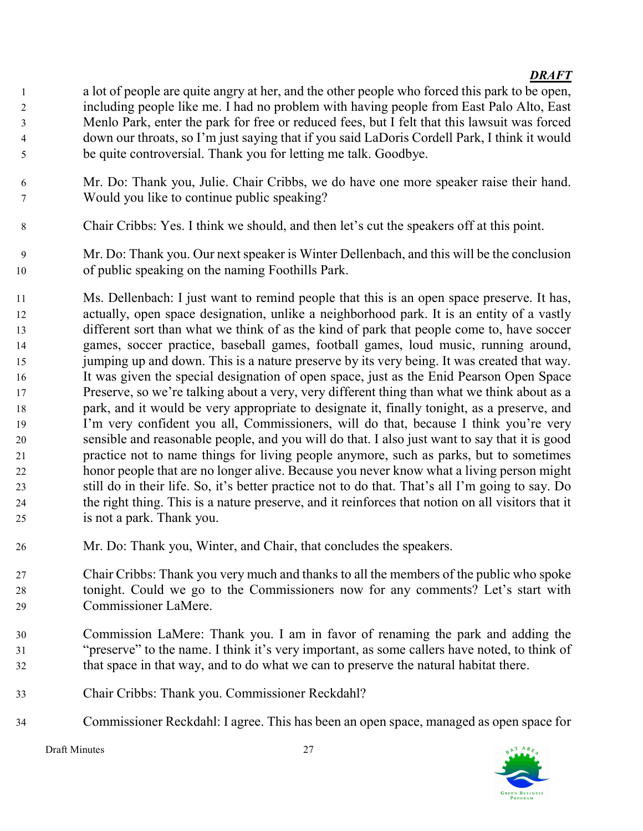- a lot of people are quite angry at her, and the other people who forced this park to be open, including people like me. I had no problem with having people from East Palo Alto, East Menlo Park, enter the park for free or reduced fees, but I felt that this lawsuit was forced down our throats, so I'm just saying that if you said LaDoris Cordell Park, I think it would be quite controversial. Thank you for letting me talk. Goodbye.
- Mr. Do: Thank you, Julie. Chair Cribbs, we do have one more speaker raise their hand. Would you like to continue public speaking?
- Chair Cribbs: Yes. I think we should, and then let's cut the speakers off at this point.
- Mr. Do: Thank you. Our next speaker is Winter Dellenbach, and this will be the conclusion of public speaking on the naming Foothills Park.
- Ms. Dellenbach: I just want to remind people that this is an open space preserve. It has, actually, open space designation, unlike a neighborhood park. It is an entity of a vastly different sort than what we think of as the kind of park that people come to, have soccer games, soccer practice, baseball games, football games, loud music, running around, 15 jumping up and down. This is a nature preserve by its very being. It was created that way. It was given the special designation of open space, just as the Enid Pearson Open Space Preserve, so we're talking about a very, very different thing than what we think about as a park, and it would be very appropriate to designate it, finally tonight, as a preserve, and I'm very confident you all, Commissioners, will do that, because I think you're very sensible and reasonable people, and you will do that. I also just want to say that it is good practice not to name things for living people anymore, such as parks, but to sometimes honor people that are no longer alive. Because you never know what a living person might still do in their life. So, it's better practice not to do that. That's all I'm going to say. Do the right thing. This is a nature preserve, and it reinforces that notion on all visitors that it is not a park. Thank you.
- Mr. Do: Thank you, Winter, and Chair, that concludes the speakers.
- Chair Cribbs: Thank you very much and thanks to all the members of the public who spoke tonight. Could we go to the Commissioners now for any comments? Let's start with Commissioner LaMere.
- Commission LaMere: Thank you. I am in favor of renaming the park and adding the "preserve" to the name. I think it's very important, as some callers have noted, to think of that space in that way, and to do what we can to preserve the natural habitat there.
- Chair Cribbs: Thank you. Commissioner Reckdahl?
- Commissioner Reckdahl: I agree. This has been an open space, managed as open space for

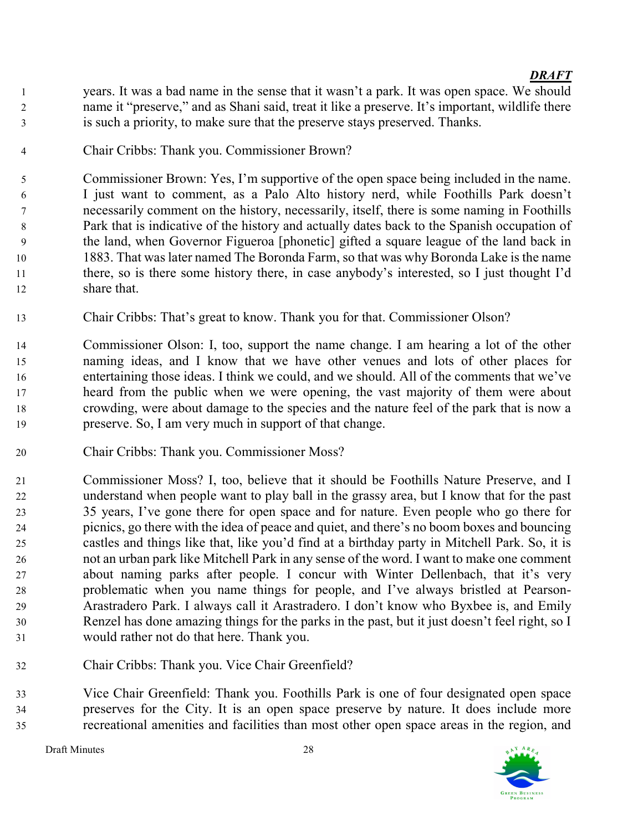- years. It was a bad name in the sense that it wasn't a park. It was open space. We should name it "preserve," and as Shani said, treat it like a preserve. It's important, wildlife there is such a priority, to make sure that the preserve stays preserved. Thanks.
- Chair Cribbs: Thank you. Commissioner Brown?

Commissioner Brown: Yes, I'm supportive of the open space being included in the name. I just want to comment, as a Palo Alto history nerd, while Foothills Park doesn't necessarily comment on the history, necessarily, itself, there is some naming in Foothills Park that is indicative of the history and actually dates back to the Spanish occupation of the land, when Governor Figueroa [phonetic] gifted a square league of the land back in 1883. That was later named The Boronda Farm, so that was why Boronda Lake is the name there, so is there some history there, in case anybody's interested, so I just thought I'd share that.

- Chair Cribbs: That's great to know. Thank you for that. Commissioner Olson?
- Commissioner Olson: I, too, support the name change. I am hearing a lot of the other naming ideas, and I know that we have other venues and lots of other places for entertaining those ideas. I think we could, and we should. All of the comments that we've heard from the public when we were opening, the vast majority of them were about crowding, were about damage to the species and the nature feel of the park that is now a preserve. So, I am very much in support of that change.
- Chair Cribbs: Thank you. Commissioner Moss?
- Commissioner Moss? I, too, believe that it should be Foothills Nature Preserve, and I understand when people want to play ball in the grassy area, but I know that for the past 35 years, I've gone there for open space and for nature. Even people who go there for picnics, go there with the idea of peace and quiet, and there's no boom boxes and bouncing castles and things like that, like you'd find at a birthday party in Mitchell Park. So, it is not an urban park like Mitchell Park in any sense of the word. I want to make one comment about naming parks after people. I concur with Winter Dellenbach, that it's very problematic when you name things for people, and I've always bristled at Pearson-Arastradero Park. I always call it Arastradero. I don't know who Byxbee is, and Emily Renzel has done amazing things for the parks in the past, but it just doesn't feel right, so I would rather not do that here. Thank you.
- Chair Cribbs: Thank you. Vice Chair Greenfield?

Vice Chair Greenfield: Thank you. Foothills Park is one of four designated open space preserves for the City. It is an open space preserve by nature. It does include more recreational amenities and facilities than most other open space areas in the region, and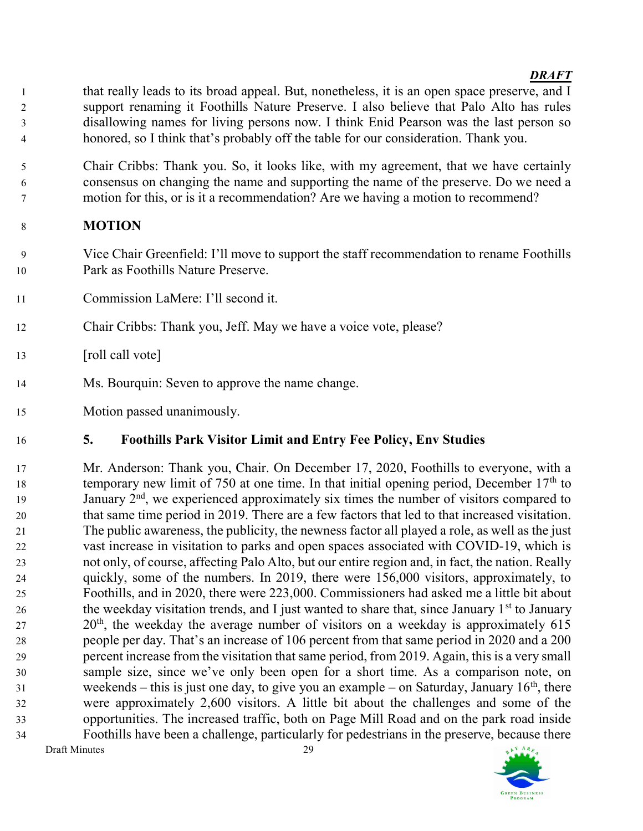- that really leads to its broad appeal. But, nonetheless, it is an open space preserve, and I support renaming it Foothills Nature Preserve. I also believe that Palo Alto has rules disallowing names for living persons now. I think Enid Pearson was the last person so honored, so I think that's probably off the table for our consideration. Thank you.
- Chair Cribbs: Thank you. So, it looks like, with my agreement, that we have certainly consensus on changing the name and supporting the name of the preserve. Do we need a motion for this, or is it a recommendation? Are we having a motion to recommend?

# MOTION

- Vice Chair Greenfield: I'll move to support the staff recommendation to rename Foothills Park as Foothills Nature Preserve.
- Commission LaMere: I'll second it.
- Chair Cribbs: Thank you, Jeff. May we have a voice vote, please?
- 13 [roll call vote]
- Ms. Bourquin: Seven to approve the name change.
- Motion passed unanimously.

# 5. Foothills Park Visitor Limit and Entry Fee Policy, Env Studies

Draft Minutes 29 Mr. Anderson: Thank you, Chair. On December 17, 2020, Foothills to everyone, with a temporary new limit of 750 at one time. In that initial opening period, December  $17<sup>th</sup>$  to 19 January  $2<sup>nd</sup>$ , we experienced approximately six times the number of visitors compared to that same time period in 2019. There are a few factors that led to that increased visitation. The public awareness, the publicity, the newness factor all played a role, as well as the just vast increase in visitation to parks and open spaces associated with COVID-19, which is not only, of course, affecting Palo Alto, but our entire region and, in fact, the nation. Really quickly, some of the numbers. In 2019, there were 156,000 visitors, approximately, to Foothills, and in 2020, there were 223,000. Commissioners had asked me a little bit about 26 the weekday visitation trends, and I just wanted to share that, since January  $1<sup>st</sup>$  to January  $20<sup>th</sup>$ , the weekday the average number of visitors on a weekday is approximately 615 people per day. That's an increase of 106 percent from that same period in 2020 and a 200 percent increase from the visitation that same period, from 2019. Again, this is a very small sample size, since we've only been open for a short time. As a comparison note, on weekends – this is just one day, to give you an example – on Saturday, January  $16<sup>th</sup>$ , there were approximately 2,600 visitors. A little bit about the challenges and some of the opportunities. The increased traffic, both on Page Mill Road and on the park road inside Foothills have been a challenge, particularly for pedestrians in the preserve, because there

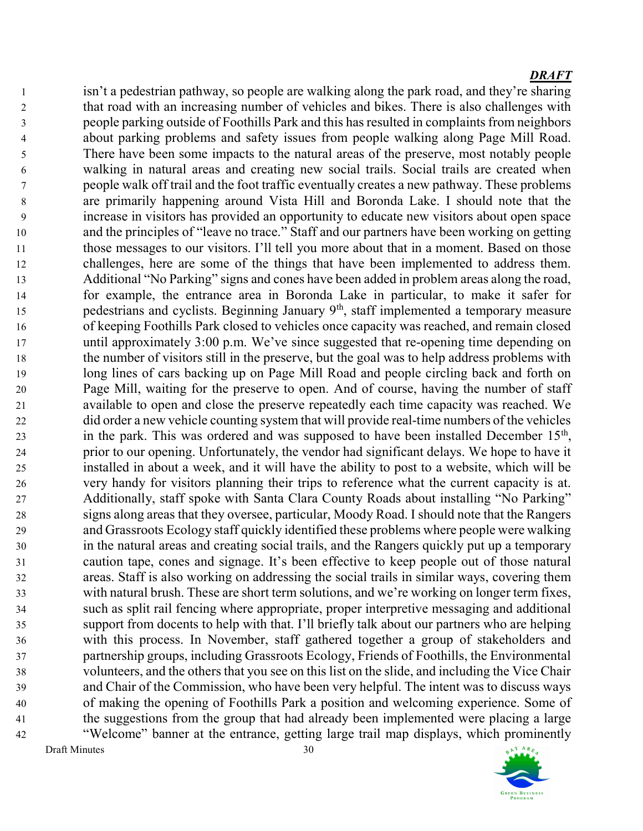Draft Minutes 30 isn't a pedestrian pathway, so people are walking along the park road, and they're sharing that road with an increasing number of vehicles and bikes. There is also challenges with people parking outside of Foothills Park and this has resulted in complaints from neighbors about parking problems and safety issues from people walking along Page Mill Road. There have been some impacts to the natural areas of the preserve, most notably people walking in natural areas and creating new social trails. Social trails are created when people walk off trail and the foot traffic eventually creates a new pathway. These problems are primarily happening around Vista Hill and Boronda Lake. I should note that the increase in visitors has provided an opportunity to educate new visitors about open space and the principles of "leave no trace." Staff and our partners have been working on getting 11 those messages to our visitors. I'll tell you more about that in a moment. Based on those challenges, here are some of the things that have been implemented to address them. Additional "No Parking" signs and cones have been added in problem areas along the road, for example, the entrance area in Boronda Lake in particular, to make it safer for 15 pedestrians and cyclists. Beginning January  $9<sup>th</sup>$ , staff implemented a temporary measure of keeping Foothills Park closed to vehicles once capacity was reached, and remain closed until approximately 3:00 p.m. We've since suggested that re-opening time depending on the number of visitors still in the preserve, but the goal was to help address problems with long lines of cars backing up on Page Mill Road and people circling back and forth on Page Mill, waiting for the preserve to open. And of course, having the number of staff available to open and close the preserve repeatedly each time capacity was reached. We did order a new vehicle counting system that will provide real-time numbers of the vehicles 23 in the park. This was ordered and was supposed to have been installed December  $15<sup>th</sup>$ , prior to our opening. Unfortunately, the vendor had significant delays. We hope to have it installed in about a week, and it will have the ability to post to a website, which will be very handy for visitors planning their trips to reference what the current capacity is at. Additionally, staff spoke with Santa Clara County Roads about installing "No Parking" signs along areas that they oversee, particular, Moody Road. I should note that the Rangers and Grassroots Ecology staff quickly identified these problems where people were walking in the natural areas and creating social trails, and the Rangers quickly put up a temporary caution tape, cones and signage. It's been effective to keep people out of those natural areas. Staff is also working on addressing the social trails in similar ways, covering them with natural brush. These are short term solutions, and we're working on longer term fixes, such as split rail fencing where appropriate, proper interpretive messaging and additional support from docents to help with that. I'll briefly talk about our partners who are helping with this process. In November, staff gathered together a group of stakeholders and partnership groups, including Grassroots Ecology, Friends of Foothills, the Environmental volunteers, and the others that you see on this list on the slide, and including the Vice Chair and Chair of the Commission, who have been very helpful. The intent was to discuss ways of making the opening of Foothills Park a position and welcoming experience. Some of the suggestions from the group that had already been implemented were placing a large "Welcome" banner at the entrance, getting large trail map displays, which prominently

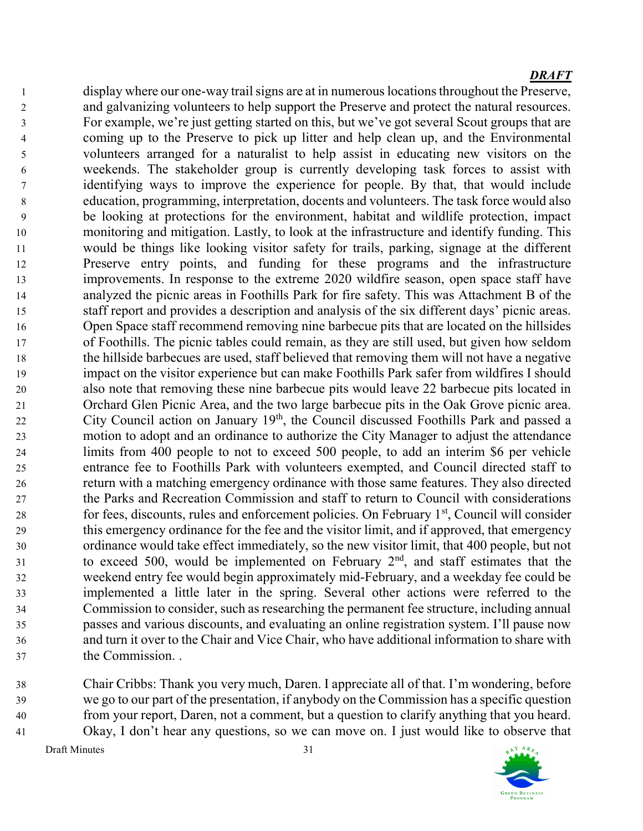display where our one-way trail signs are at in numerous locations throughout the Preserve, and galvanizing volunteers to help support the Preserve and protect the natural resources. For example, we're just getting started on this, but we've got several Scout groups that are coming up to the Preserve to pick up litter and help clean up, and the Environmental volunteers arranged for a naturalist to help assist in educating new visitors on the weekends. The stakeholder group is currently developing task forces to assist with identifying ways to improve the experience for people. By that, that would include education, programming, interpretation, docents and volunteers. The task force would also be looking at protections for the environment, habitat and wildlife protection, impact monitoring and mitigation. Lastly, to look at the infrastructure and identify funding. This would be things like looking visitor safety for trails, parking, signage at the different Preserve entry points, and funding for these programs and the infrastructure improvements. In response to the extreme 2020 wildfire season, open space staff have analyzed the picnic areas in Foothills Park for fire safety. This was Attachment B of the staff report and provides a description and analysis of the six different days' picnic areas. Open Space staff recommend removing nine barbecue pits that are located on the hillsides of Foothills. The picnic tables could remain, as they are still used, but given how seldom the hillside barbecues are used, staff believed that removing them will not have a negative impact on the visitor experience but can make Foothills Park safer from wildfires I should also note that removing these nine barbecue pits would leave 22 barbecue pits located in Orchard Glen Picnic Area, and the two large barbecue pits in the Oak Grove picnic area. 22 City Council action on January 19<sup>th</sup>, the Council discussed Foothills Park and passed a motion to adopt and an ordinance to authorize the City Manager to adjust the attendance limits from 400 people to not to exceed 500 people, to add an interim \$6 per vehicle entrance fee to Foothills Park with volunteers exempted, and Council directed staff to return with a matching emergency ordinance with those same features. They also directed the Parks and Recreation Commission and staff to return to Council with considerations  $\epsilon$  for fees, discounts, rules and enforcement policies. On February 1<sup>st</sup>, Council will consider this emergency ordinance for the fee and the visitor limit, and if approved, that emergency ordinance would take effect immediately, so the new visitor limit, that 400 people, but not to exceed 500, would be implemented on February  $2<sup>nd</sup>$ , and staff estimates that the weekend entry fee would begin approximately mid-February, and a weekday fee could be implemented a little later in the spring. Several other actions were referred to the Commission to consider, such as researching the permanent fee structure, including annual passes and various discounts, and evaluating an online registration system. I'll pause now and turn it over to the Chair and Vice Chair, who have additional information to share with the Commission. .

Chair Cribbs: Thank you very much, Daren. I appreciate all of that. I'm wondering, before we go to our part of the presentation, if anybody on the Commission has a specific question from your report, Daren, not a comment, but a question to clarify anything that you heard. Okay, I don't hear any questions, so we can move on. I just would like to observe that

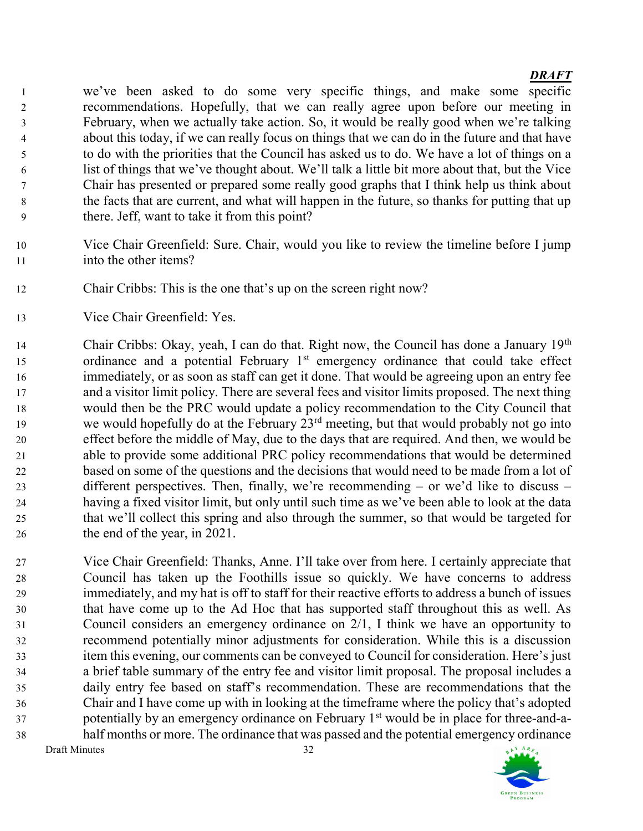we've been asked to do some very specific things, and make some specific recommendations. Hopefully, that we can really agree upon before our meeting in February, when we actually take action. So, it would be really good when we're talking about this today, if we can really focus on things that we can do in the future and that have to do with the priorities that the Council has asked us to do. We have a lot of things on a list of things that we've thought about. We'll talk a little bit more about that, but the Vice Chair has presented or prepared some really good graphs that I think help us think about the facts that are current, and what will happen in the future, so thanks for putting that up there. Jeff, want to take it from this point?

- Vice Chair Greenfield: Sure. Chair, would you like to review the timeline before I jump into the other items?
- Chair Cribbs: This is the one that's up on the screen right now?
- Vice Chair Greenfield: Yes.

14 Chair Cribbs: Okay, yeah, I can do that. Right now, the Council has done a January  $19<sup>th</sup>$ 15 ordinance and a potential February  $1<sup>st</sup>$  emergency ordinance that could take effect immediately, or as soon as staff can get it done. That would be agreeing upon an entry fee and a visitor limit policy. There are several fees and visitor limits proposed. The next thing would then be the PRC would update a policy recommendation to the City Council that we would hopefully do at the February  $23<sup>rd</sup>$  meeting, but that would probably not go into effect before the middle of May, due to the days that are required. And then, we would be able to provide some additional PRC policy recommendations that would be determined based on some of the questions and the decisions that would need to be made from a lot of different perspectives. Then, finally, we're recommending – or we'd like to discuss – having a fixed visitor limit, but only until such time as we've been able to look at the data that we'll collect this spring and also through the summer, so that would be targeted for the end of the year, in 2021.

Draft Minutes 32 Vice Chair Greenfield: Thanks, Anne. I'll take over from here. I certainly appreciate that Council has taken up the Foothills issue so quickly. We have concerns to address immediately, and my hat is off to staff for their reactive efforts to address a bunch of issues that have come up to the Ad Hoc that has supported staff throughout this as well. As Council considers an emergency ordinance on 2/1, I think we have an opportunity to recommend potentially minor adjustments for consideration. While this is a discussion item this evening, our comments can be conveyed to Council for consideration. Here's just a brief table summary of the entry fee and visitor limit proposal. The proposal includes a daily entry fee based on staff's recommendation. These are recommendations that the Chair and I have come up with in looking at the timeframe where the policy that's adopted potentially by an emergency ordinance on February  $1<sup>st</sup>$  would be in place for three-and-a-half months or more. The ordinance that was passed and the potential emergency ordinance

AY ARE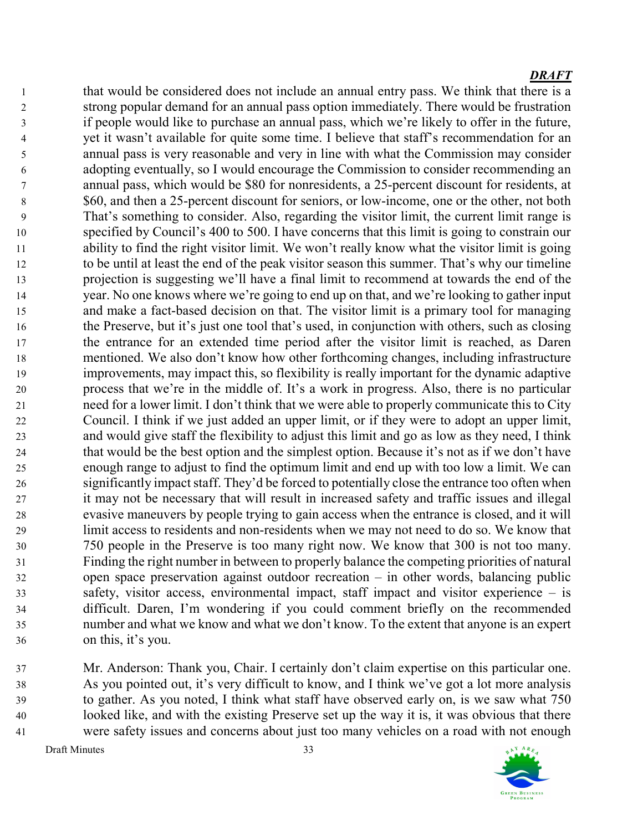that would be considered does not include an annual entry pass. We think that there is a strong popular demand for an annual pass option immediately. There would be frustration if people would like to purchase an annual pass, which we're likely to offer in the future, yet it wasn't available for quite some time. I believe that staff's recommendation for an annual pass is very reasonable and very in line with what the Commission may consider adopting eventually, so I would encourage the Commission to consider recommending an annual pass, which would be \$80 for nonresidents, a 25-percent discount for residents, at \$60, and then a 25-percent discount for seniors, or low-income, one or the other, not both That's something to consider. Also, regarding the visitor limit, the current limit range is specified by Council's 400 to 500. I have concerns that this limit is going to constrain our ability to find the right visitor limit. We won't really know what the visitor limit is going to be until at least the end of the peak visitor season this summer. That's why our timeline projection is suggesting we'll have a final limit to recommend at towards the end of the year. No one knows where we're going to end up on that, and we're looking to gather input and make a fact-based decision on that. The visitor limit is a primary tool for managing the Preserve, but it's just one tool that's used, in conjunction with others, such as closing the entrance for an extended time period after the visitor limit is reached, as Daren mentioned. We also don't know how other forthcoming changes, including infrastructure improvements, may impact this, so flexibility is really important for the dynamic adaptive process that we're in the middle of. It's a work in progress. Also, there is no particular need for a lower limit. I don't think that we were able to properly communicate this to City Council. I think if we just added an upper limit, or if they were to adopt an upper limit, and would give staff the flexibility to adjust this limit and go as low as they need, I think that would be the best option and the simplest option. Because it's not as if we don't have enough range to adjust to find the optimum limit and end up with too low a limit. We can significantly impact staff. They'd be forced to potentially close the entrance too often when it may not be necessary that will result in increased safety and traffic issues and illegal evasive maneuvers by people trying to gain access when the entrance is closed, and it will limit access to residents and non-residents when we may not need to do so. We know that 750 people in the Preserve is too many right now. We know that 300 is not too many. Finding the right number in between to properly balance the competing priorities of natural open space preservation against outdoor recreation – in other words, balancing public safety, visitor access, environmental impact, staff impact and visitor experience – is difficult. Daren, I'm wondering if you could comment briefly on the recommended number and what we know and what we don't know. To the extent that anyone is an expert on this, it's you.

Mr. Anderson: Thank you, Chair. I certainly don't claim expertise on this particular one. As you pointed out, it's very difficult to know, and I think we've got a lot more analysis to gather. As you noted, I think what staff have observed early on, is we saw what 750 looked like, and with the existing Preserve set up the way it is, it was obvious that there were safety issues and concerns about just too many vehicles on a road with not enough

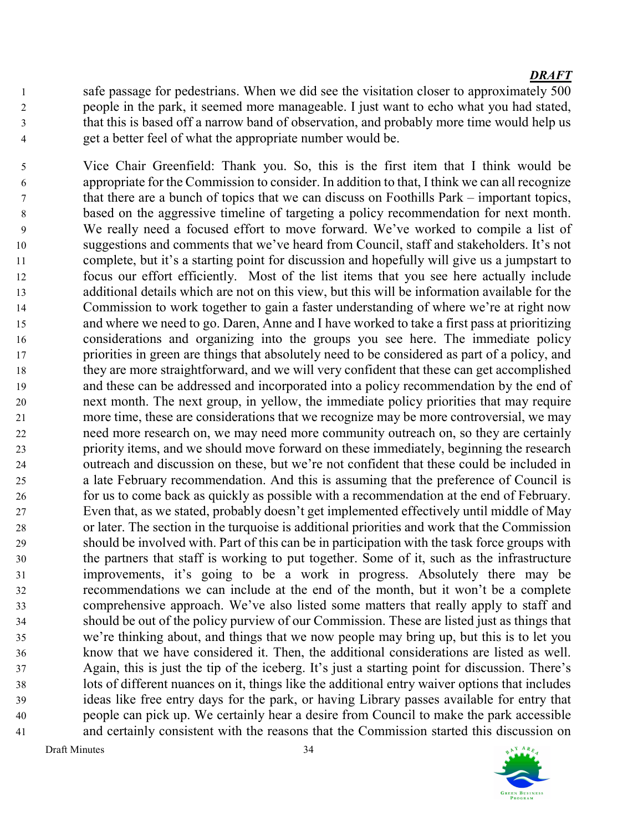safe passage for pedestrians. When we did see the visitation closer to approximately 500 people in the park, it seemed more manageable. I just want to echo what you had stated, that this is based off a narrow band of observation, and probably more time would help us get a better feel of what the appropriate number would be.

Vice Chair Greenfield: Thank you. So, this is the first item that I think would be appropriate for the Commission to consider. In addition to that, I think we can all recognize that there are a bunch of topics that we can discuss on Foothills Park – important topics, based on the aggressive timeline of targeting a policy recommendation for next month. We really need a focused effort to move forward. We've worked to compile a list of suggestions and comments that we've heard from Council, staff and stakeholders. It's not complete, but it's a starting point for discussion and hopefully will give us a jumpstart to focus our effort efficiently. Most of the list items that you see here actually include additional details which are not on this view, but this will be information available for the Commission to work together to gain a faster understanding of where we're at right now and where we need to go. Daren, Anne and I have worked to take a first pass at prioritizing considerations and organizing into the groups you see here. The immediate policy priorities in green are things that absolutely need to be considered as part of a policy, and they are more straightforward, and we will very confident that these can get accomplished and these can be addressed and incorporated into a policy recommendation by the end of next month. The next group, in yellow, the immediate policy priorities that may require more time, these are considerations that we recognize may be more controversial, we may need more research on, we may need more community outreach on, so they are certainly priority items, and we should move forward on these immediately, beginning the research outreach and discussion on these, but we're not confident that these could be included in a late February recommendation. And this is assuming that the preference of Council is for us to come back as quickly as possible with a recommendation at the end of February. Even that, as we stated, probably doesn't get implemented effectively until middle of May or later. The section in the turquoise is additional priorities and work that the Commission should be involved with. Part of this can be in participation with the task force groups with the partners that staff is working to put together. Some of it, such as the infrastructure improvements, it's going to be a work in progress. Absolutely there may be recommendations we can include at the end of the month, but it won't be a complete comprehensive approach. We've also listed some matters that really apply to staff and should be out of the policy purview of our Commission. These are listed just as things that we're thinking about, and things that we now people may bring up, but this is to let you know that we have considered it. Then, the additional considerations are listed as well. Again, this is just the tip of the iceberg. It's just a starting point for discussion. There's lots of different nuances on it, things like the additional entry waiver options that includes ideas like free entry days for the park, or having Library passes available for entry that people can pick up. We certainly hear a desire from Council to make the park accessible and certainly consistent with the reasons that the Commission started this discussion on

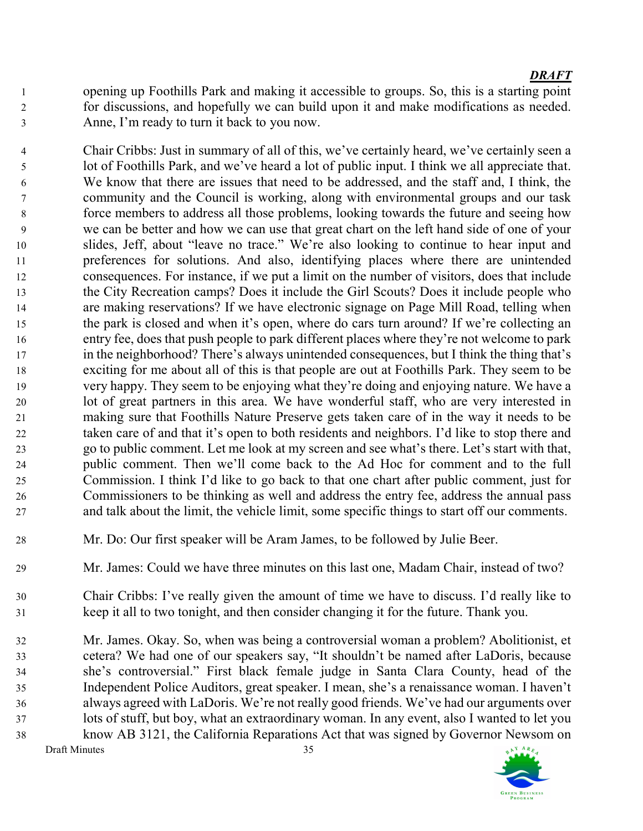opening up Foothills Park and making it accessible to groups. So, this is a starting point for discussions, and hopefully we can build upon it and make modifications as needed. Anne, I'm ready to turn it back to you now.

Chair Cribbs: Just in summary of all of this, we've certainly heard, we've certainly seen a lot of Foothills Park, and we've heard a lot of public input. I think we all appreciate that. We know that there are issues that need to be addressed, and the staff and, I think, the community and the Council is working, along with environmental groups and our task force members to address all those problems, looking towards the future and seeing how we can be better and how we can use that great chart on the left hand side of one of your slides, Jeff, about "leave no trace." We're also looking to continue to hear input and preferences for solutions. And also, identifying places where there are unintended consequences. For instance, if we put a limit on the number of visitors, does that include the City Recreation camps? Does it include the Girl Scouts? Does it include people who are making reservations? If we have electronic signage on Page Mill Road, telling when the park is closed and when it's open, where do cars turn around? If we're collecting an entry fee, does that push people to park different places where they're not welcome to park in the neighborhood? There's always unintended consequences, but I think the thing that's exciting for me about all of this is that people are out at Foothills Park. They seem to be very happy. They seem to be enjoying what they're doing and enjoying nature. We have a lot of great partners in this area. We have wonderful staff, who are very interested in making sure that Foothills Nature Preserve gets taken care of in the way it needs to be taken care of and that it's open to both residents and neighbors. I'd like to stop there and go to public comment. Let me look at my screen and see what's there. Let's start with that, public comment. Then we'll come back to the Ad Hoc for comment and to the full Commission. I think I'd like to go back to that one chart after public comment, just for Commissioners to be thinking as well and address the entry fee, address the annual pass and talk about the limit, the vehicle limit, some specific things to start off our comments.

- Mr. Do: Our first speaker will be Aram James, to be followed by Julie Beer.
- Mr. James: Could we have three minutes on this last one, Madam Chair, instead of two?
- Chair Cribbs: I've really given the amount of time we have to discuss. I'd really like to keep it all to two tonight, and then consider changing it for the future. Thank you.
- Mr. James. Okay. So, when was being a controversial woman a problem? Abolitionist, et cetera? We had one of our speakers say, "It shouldn't be named after LaDoris, because she's controversial." First black female judge in Santa Clara County, head of the Independent Police Auditors, great speaker. I mean, she's a renaissance woman. I haven't always agreed with LaDoris. We're not really good friends. We've had our arguments over lots of stuff, but boy, what an extraordinary woman. In any event, also I wanted to let you know AB 3121, the California Reparations Act that was signed by Governor Newsom on

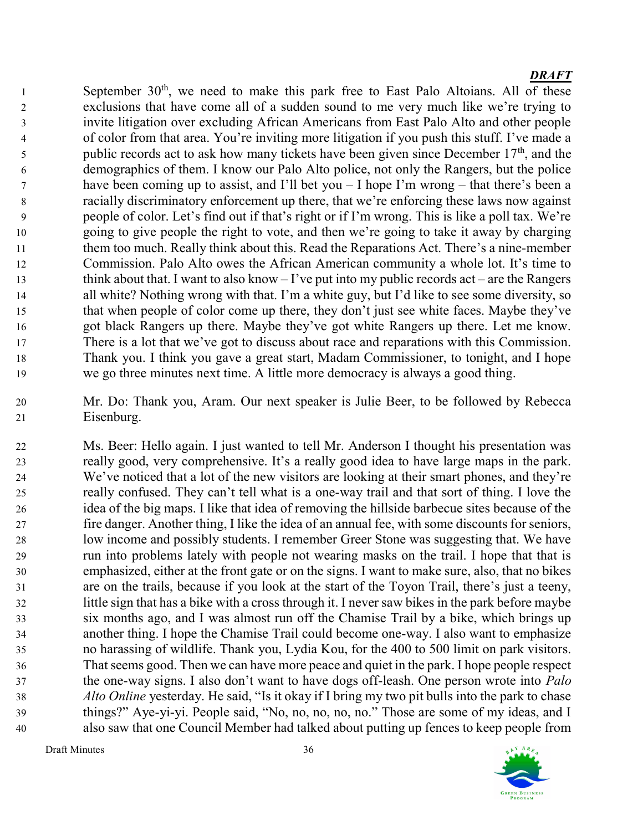1 September  $30<sup>th</sup>$ , we need to make this park free to East Palo Altoians. All of these exclusions that have come all of a sudden sound to me very much like we're trying to invite litigation over excluding African Americans from East Palo Alto and other people of color from that area. You're inviting more litigation if you push this stuff. I've made a public records act to ask how many tickets have been given since December  $17<sup>th</sup>$ , and the demographics of them. I know our Palo Alto police, not only the Rangers, but the police have been coming up to assist, and I'll bet you – I hope I'm wrong – that there's been a racially discriminatory enforcement up there, that we're enforcing these laws now against people of color. Let's find out if that's right or if I'm wrong. This is like a poll tax. We're going to give people the right to vote, and then we're going to take it away by charging them too much. Really think about this. Read the Reparations Act. There's a nine-member Commission. Palo Alto owes the African American community a whole lot. It's time to think about that. I want to also know – I've put into my public records act – are the Rangers all white? Nothing wrong with that. I'm a white guy, but I'd like to see some diversity, so that when people of color come up there, they don't just see white faces. Maybe they've got black Rangers up there. Maybe they've got white Rangers up there. Let me know. There is a lot that we've got to discuss about race and reparations with this Commission. Thank you. I think you gave a great start, Madam Commissioner, to tonight, and I hope we go three minutes next time. A little more democracy is always a good thing.

Mr. Do: Thank you, Aram. Our next speaker is Julie Beer, to be followed by Rebecca Eisenburg.

Ms. Beer: Hello again. I just wanted to tell Mr. Anderson I thought his presentation was really good, very comprehensive. It's a really good idea to have large maps in the park. We've noticed that a lot of the new visitors are looking at their smart phones, and they're really confused. They can't tell what is a one-way trail and that sort of thing. I love the idea of the big maps. I like that idea of removing the hillside barbecue sites because of the fire danger. Another thing, I like the idea of an annual fee, with some discounts for seniors, low income and possibly students. I remember Greer Stone was suggesting that. We have run into problems lately with people not wearing masks on the trail. I hope that that is emphasized, either at the front gate or on the signs. I want to make sure, also, that no bikes are on the trails, because if you look at the start of the Toyon Trail, there's just a teeny, little sign that has a bike with a cross through it. I never saw bikes in the park before maybe six months ago, and I was almost run off the Chamise Trail by a bike, which brings up another thing. I hope the Chamise Trail could become one-way. I also want to emphasize no harassing of wildlife. Thank you, Lydia Kou, for the 400 to 500 limit on park visitors. That seems good. Then we can have more peace and quiet in the park. I hope people respect 37 the one-way signs. I also don't want to have dogs off-leash. One person wrote into *Palo* 38 Alto Online yesterday. He said, "Is it okay if I bring my two pit bulls into the park to chase things?" Aye-yi-yi. People said, "No, no, no, no, no." Those are some of my ideas, and I also saw that one Council Member had talked about putting up fences to keep people from

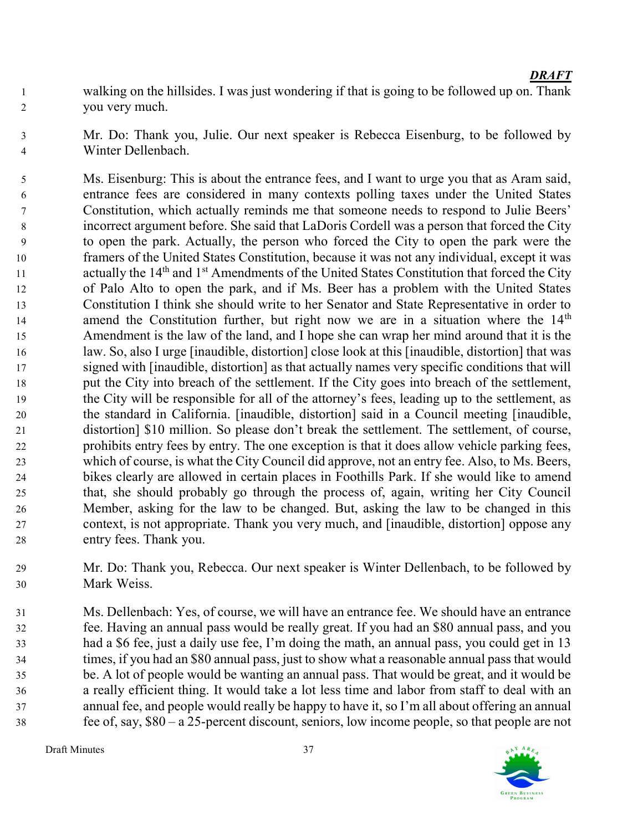- walking on the hillsides. I was just wondering if that is going to be followed up on. Thank you very much.
- Mr. Do: Thank you, Julie. Our next speaker is Rebecca Eisenburg, to be followed by Winter Dellenbach.

Ms. Eisenburg: This is about the entrance fees, and I want to urge you that as Aram said, entrance fees are considered in many contexts polling taxes under the United States Constitution, which actually reminds me that someone needs to respond to Julie Beers' incorrect argument before. She said that LaDoris Cordell was a person that forced the City to open the park. Actually, the person who forced the City to open the park were the framers of the United States Constitution, because it was not any individual, except it was 11 actually the  $14<sup>th</sup>$  and  $1<sup>st</sup>$  Amendments of the United States Constitution that forced the City of Palo Alto to open the park, and if Ms. Beer has a problem with the United States Constitution I think she should write to her Senator and State Representative in order to 14 amend the Constitution further, but right now we are in a situation where the  $14<sup>th</sup>$ Amendment is the law of the land, and I hope she can wrap her mind around that it is the law. So, also I urge [inaudible, distortion] close look at this [inaudible, distortion] that was signed with [inaudible, distortion] as that actually names very specific conditions that will put the City into breach of the settlement. If the City goes into breach of the settlement, the City will be responsible for all of the attorney's fees, leading up to the settlement, as the standard in California. [inaudible, distortion] said in a Council meeting [inaudible, distortion] \$10 million. So please don't break the settlement. The settlement, of course, prohibits entry fees by entry. The one exception is that it does allow vehicle parking fees, which of course, is what the City Council did approve, not an entry fee. Also, to Ms. Beers, bikes clearly are allowed in certain places in Foothills Park. If she would like to amend that, she should probably go through the process of, again, writing her City Council Member, asking for the law to be changed. But, asking the law to be changed in this context, is not appropriate. Thank you very much, and [inaudible, distortion] oppose any entry fees. Thank you.

- Mr. Do: Thank you, Rebecca. Our next speaker is Winter Dellenbach, to be followed by Mark Weiss.
- Ms. Dellenbach: Yes, of course, we will have an entrance fee. We should have an entrance fee. Having an annual pass would be really great. If you had an \$80 annual pass, and you had a \$6 fee, just a daily use fee, I'm doing the math, an annual pass, you could get in 13 times, if you had an \$80 annual pass, just to show what a reasonable annual pass that would be. A lot of people would be wanting an annual pass. That would be great, and it would be a really efficient thing. It would take a lot less time and labor from staff to deal with an annual fee, and people would really be happy to have it, so I'm all about offering an annual fee of, say, \$80 – a 25-percent discount, seniors, low income people, so that people are not

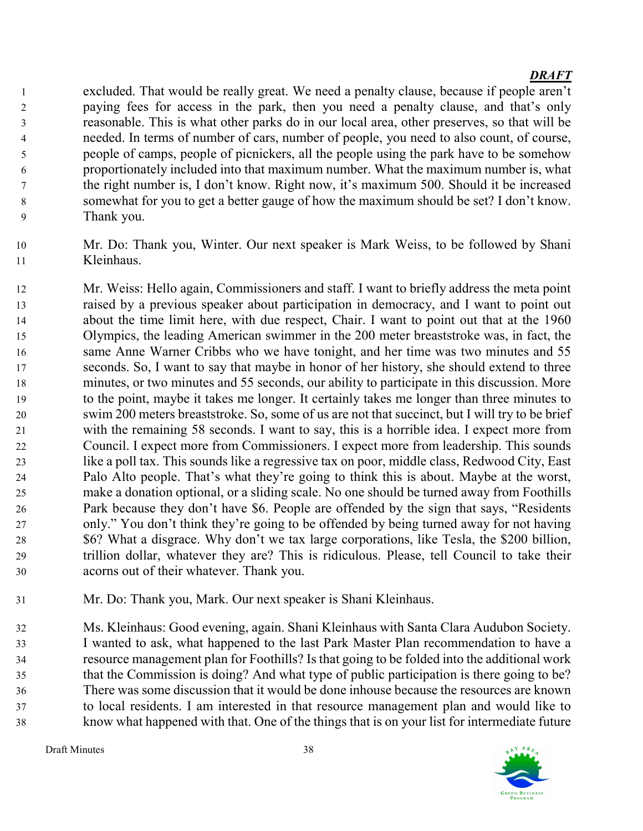excluded. That would be really great. We need a penalty clause, because if people aren't paying fees for access in the park, then you need a penalty clause, and that's only reasonable. This is what other parks do in our local area, other preserves, so that will be needed. In terms of number of cars, number of people, you need to also count, of course, people of camps, people of picnickers, all the people using the park have to be somehow proportionately included into that maximum number. What the maximum number is, what the right number is, I don't know. Right now, it's maximum 500. Should it be increased somewhat for you to get a better gauge of how the maximum should be set? I don't know. Thank you.

- Mr. Do: Thank you, Winter. Our next speaker is Mark Weiss, to be followed by Shani Kleinhaus.
- Mr. Weiss: Hello again, Commissioners and staff. I want to briefly address the meta point raised by a previous speaker about participation in democracy, and I want to point out about the time limit here, with due respect, Chair. I want to point out that at the 1960 Olympics, the leading American swimmer in the 200 meter breaststroke was, in fact, the same Anne Warner Cribbs who we have tonight, and her time was two minutes and 55 seconds. So, I want to say that maybe in honor of her history, she should extend to three minutes, or two minutes and 55 seconds, our ability to participate in this discussion. More to the point, maybe it takes me longer. It certainly takes me longer than three minutes to swim 200 meters breaststroke. So, some of us are not that succinct, but I will try to be brief with the remaining 58 seconds. I want to say, this is a horrible idea. I expect more from Council. I expect more from Commissioners. I expect more from leadership. This sounds like a poll tax. This sounds like a regressive tax on poor, middle class, Redwood City, East Palo Alto people. That's what they're going to think this is about. Maybe at the worst, make a donation optional, or a sliding scale. No one should be turned away from Foothills Park because they don't have \$6. People are offended by the sign that says, "Residents only." You don't think they're going to be offended by being turned away for not having \$6? What a disgrace. Why don't we tax large corporations, like Tesla, the \$200 billion, trillion dollar, whatever they are? This is ridiculous. Please, tell Council to take their acorns out of their whatever. Thank you.
- Mr. Do: Thank you, Mark. Our next speaker is Shani Kleinhaus.

Ms. Kleinhaus: Good evening, again. Shani Kleinhaus with Santa Clara Audubon Society. I wanted to ask, what happened to the last Park Master Plan recommendation to have a resource management plan for Foothills? Is that going to be folded into the additional work that the Commission is doing? And what type of public participation is there going to be? There was some discussion that it would be done inhouse because the resources are known to local residents. I am interested in that resource management plan and would like to know what happened with that. One of the things that is on your list for intermediate future

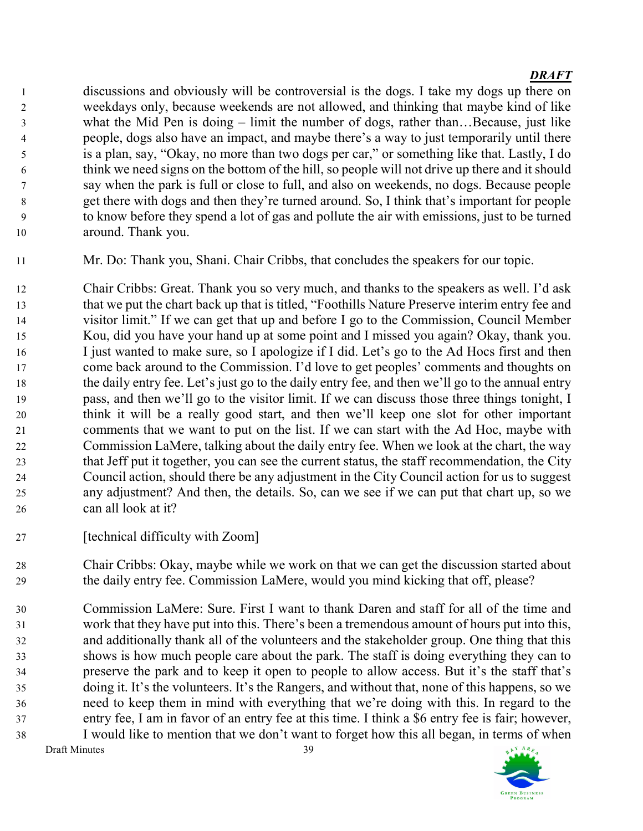discussions and obviously will be controversial is the dogs. I take my dogs up there on weekdays only, because weekends are not allowed, and thinking that maybe kind of like what the Mid Pen is doing – limit the number of dogs, rather than…Because, just like people, dogs also have an impact, and maybe there's a way to just temporarily until there is a plan, say, "Okay, no more than two dogs per car," or something like that. Lastly, I do think we need signs on the bottom of the hill, so people will not drive up there and it should say when the park is full or close to full, and also on weekends, no dogs. Because people get there with dogs and then they're turned around. So, I think that's important for people to know before they spend a lot of gas and pollute the air with emissions, just to be turned around. Thank you.

Mr. Do: Thank you, Shani. Chair Cribbs, that concludes the speakers for our topic.

Chair Cribbs: Great. Thank you so very much, and thanks to the speakers as well. I'd ask that we put the chart back up that is titled, "Foothills Nature Preserve interim entry fee and visitor limit." If we can get that up and before I go to the Commission, Council Member Kou, did you have your hand up at some point and I missed you again? Okay, thank you. I just wanted to make sure, so I apologize if I did. Let's go to the Ad Hocs first and then come back around to the Commission. I'd love to get peoples' comments and thoughts on the daily entry fee. Let's just go to the daily entry fee, and then we'll go to the annual entry pass, and then we'll go to the visitor limit. If we can discuss those three things tonight, I think it will be a really good start, and then we'll keep one slot for other important comments that we want to put on the list. If we can start with the Ad Hoc, maybe with Commission LaMere, talking about the daily entry fee. When we look at the chart, the way that Jeff put it together, you can see the current status, the staff recommendation, the City Council action, should there be any adjustment in the City Council action for us to suggest any adjustment? And then, the details. So, can we see if we can put that chart up, so we can all look at it?

27 [technical difficulty with Zoom]

Chair Cribbs: Okay, maybe while we work on that we can get the discussion started about the daily entry fee. Commission LaMere, would you mind kicking that off, please?

Draft Minutes 39 Commission LaMere: Sure. First I want to thank Daren and staff for all of the time and work that they have put into this. There's been a tremendous amount of hours put into this, and additionally thank all of the volunteers and the stakeholder group. One thing that this shows is how much people care about the park. The staff is doing everything they can to preserve the park and to keep it open to people to allow access. But it's the staff that's doing it. It's the volunteers. It's the Rangers, and without that, none of this happens, so we need to keep them in mind with everything that we're doing with this. In regard to the entry fee, I am in favor of an entry fee at this time. I think a \$6 entry fee is fair; however, I would like to mention that we don't want to forget how this all began, in terms of when

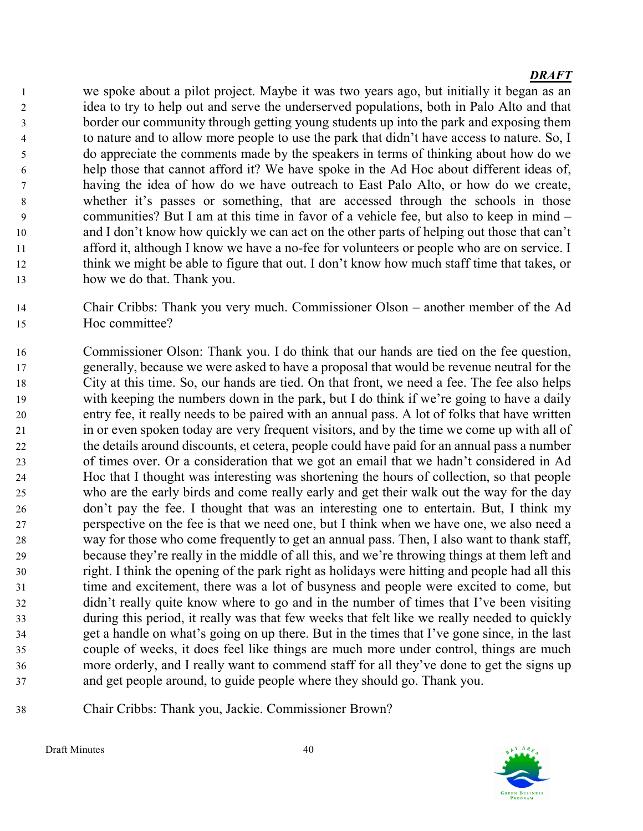we spoke about a pilot project. Maybe it was two years ago, but initially it began as an idea to try to help out and serve the underserved populations, both in Palo Alto and that border our community through getting young students up into the park and exposing them 4 to nature and to allow more people to use the park that didn't have access to nature. So, I do appreciate the comments made by the speakers in terms of thinking about how do we help those that cannot afford it? We have spoke in the Ad Hoc about different ideas of, having the idea of how do we have outreach to East Palo Alto, or how do we create, whether it's passes or something, that are accessed through the schools in those communities? But I am at this time in favor of a vehicle fee, but also to keep in mind – and I don't know how quickly we can act on the other parts of helping out those that can't afford it, although I know we have a no-fee for volunteers or people who are on service. I think we might be able to figure that out. I don't know how much staff time that takes, or how we do that. Thank you.

- Chair Cribbs: Thank you very much. Commissioner Olson another member of the Ad Hoc committee?
- Commissioner Olson: Thank you. I do think that our hands are tied on the fee question, generally, because we were asked to have a proposal that would be revenue neutral for the City at this time. So, our hands are tied. On that front, we need a fee. The fee also helps with keeping the numbers down in the park, but I do think if we're going to have a daily entry fee, it really needs to be paired with an annual pass. A lot of folks that have written in or even spoken today are very frequent visitors, and by the time we come up with all of the details around discounts, et cetera, people could have paid for an annual pass a number of times over. Or a consideration that we got an email that we hadn't considered in Ad Hoc that I thought was interesting was shortening the hours of collection, so that people who are the early birds and come really early and get their walk out the way for the day don't pay the fee. I thought that was an interesting one to entertain. But, I think my perspective on the fee is that we need one, but I think when we have one, we also need a way for those who come frequently to get an annual pass. Then, I also want to thank staff, because they're really in the middle of all this, and we're throwing things at them left and right. I think the opening of the park right as holidays were hitting and people had all this time and excitement, there was a lot of busyness and people were excited to come, but didn't really quite know where to go and in the number of times that I've been visiting during this period, it really was that few weeks that felt like we really needed to quickly get a handle on what's going on up there. But in the times that I've gone since, in the last couple of weeks, it does feel like things are much more under control, things are much more orderly, and I really want to commend staff for all they've done to get the signs up and get people around, to guide people where they should go. Thank you.
- 

Chair Cribbs: Thank you, Jackie. Commissioner Brown?

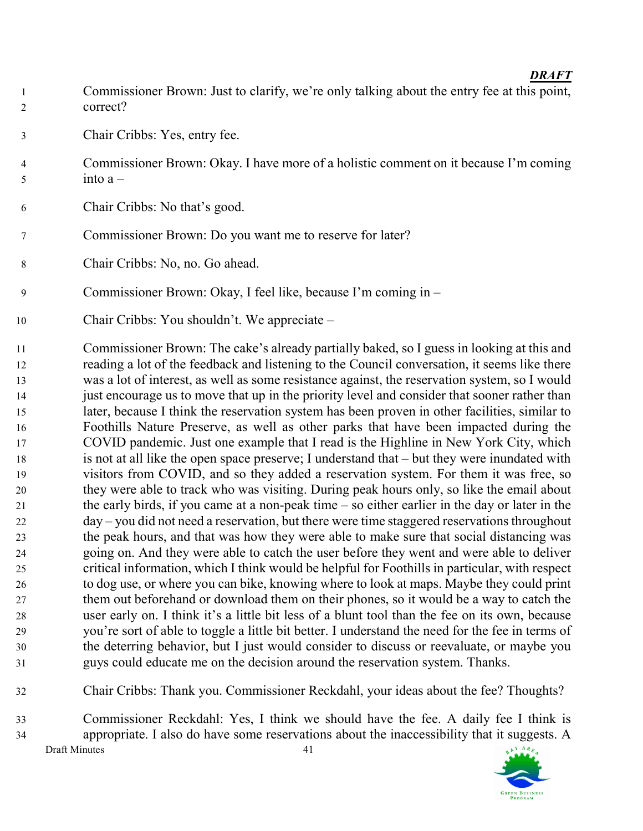- Commissioner Brown: Just to clarify, we're only talking about the entry fee at this point, correct?
- Chair Cribbs: Yes, entry fee.
- Commissioner Brown: Okay. I have more of a holistic comment on it because I'm coming  $5 \quad \text{into } a -$
- Chair Cribbs: No that's good.
- Commissioner Brown: Do you want me to reserve for later?
- Chair Cribbs: No, no. Go ahead.
- Commissioner Brown: Okay, I feel like, because I'm coming in –
- Chair Cribbs: You shouldn't. We appreciate –
- Commissioner Brown: The cake's already partially baked, so I guess in looking at this and reading a lot of the feedback and listening to the Council conversation, it seems like there was a lot of interest, as well as some resistance against, the reservation system, so I would just encourage us to move that up in the priority level and consider that sooner rather than later, because I think the reservation system has been proven in other facilities, similar to Foothills Nature Preserve, as well as other parks that have been impacted during the COVID pandemic. Just one example that I read is the Highline in New York City, which is not at all like the open space preserve; I understand that – but they were inundated with visitors from COVID, and so they added a reservation system. For them it was free, so they were able to track who was visiting. During peak hours only, so like the email about the early birds, if you came at a non-peak time – so either earlier in the day or later in the day – you did not need a reservation, but there were time staggered reservations throughout the peak hours, and that was how they were able to make sure that social distancing was going on. And they were able to catch the user before they went and were able to deliver critical information, which I think would be helpful for Foothills in particular, with respect to dog use, or where you can bike, knowing where to look at maps. Maybe they could print them out beforehand or download them on their phones, so it would be a way to catch the user early on. I think it's a little bit less of a blunt tool than the fee on its own, because you're sort of able to toggle a little bit better. I understand the need for the fee in terms of the deterring behavior, but I just would consider to discuss or reevaluate, or maybe you guys could educate me on the decision around the reservation system. Thanks.
- Chair Cribbs: Thank you. Commissioner Reckdahl, your ideas about the fee? Thoughts?
- Draft Minutes 41 Commissioner Reckdahl: Yes, I think we should have the fee. A daily fee I think is appropriate. I also do have some reservations about the inaccessibility that it suggests. A

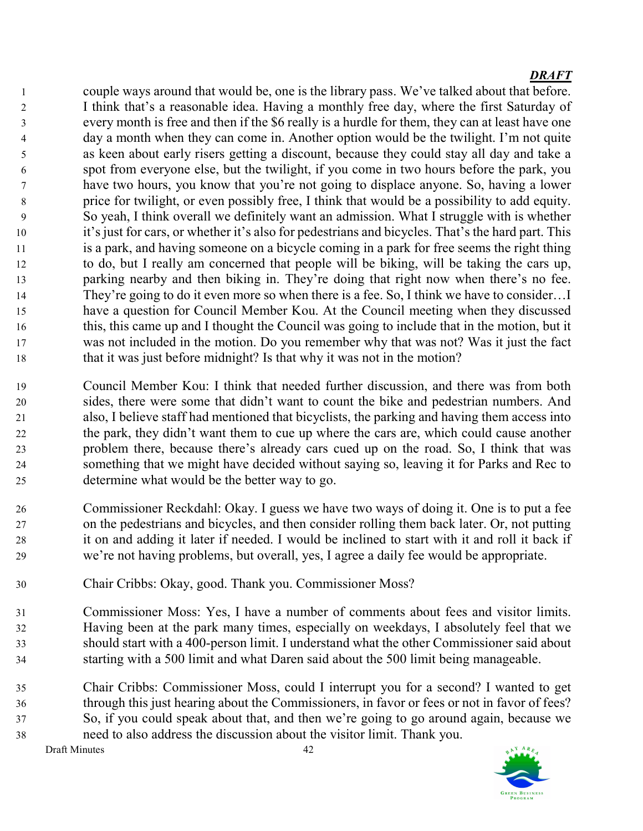couple ways around that would be, one is the library pass. We've talked about that before. I think that's a reasonable idea. Having a monthly free day, where the first Saturday of every month is free and then if the \$6 really is a hurdle for them, they can at least have one day a month when they can come in. Another option would be the twilight. I'm not quite as keen about early risers getting a discount, because they could stay all day and take a spot from everyone else, but the twilight, if you come in two hours before the park, you have two hours, you know that you're not going to displace anyone. So, having a lower price for twilight, or even possibly free, I think that would be a possibility to add equity. So yeah, I think overall we definitely want an admission. What I struggle with is whether it's just for cars, or whether it's also for pedestrians and bicycles. That's the hard part. This is a park, and having someone on a bicycle coming in a park for free seems the right thing to do, but I really am concerned that people will be biking, will be taking the cars up, parking nearby and then biking in. They're doing that right now when there's no fee. They're going to do it even more so when there is a fee. So, I think we have to consider…I have a question for Council Member Kou. At the Council meeting when they discussed this, this came up and I thought the Council was going to include that in the motion, but it was not included in the motion. Do you remember why that was not? Was it just the fact 18 that it was just before midnight? Is that why it was not in the motion?

- Council Member Kou: I think that needed further discussion, and there was from both sides, there were some that didn't want to count the bike and pedestrian numbers. And also, I believe staff had mentioned that bicyclists, the parking and having them access into the park, they didn't want them to cue up where the cars are, which could cause another problem there, because there's already cars cued up on the road. So, I think that was something that we might have decided without saying so, leaving it for Parks and Rec to determine what would be the better way to go.
- Commissioner Reckdahl: Okay. I guess we have two ways of doing it. One is to put a fee on the pedestrians and bicycles, and then consider rolling them back later. Or, not putting it on and adding it later if needed. I would be inclined to start with it and roll it back if we're not having problems, but overall, yes, I agree a daily fee would be appropriate.
- Chair Cribbs: Okay, good. Thank you. Commissioner Moss?
- Commissioner Moss: Yes, I have a number of comments about fees and visitor limits. Having been at the park many times, especially on weekdays, I absolutely feel that we should start with a 400-person limit. I understand what the other Commissioner said about starting with a 500 limit and what Daren said about the 500 limit being manageable.
- Chair Cribbs: Commissioner Moss, could I interrupt you for a second? I wanted to get through this just hearing about the Commissioners, in favor or fees or not in favor of fees? So, if you could speak about that, and then we're going to go around again, because we need to also address the discussion about the visitor limit. Thank you.

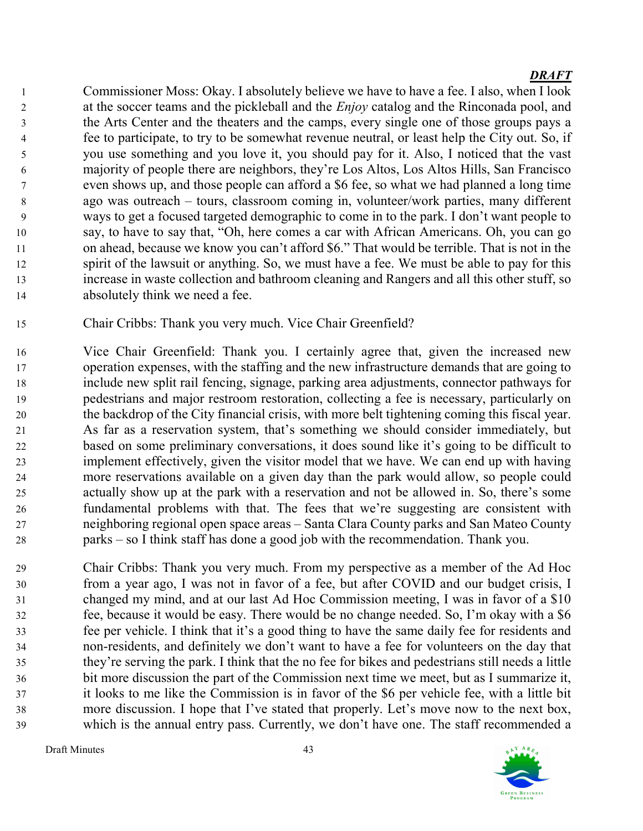Commissioner Moss: Okay. I absolutely believe we have to have a fee. I also, when I look 2 at the soccer teams and the pickleball and the *Enjoy* catalog and the Rinconada pool, and the Arts Center and the theaters and the camps, every single one of those groups pays a fee to participate, to try to be somewhat revenue neutral, or least help the City out. So, if you use something and you love it, you should pay for it. Also, I noticed that the vast majority of people there are neighbors, they're Los Altos, Los Altos Hills, San Francisco even shows up, and those people can afford a \$6 fee, so what we had planned a long time ago was outreach – tours, classroom coming in, volunteer/work parties, many different ways to get a focused targeted demographic to come in to the park. I don't want people to say, to have to say that, "Oh, here comes a car with African Americans. Oh, you can go 11 on ahead, because we know you can't afford \$6." That would be terrible. That is not in the spirit of the lawsuit or anything. So, we must have a fee. We must be able to pay for this increase in waste collection and bathroom cleaning and Rangers and all this other stuff, so absolutely think we need a fee.

- Chair Cribbs: Thank you very much. Vice Chair Greenfield?
- Vice Chair Greenfield: Thank you. I certainly agree that, given the increased new operation expenses, with the staffing and the new infrastructure demands that are going to include new split rail fencing, signage, parking area adjustments, connector pathways for pedestrians and major restroom restoration, collecting a fee is necessary, particularly on the backdrop of the City financial crisis, with more belt tightening coming this fiscal year. As far as a reservation system, that's something we should consider immediately, but based on some preliminary conversations, it does sound like it's going to be difficult to implement effectively, given the visitor model that we have. We can end up with having more reservations available on a given day than the park would allow, so people could actually show up at the park with a reservation and not be allowed in. So, there's some fundamental problems with that. The fees that we're suggesting are consistent with neighboring regional open space areas – Santa Clara County parks and San Mateo County parks – so I think staff has done a good job with the recommendation. Thank you.
- Chair Cribbs: Thank you very much. From my perspective as a member of the Ad Hoc from a year ago, I was not in favor of a fee, but after COVID and our budget crisis, I changed my mind, and at our last Ad Hoc Commission meeting, I was in favor of a \$10 fee, because it would be easy. There would be no change needed. So, I'm okay with a \$6 fee per vehicle. I think that it's a good thing to have the same daily fee for residents and non-residents, and definitely we don't want to have a fee for volunteers on the day that they're serving the park. I think that the no fee for bikes and pedestrians still needs a little bit more discussion the part of the Commission next time we meet, but as I summarize it, it looks to me like the Commission is in favor of the \$6 per vehicle fee, with a little bit more discussion. I hope that I've stated that properly. Let's move now to the next box, which is the annual entry pass. Currently, we don't have one. The staff recommended a

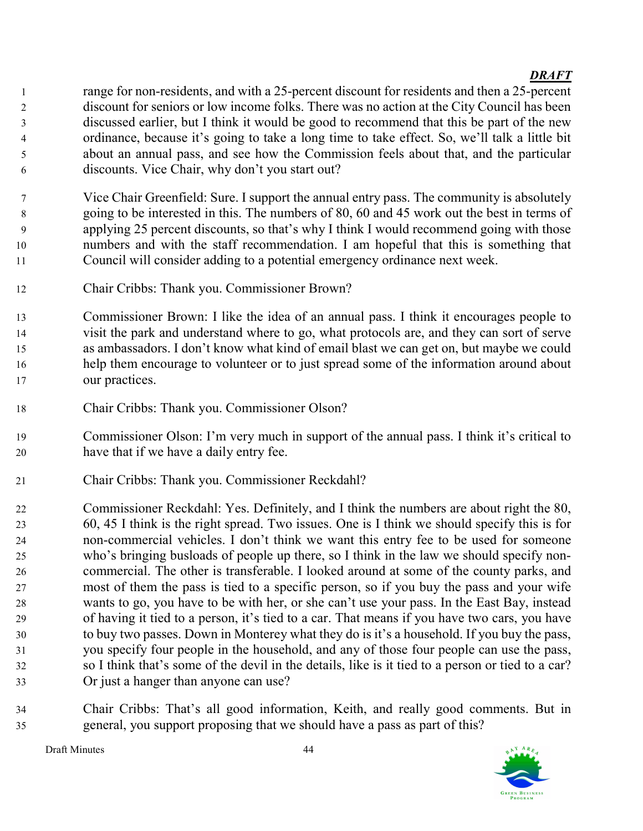1 range for non-residents, and with a 25-percent discount for residents and then a 25-percent discount for seniors or low income folks. There was no action at the City Council has been discussed earlier, but I think it would be good to recommend that this be part of the new ordinance, because it's going to take a long time to take effect. So, we'll talk a little bit about an annual pass, and see how the Commission feels about that, and the particular discounts. Vice Chair, why don't you start out?

- Vice Chair Greenfield: Sure. I support the annual entry pass. The community is absolutely going to be interested in this. The numbers of 80, 60 and 45 work out the best in terms of applying 25 percent discounts, so that's why I think I would recommend going with those numbers and with the staff recommendation. I am hopeful that this is something that Council will consider adding to a potential emergency ordinance next week.
- Chair Cribbs: Thank you. Commissioner Brown?
- Commissioner Brown: I like the idea of an annual pass. I think it encourages people to visit the park and understand where to go, what protocols are, and they can sort of serve as ambassadors. I don't know what kind of email blast we can get on, but maybe we could help them encourage to volunteer or to just spread some of the information around about our practices.
- Chair Cribbs: Thank you. Commissioner Olson?
- Commissioner Olson: I'm very much in support of the annual pass. I think it's critical to have that if we have a daily entry fee.
- Chair Cribbs: Thank you. Commissioner Reckdahl?

Commissioner Reckdahl: Yes. Definitely, and I think the numbers are about right the 80, 60, 45 I think is the right spread. Two issues. One is I think we should specify this is for non-commercial vehicles. I don't think we want this entry fee to be used for someone who's bringing busloads of people up there, so I think in the law we should specify non-commercial. The other is transferable. I looked around at some of the county parks, and most of them the pass is tied to a specific person, so if you buy the pass and your wife wants to go, you have to be with her, or she can't use your pass. In the East Bay, instead of having it tied to a person, it's tied to a car. That means if you have two cars, you have to buy two passes. Down in Monterey what they do is it's a household. If you buy the pass, you specify four people in the household, and any of those four people can use the pass, so I think that's some of the devil in the details, like is it tied to a person or tied to a car? Or just a hanger than anyone can use?

Chair Cribbs: That's all good information, Keith, and really good comments. But in general, you support proposing that we should have a pass as part of this?

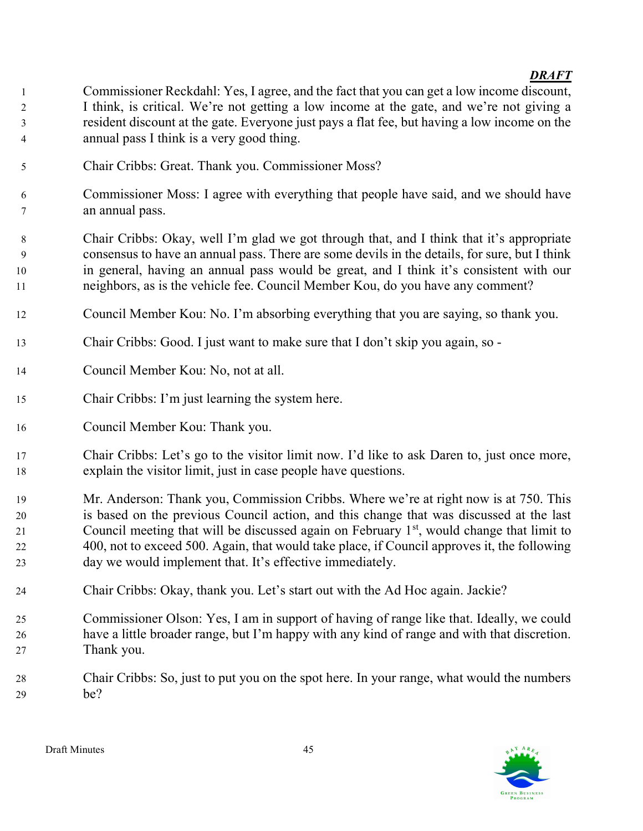- Commissioner Reckdahl: Yes, I agree, and the fact that you can get a low income discount, I think, is critical. We're not getting a low income at the gate, and we're not giving a resident discount at the gate. Everyone just pays a flat fee, but having a low income on the annual pass I think is a very good thing.
- Chair Cribbs: Great. Thank you. Commissioner Moss?
- Commissioner Moss: I agree with everything that people have said, and we should have an annual pass.
- Chair Cribbs: Okay, well I'm glad we got through that, and I think that it's appropriate consensus to have an annual pass. There are some devils in the details, for sure, but I think in general, having an annual pass would be great, and I think it's consistent with our neighbors, as is the vehicle fee. Council Member Kou, do you have any comment?
- Council Member Kou: No. I'm absorbing everything that you are saying, so thank you.
- Chair Cribbs: Good. I just want to make sure that I don't skip you again, so -
- Council Member Kou: No, not at all.
- Chair Cribbs: I'm just learning the system here.
- Council Member Kou: Thank you.
- Chair Cribbs: Let's go to the visitor limit now. I'd like to ask Daren to, just once more, explain the visitor limit, just in case people have questions.
- Mr. Anderson: Thank you, Commission Cribbs. Where we're at right now is at 750. This is based on the previous Council action, and this change that was discussed at the last 21 Council meeting that will be discussed again on February  $1<sup>st</sup>$ , would change that limit to 400, not to exceed 500. Again, that would take place, if Council approves it, the following day we would implement that. It's effective immediately.
- Chair Cribbs: Okay, thank you. Let's start out with the Ad Hoc again. Jackie?
- Commissioner Olson: Yes, I am in support of having of range like that. Ideally, we could have a little broader range, but I'm happy with any kind of range and with that discretion. Thank you.
- Chair Cribbs: So, just to put you on the spot here. In your range, what would the numbers be?

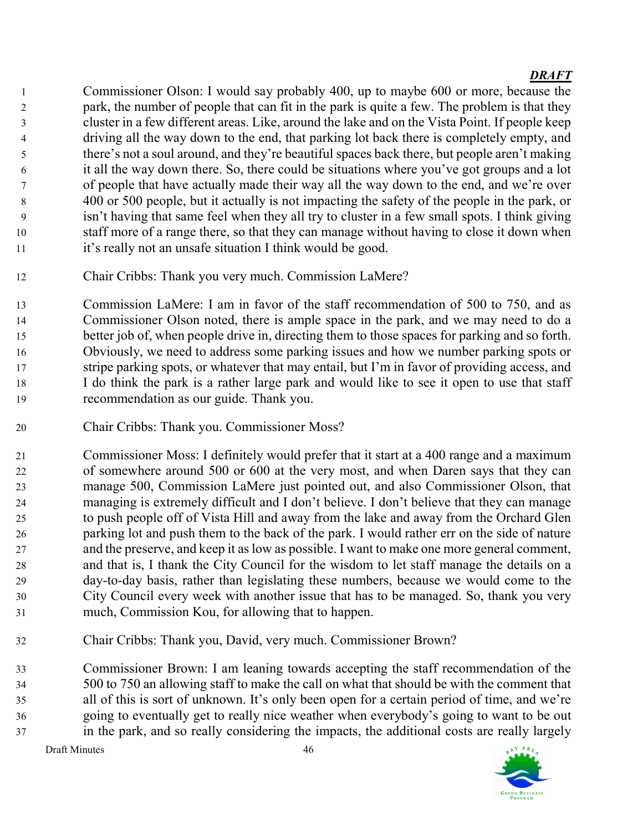Commissioner Olson: I would say probably 400, up to maybe 600 or more, because the park, the number of people that can fit in the park is quite a few. The problem is that they cluster in a few different areas. Like, around the lake and on the Vista Point. If people keep driving all the way down to the end, that parking lot back there is completely empty, and there's not a soul around, and they're beautiful spaces back there, but people aren't making it all the way down there. So, there could be situations where you've got groups and a lot of people that have actually made their way all the way down to the end, and we're over 400 or 500 people, but it actually is not impacting the safety of the people in the park, or isn't having that same feel when they all try to cluster in a few small spots. I think giving staff more of a range there, so that they can manage without having to close it down when 11 it's really not an unsafe situation I think would be good.

Chair Cribbs: Thank you very much. Commission LaMere?

Commission LaMere: I am in favor of the staff recommendation of 500 to 750, and as Commissioner Olson noted, there is ample space in the park, and we may need to do a better job of, when people drive in, directing them to those spaces for parking and so forth. Obviously, we need to address some parking issues and how we number parking spots or stripe parking spots, or whatever that may entail, but I'm in favor of providing access, and I do think the park is a rather large park and would like to see it open to use that staff recommendation as our guide. Thank you.

Chair Cribbs: Thank you. Commissioner Moss?

Commissioner Moss: I definitely would prefer that it start at a 400 range and a maximum of somewhere around 500 or 600 at the very most, and when Daren says that they can manage 500, Commission LaMere just pointed out, and also Commissioner Olson, that managing is extremely difficult and I don't believe. I don't believe that they can manage to push people off of Vista Hill and away from the lake and away from the Orchard Glen parking lot and push them to the back of the park. I would rather err on the side of nature and the preserve, and keep it as low as possible. I want to make one more general comment, and that is, I thank the City Council for the wisdom to let staff manage the details on a day-to-day basis, rather than legislating these numbers, because we would come to the City Council every week with another issue that has to be managed. So, thank you very much, Commission Kou, for allowing that to happen.

Chair Cribbs: Thank you, David, very much. Commissioner Brown?

Commissioner Brown: I am leaning towards accepting the staff recommendation of the 500 to 750 an allowing staff to make the call on what that should be with the comment that all of this is sort of unknown. It's only been open for a certain period of time, and we're going to eventually get to really nice weather when everybody's going to want to be out in the park, and so really considering the impacts, the additional costs are really largely

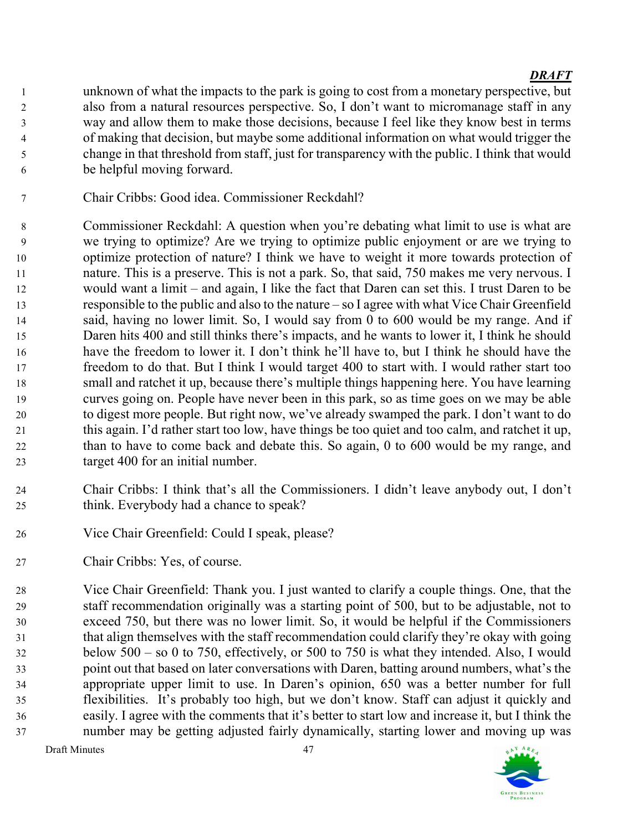unknown of what the impacts to the park is going to cost from a monetary perspective, but also from a natural resources perspective. So, I don't want to micromanage staff in any way and allow them to make those decisions, because I feel like they know best in terms of making that decision, but maybe some additional information on what would trigger the change in that threshold from staff, just for transparency with the public. I think that would be helpful moving forward.

Chair Cribbs: Good idea. Commissioner Reckdahl?

Commissioner Reckdahl: A question when you're debating what limit to use is what are we trying to optimize? Are we trying to optimize public enjoyment or are we trying to optimize protection of nature? I think we have to weight it more towards protection of nature. This is a preserve. This is not a park. So, that said, 750 makes me very nervous. I would want a limit – and again, I like the fact that Daren can set this. I trust Daren to be responsible to the public and also to the nature – so I agree with what Vice Chair Greenfield said, having no lower limit. So, I would say from 0 to 600 would be my range. And if Daren hits 400 and still thinks there's impacts, and he wants to lower it, I think he should have the freedom to lower it. I don't think he'll have to, but I think he should have the freedom to do that. But I think I would target 400 to start with. I would rather start too small and ratchet it up, because there's multiple things happening here. You have learning curves going on. People have never been in this park, so as time goes on we may be able to digest more people. But right now, we've already swamped the park. I don't want to do this again. I'd rather start too low, have things be too quiet and too calm, and ratchet it up, than to have to come back and debate this. So again, 0 to 600 would be my range, and target 400 for an initial number.

- Chair Cribbs: I think that's all the Commissioners. I didn't leave anybody out, I don't think. Everybody had a chance to speak?
- Vice Chair Greenfield: Could I speak, please?
- Chair Cribbs: Yes, of course.

Vice Chair Greenfield: Thank you. I just wanted to clarify a couple things. One, that the staff recommendation originally was a starting point of 500, but to be adjustable, not to exceed 750, but there was no lower limit. So, it would be helpful if the Commissioners that align themselves with the staff recommendation could clarify they're okay with going below 500 – so 0 to 750, effectively, or 500 to 750 is what they intended. Also, I would point out that based on later conversations with Daren, batting around numbers, what's the appropriate upper limit to use. In Daren's opinion, 650 was a better number for full flexibilities. It's probably too high, but we don't know. Staff can adjust it quickly and easily. I agree with the comments that it's better to start low and increase it, but I think the number may be getting adjusted fairly dynamically, starting lower and moving up was

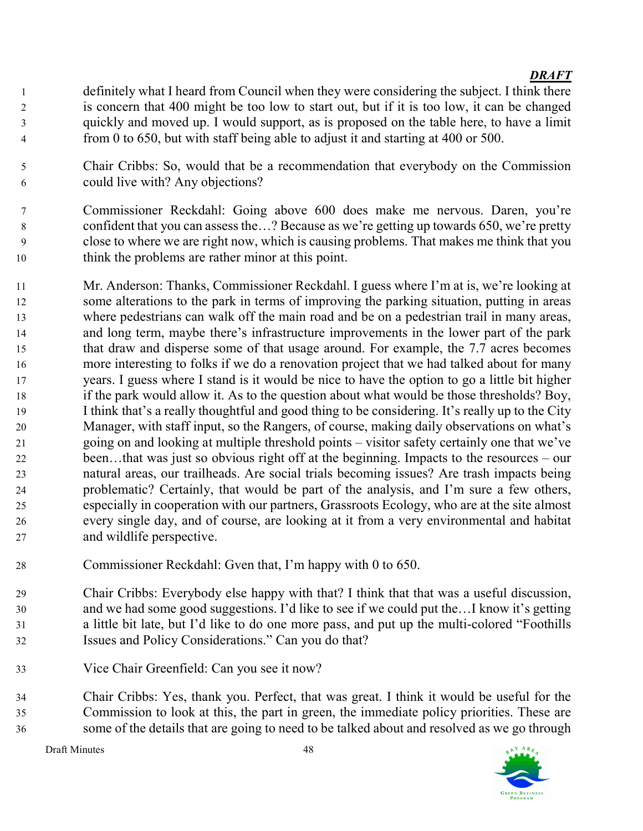- definitely what I heard from Council when they were considering the subject. I think there is concern that 400 might be too low to start out, but if it is too low, it can be changed quickly and moved up. I would support, as is proposed on the table here, to have a limit from 0 to 650, but with staff being able to adjust it and starting at 400 or 500.
- Chair Cribbs: So, would that be a recommendation that everybody on the Commission could live with? Any objections?
- Commissioner Reckdahl: Going above 600 does make me nervous. Daren, you're confident that you can assess the…? Because as we're getting up towards 650, we're pretty close to where we are right now, which is causing problems. That makes me think that you think the problems are rather minor at this point.
- Mr. Anderson: Thanks, Commissioner Reckdahl. I guess where I'm at is, we're looking at some alterations to the park in terms of improving the parking situation, putting in areas where pedestrians can walk off the main road and be on a pedestrian trail in many areas, and long term, maybe there's infrastructure improvements in the lower part of the park that draw and disperse some of that usage around. For example, the 7.7 acres becomes more interesting to folks if we do a renovation project that we had talked about for many years. I guess where I stand is it would be nice to have the option to go a little bit higher if the park would allow it. As to the question about what would be those thresholds? Boy, I think that's a really thoughtful and good thing to be considering. It's really up to the City Manager, with staff input, so the Rangers, of course, making daily observations on what's going on and looking at multiple threshold points – visitor safety certainly one that we've been…that was just so obvious right off at the beginning. Impacts to the resources – our natural areas, our trailheads. Are social trials becoming issues? Are trash impacts being problematic? Certainly, that would be part of the analysis, and I'm sure a few others, especially in cooperation with our partners, Grassroots Ecology, who are at the site almost every single day, and of course, are looking at it from a very environmental and habitat and wildlife perspective.
- Commissioner Reckdahl: Gven that, I'm happy with 0 to 650.
- Chair Cribbs: Everybody else happy with that? I think that that was a useful discussion, and we had some good suggestions. I'd like to see if we could put the…I know it's getting a little bit late, but I'd like to do one more pass, and put up the multi-colored "Foothills Issues and Policy Considerations." Can you do that?
- Vice Chair Greenfield: Can you see it now?
- Chair Cribbs: Yes, thank you. Perfect, that was great. I think it would be useful for the Commission to look at this, the part in green, the immediate policy priorities. These are some of the details that are going to need to be talked about and resolved as we go through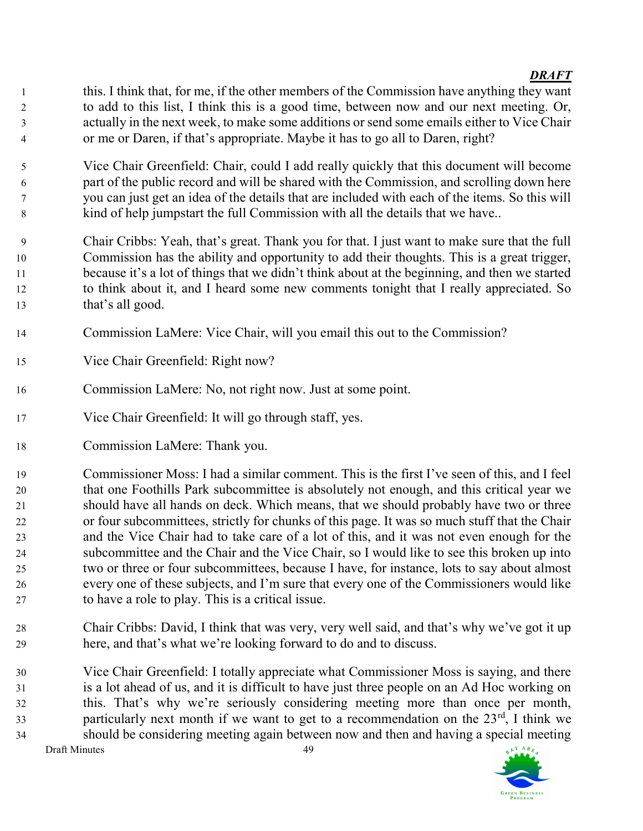- this. I think that, for me, if the other members of the Commission have anything they want to add to this list, I think this is a good time, between now and our next meeting. Or, actually in the next week, to make some additions or send some emails either to Vice Chair or me or Daren, if that's appropriate. Maybe it has to go all to Daren, right?
- Vice Chair Greenfield: Chair, could I add really quickly that this document will become part of the public record and will be shared with the Commission, and scrolling down here you can just get an idea of the details that are included with each of the items. So this will kind of help jumpstart the full Commission with all the details that we have..
- Chair Cribbs: Yeah, that's great. Thank you for that. I just want to make sure that the full Commission has the ability and opportunity to add their thoughts. This is a great trigger, because it's a lot of things that we didn't think about at the beginning, and then we started to think about it, and I heard some new comments tonight that I really appreciated. So that's all good.
- Commission LaMere: Vice Chair, will you email this out to the Commission?
- Vice Chair Greenfield: Right now?
- Commission LaMere: No, not right now. Just at some point.
- Vice Chair Greenfield: It will go through staff, yes.
- Commission LaMere: Thank you.
- Commissioner Moss: I had a similar comment. This is the first I've seen of this, and I feel that one Foothills Park subcommittee is absolutely not enough, and this critical year we should have all hands on deck. Which means, that we should probably have two or three or four subcommittees, strictly for chunks of this page. It was so much stuff that the Chair and the Vice Chair had to take care of a lot of this, and it was not even enough for the subcommittee and the Chair and the Vice Chair, so I would like to see this broken up into two or three or four subcommittees, because I have, for instance, lots to say about almost every one of these subjects, and I'm sure that every one of the Commissioners would like to have a role to play. This is a critical issue.
- Chair Cribbs: David, I think that was very, very well said, and that's why we've got it up here, and that's what we're looking forward to do and to discuss.
- Vice Chair Greenfield: I totally appreciate what Commissioner Moss is saying, and there is a lot ahead of us, and it is difficult to have just three people on an Ad Hoc working on this. That's why we're seriously considering meeting more than once per month, particularly next month if we want to get to a recommendation on the  $23<sup>rd</sup>$ , I think we should be considering meeting again between now and then and having a special meeting

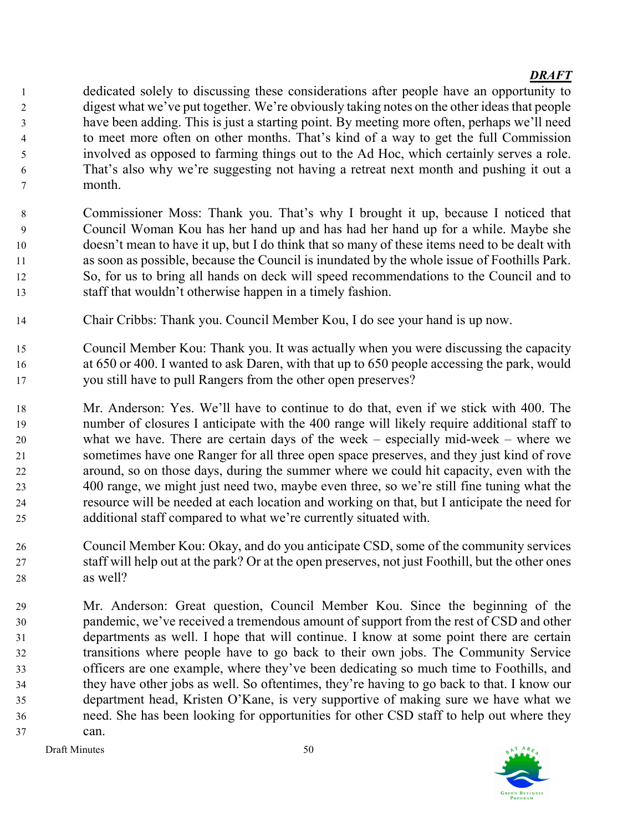dedicated solely to discussing these considerations after people have an opportunity to digest what we've put together. We're obviously taking notes on the other ideas that people have been adding. This is just a starting point. By meeting more often, perhaps we'll need to meet more often on other months. That's kind of a way to get the full Commission involved as opposed to farming things out to the Ad Hoc, which certainly serves a role. That's also why we're suggesting not having a retreat next month and pushing it out a month.

- Commissioner Moss: Thank you. That's why I brought it up, because I noticed that Council Woman Kou has her hand up and has had her hand up for a while. Maybe she doesn't mean to have it up, but I do think that so many of these items need to be dealt with as soon as possible, because the Council is inundated by the whole issue of Foothills Park. So, for us to bring all hands on deck will speed recommendations to the Council and to staff that wouldn't otherwise happen in a timely fashion.
- Chair Cribbs: Thank you. Council Member Kou, I do see your hand is up now.
- Council Member Kou: Thank you. It was actually when you were discussing the capacity at 650 or 400. I wanted to ask Daren, with that up to 650 people accessing the park, would you still have to pull Rangers from the other open preserves?
- Mr. Anderson: Yes. We'll have to continue to do that, even if we stick with 400. The number of closures I anticipate with the 400 range will likely require additional staff to what we have. There are certain days of the week – especially mid-week – where we sometimes have one Ranger for all three open space preserves, and they just kind of rove around, so on those days, during the summer where we could hit capacity, even with the 400 range, we might just need two, maybe even three, so we're still fine tuning what the resource will be needed at each location and working on that, but I anticipate the need for additional staff compared to what we're currently situated with.
- Council Member Kou: Okay, and do you anticipate CSD, some of the community services staff will help out at the park? Or at the open preserves, not just Foothill, but the other ones as well?
- Mr. Anderson: Great question, Council Member Kou. Since the beginning of the pandemic, we've received a tremendous amount of support from the rest of CSD and other departments as well. I hope that will continue. I know at some point there are certain transitions where people have to go back to their own jobs. The Community Service officers are one example, where they've been dedicating so much time to Foothills, and they have other jobs as well. So oftentimes, they're having to go back to that. I know our department head, Kristen O'Kane, is very supportive of making sure we have what we need. She has been looking for opportunities for other CSD staff to help out where they can.

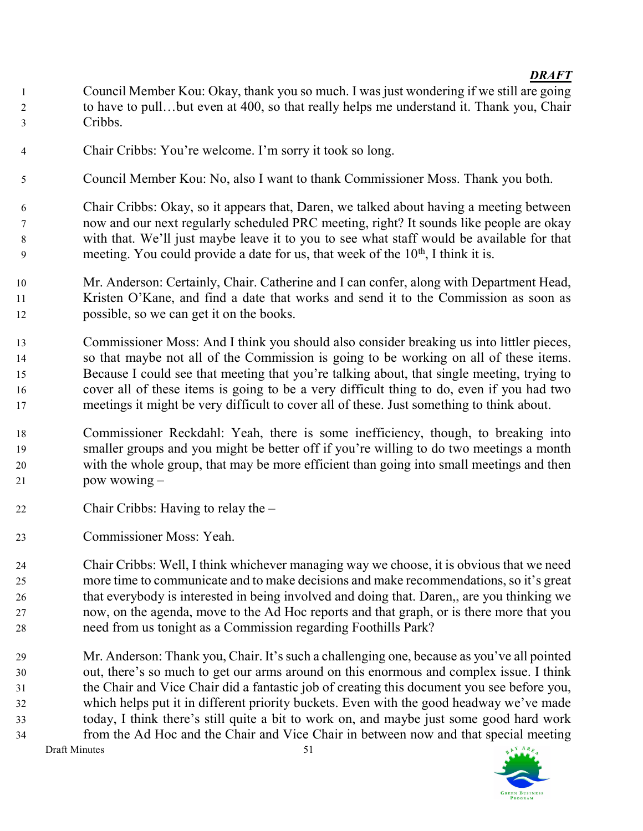- Council Member Kou: Okay, thank you so much. I was just wondering if we still are going 2 to have to pull...but even at 400, so that really helps me understand it. Thank you, Chair Cribbs.
- Chair Cribbs: You're welcome. I'm sorry it took so long.
- Council Member Kou: No, also I want to thank Commissioner Moss. Thank you both.
- Chair Cribbs: Okay, so it appears that, Daren, we talked about having a meeting between now and our next regularly scheduled PRC meeting, right? It sounds like people are okay with that. We'll just maybe leave it to you to see what staff would be available for that meeting. You could provide a date for us, that week of the  $10<sup>th</sup>$ , I think it is.
- Mr. Anderson: Certainly, Chair. Catherine and I can confer, along with Department Head, Kristen O'Kane, and find a date that works and send it to the Commission as soon as possible, so we can get it on the books.
- Commissioner Moss: And I think you should also consider breaking us into littler pieces, so that maybe not all of the Commission is going to be working on all of these items. Because I could see that meeting that you're talking about, that single meeting, trying to cover all of these items is going to be a very difficult thing to do, even if you had two meetings it might be very difficult to cover all of these. Just something to think about.
- Commissioner Reckdahl: Yeah, there is some inefficiency, though, to breaking into smaller groups and you might be better off if you're willing to do two meetings a month with the whole group, that may be more efficient than going into small meetings and then pow wowing –
- Chair Cribbs: Having to relay the –
- Commissioner Moss: Yeah.

Chair Cribbs: Well, I think whichever managing way we choose, it is obvious that we need more time to communicate and to make decisions and make recommendations, so it's great that everybody is interested in being involved and doing that. Daren,, are you thinking we now, on the agenda, move to the Ad Hoc reports and that graph, or is there more that you need from us tonight as a Commission regarding Foothills Park?

Draft Minutes 51 Mr. Anderson: Thank you, Chair. It's such a challenging one, because as you've all pointed out, there's so much to get our arms around on this enormous and complex issue. I think the Chair and Vice Chair did a fantastic job of creating this document you see before you, which helps put it in different priority buckets. Even with the good headway we've made today, I think there's still quite a bit to work on, and maybe just some good hard work from the Ad Hoc and the Chair and Vice Chair in between now and that special meeting

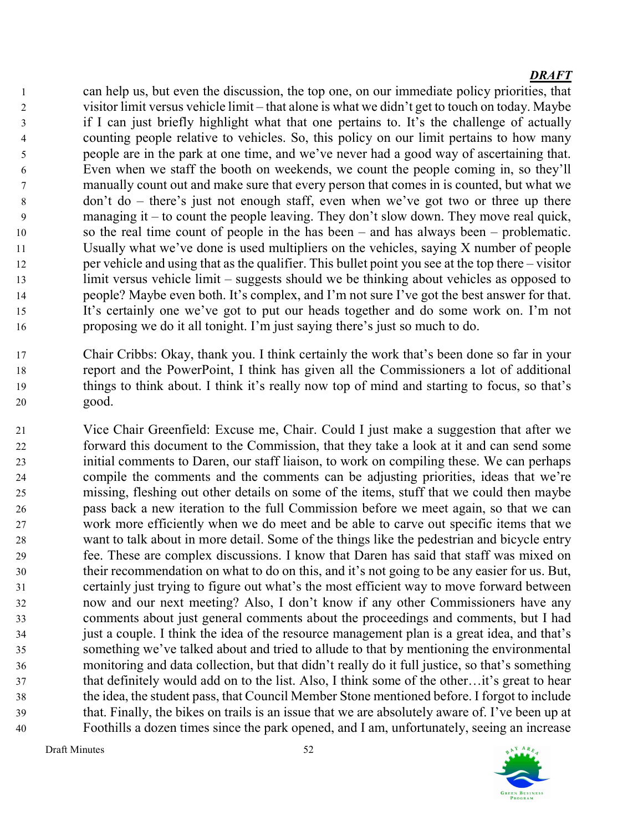can help us, but even the discussion, the top one, on our immediate policy priorities, that visitor limit versus vehicle limit – that alone is what we didn't get to touch on today. Maybe if I can just briefly highlight what that one pertains to. It's the challenge of actually counting people relative to vehicles. So, this policy on our limit pertains to how many people are in the park at one time, and we've never had a good way of ascertaining that. Even when we staff the booth on weekends, we count the people coming in, so they'll manually count out and make sure that every person that comes in is counted, but what we don't do – there's just not enough staff, even when we've got two or three up there managing it – to count the people leaving. They don't slow down. They move real quick, so the real time count of people in the has been – and has always been – problematic. Usually what we've done is used multipliers on the vehicles, saying X number of people per vehicle and using that as the qualifier. This bullet point you see at the top there – visitor limit versus vehicle limit – suggests should we be thinking about vehicles as opposed to people? Maybe even both. It's complex, and I'm not sure I've got the best answer for that. It's certainly one we've got to put our heads together and do some work on. I'm not proposing we do it all tonight. I'm just saying there's just so much to do.

- Chair Cribbs: Okay, thank you. I think certainly the work that's been done so far in your report and the PowerPoint, I think has given all the Commissioners a lot of additional things to think about. I think it's really now top of mind and starting to focus, so that's good.
- Vice Chair Greenfield: Excuse me, Chair. Could I just make a suggestion that after we forward this document to the Commission, that they take a look at it and can send some initial comments to Daren, our staff liaison, to work on compiling these. We can perhaps compile the comments and the comments can be adjusting priorities, ideas that we're missing, fleshing out other details on some of the items, stuff that we could then maybe pass back a new iteration to the full Commission before we meet again, so that we can work more efficiently when we do meet and be able to carve out specific items that we want to talk about in more detail. Some of the things like the pedestrian and bicycle entry fee. These are complex discussions. I know that Daren has said that staff was mixed on their recommendation on what to do on this, and it's not going to be any easier for us. But, certainly just trying to figure out what's the most efficient way to move forward between now and our next meeting? Also, I don't know if any other Commissioners have any comments about just general comments about the proceedings and comments, but I had just a couple. I think the idea of the resource management plan is a great idea, and that's something we've talked about and tried to allude to that by mentioning the environmental monitoring and data collection, but that didn't really do it full justice, so that's something that definitely would add on to the list. Also, I think some of the other…it's great to hear the idea, the student pass, that Council Member Stone mentioned before. I forgot to include that. Finally, the bikes on trails is an issue that we are absolutely aware of. I've been up at Foothills a dozen times since the park opened, and I am, unfortunately, seeing an increase

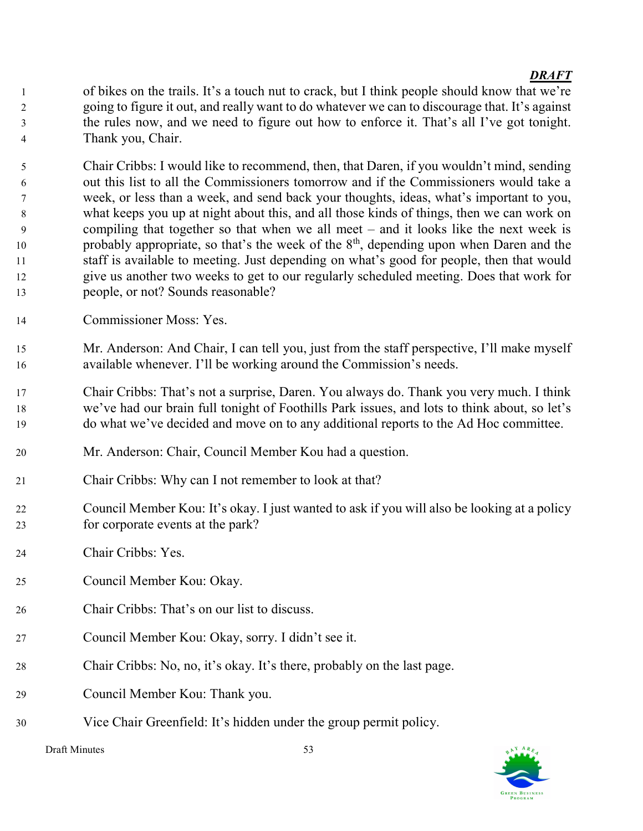of bikes on the trails. It's a touch nut to crack, but I think people should know that we're going to figure it out, and really want to do whatever we can to discourage that. It's against the rules now, and we need to figure out how to enforce it. That's all I've got tonight. Thank you, Chair.

Chair Cribbs: I would like to recommend, then, that Daren, if you wouldn't mind, sending out this list to all the Commissioners tomorrow and if the Commissioners would take a week, or less than a week, and send back your thoughts, ideas, what's important to you, what keeps you up at night about this, and all those kinds of things, then we can work on compiling that together so that when we all meet – and it looks like the next week is 10 probably appropriate, so that's the week of the  $8<sup>th</sup>$ , depending upon when Daren and the staff is available to meeting. Just depending on what's good for people, then that would give us another two weeks to get to our regularly scheduled meeting. Does that work for people, or not? Sounds reasonable?

- Commissioner Moss: Yes.
- Mr. Anderson: And Chair, I can tell you, just from the staff perspective, I'll make myself available whenever. I'll be working around the Commission's needs.
- Chair Cribbs: That's not a surprise, Daren. You always do. Thank you very much. I think we've had our brain full tonight of Foothills Park issues, and lots to think about, so let's do what we've decided and move on to any additional reports to the Ad Hoc committee.
- Mr. Anderson: Chair, Council Member Kou had a question.
- Chair Cribbs: Why can I not remember to look at that?
- Council Member Kou: It's okay. I just wanted to ask if you will also be looking at a policy for corporate events at the park?
- Chair Cribbs: Yes.
- Council Member Kou: Okay.
- Chair Cribbs: That's on our list to discuss.
- Council Member Kou: Okay, sorry. I didn't see it.
- Chair Cribbs: No, no, it's okay. It's there, probably on the last page.
- Council Member Kou: Thank you.
- Vice Chair Greenfield: It's hidden under the group permit policy.

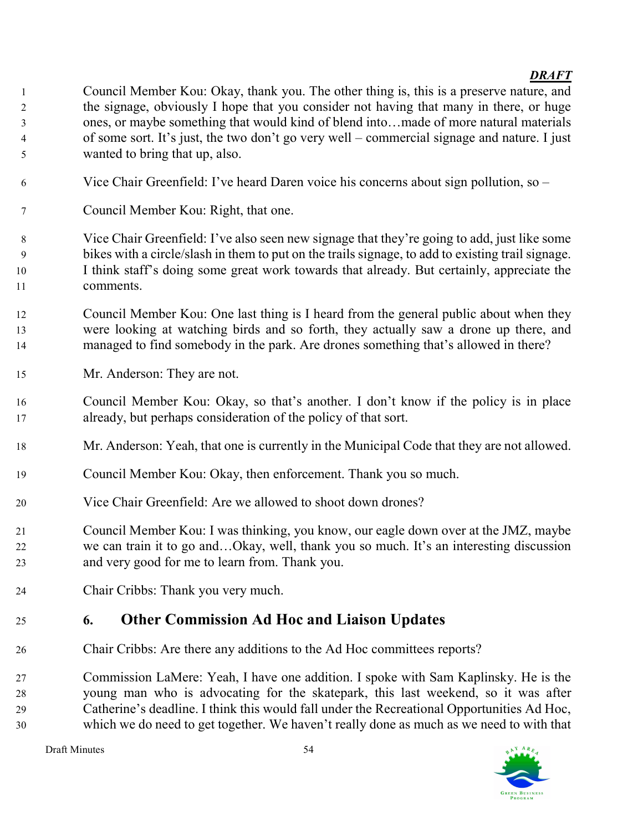- Council Member Kou: Okay, thank you. The other thing is, this is a preserve nature, and the signage, obviously I hope that you consider not having that many in there, or huge ones, or maybe something that would kind of blend into…made of more natural materials of some sort. It's just, the two don't go very well – commercial signage and nature. I just wanted to bring that up, also.
- Vice Chair Greenfield: I've heard Daren voice his concerns about sign pollution, so –
- Council Member Kou: Right, that one.
- Vice Chair Greenfield: I've also seen new signage that they're going to add, just like some bikes with a circle/slash in them to put on the trails signage, to add to existing trail signage. I think staff's doing some great work towards that already. But certainly, appreciate the comments.
- Council Member Kou: One last thing is I heard from the general public about when they were looking at watching birds and so forth, they actually saw a drone up there, and managed to find somebody in the park. Are drones something that's allowed in there?
- Mr. Anderson: They are not.
- Council Member Kou: Okay, so that's another. I don't know if the policy is in place already, but perhaps consideration of the policy of that sort.
- Mr. Anderson: Yeah, that one is currently in the Municipal Code that they are not allowed.
- Council Member Kou: Okay, then enforcement. Thank you so much.
- Vice Chair Greenfield: Are we allowed to shoot down drones?
- Council Member Kou: I was thinking, you know, our eagle down over at the JMZ, maybe we can train it to go and…Okay, well, thank you so much. It's an interesting discussion and very good for me to learn from. Thank you.
- Chair Cribbs: Thank you very much.

# 6. Other Commission Ad Hoc and Liaison Updates

Chair Cribbs: Are there any additions to the Ad Hoc committees reports?

Commission LaMere: Yeah, I have one addition. I spoke with Sam Kaplinsky. He is the young man who is advocating for the skatepark, this last weekend, so it was after Catherine's deadline. I think this would fall under the Recreational Opportunities Ad Hoc, which we do need to get together. We haven't really done as much as we need to with that

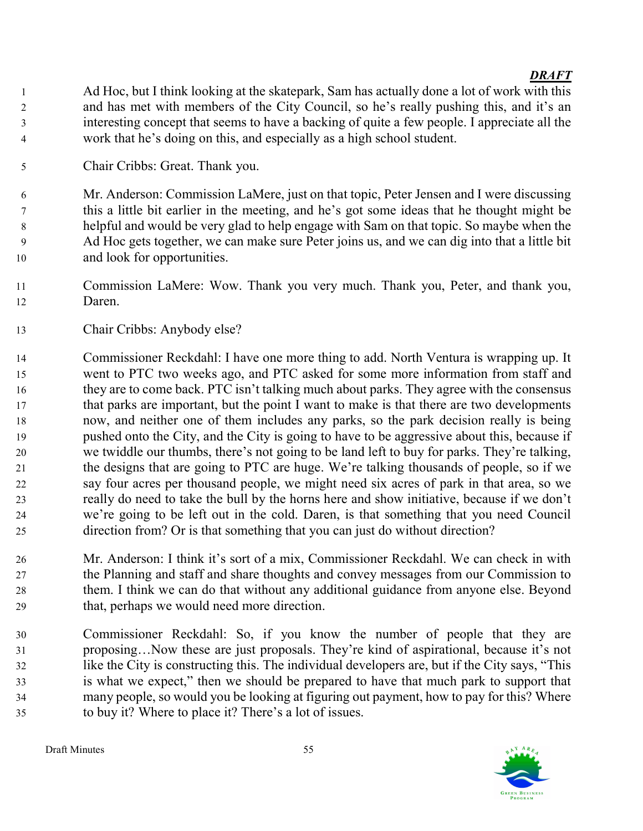Ad Hoc, but I think looking at the skatepark, Sam has actually done a lot of work with this and has met with members of the City Council, so he's really pushing this, and it's an interesting concept that seems to have a backing of quite a few people. I appreciate all the work that he's doing on this, and especially as a high school student.

Chair Cribbs: Great. Thank you.

Mr. Anderson: Commission LaMere, just on that topic, Peter Jensen and I were discussing this a little bit earlier in the meeting, and he's got some ideas that he thought might be helpful and would be very glad to help engage with Sam on that topic. So maybe when the Ad Hoc gets together, we can make sure Peter joins us, and we can dig into that a little bit and look for opportunities.

- Commission LaMere: Wow. Thank you very much. Thank you, Peter, and thank you, Daren.
- Chair Cribbs: Anybody else?

Commissioner Reckdahl: I have one more thing to add. North Ventura is wrapping up. It went to PTC two weeks ago, and PTC asked for some more information from staff and they are to come back. PTC isn't talking much about parks. They agree with the consensus that parks are important, but the point I want to make is that there are two developments now, and neither one of them includes any parks, so the park decision really is being pushed onto the City, and the City is going to have to be aggressive about this, because if we twiddle our thumbs, there's not going to be land left to buy for parks. They're talking, the designs that are going to PTC are huge. We're talking thousands of people, so if we say four acres per thousand people, we might need six acres of park in that area, so we really do need to take the bull by the horns here and show initiative, because if we don't we're going to be left out in the cold. Daren, is that something that you need Council direction from? Or is that something that you can just do without direction?

- Mr. Anderson: I think it's sort of a mix, Commissioner Reckdahl. We can check in with the Planning and staff and share thoughts and convey messages from our Commission to them. I think we can do that without any additional guidance from anyone else. Beyond that, perhaps we would need more direction.
- Commissioner Reckdahl: So, if you know the number of people that they are proposing…Now these are just proposals. They're kind of aspirational, because it's not like the City is constructing this. The individual developers are, but if the City says, "This is what we expect," then we should be prepared to have that much park to support that many people, so would you be looking at figuring out payment, how to pay for this? Where to buy it? Where to place it? There's a lot of issues.

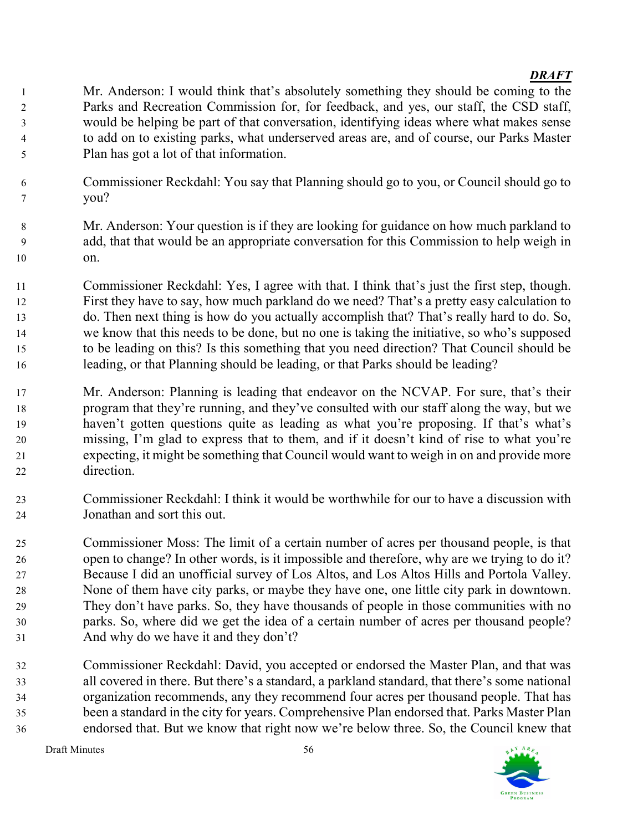Mr. Anderson: I would think that's absolutely something they should be coming to the Parks and Recreation Commission for, for feedback, and yes, our staff, the CSD staff, would be helping be part of that conversation, identifying ideas where what makes sense to add on to existing parks, what underserved areas are, and of course, our Parks Master Plan has got a lot of that information.

- Commissioner Reckdahl: You say that Planning should go to you, or Council should go to you?
- Mr. Anderson: Your question is if they are looking for guidance on how much parkland to add, that that would be an appropriate conversation for this Commission to help weigh in on.
- Commissioner Reckdahl: Yes, I agree with that. I think that's just the first step, though. First they have to say, how much parkland do we need? That's a pretty easy calculation to do. Then next thing is how do you actually accomplish that? That's really hard to do. So, we know that this needs to be done, but no one is taking the initiative, so who's supposed to be leading on this? Is this something that you need direction? That Council should be leading, or that Planning should be leading, or that Parks should be leading?
- Mr. Anderson: Planning is leading that endeavor on the NCVAP. For sure, that's their program that they're running, and they've consulted with our staff along the way, but we haven't gotten questions quite as leading as what you're proposing. If that's what's missing, I'm glad to express that to them, and if it doesn't kind of rise to what you're expecting, it might be something that Council would want to weigh in on and provide more direction.
- Commissioner Reckdahl: I think it would be worthwhile for our to have a discussion with Jonathan and sort this out.
- Commissioner Moss: The limit of a certain number of acres per thousand people, is that open to change? In other words, is it impossible and therefore, why are we trying to do it? Because I did an unofficial survey of Los Altos, and Los Altos Hills and Portola Valley. None of them have city parks, or maybe they have one, one little city park in downtown. They don't have parks. So, they have thousands of people in those communities with no parks. So, where did we get the idea of a certain number of acres per thousand people? And why do we have it and they don't?
- Commissioner Reckdahl: David, you accepted or endorsed the Master Plan, and that was all covered in there. But there's a standard, a parkland standard, that there's some national organization recommends, any they recommend four acres per thousand people. That has been a standard in the city for years. Comprehensive Plan endorsed that. Parks Master Plan endorsed that. But we know that right now we're below three. So, the Council knew that

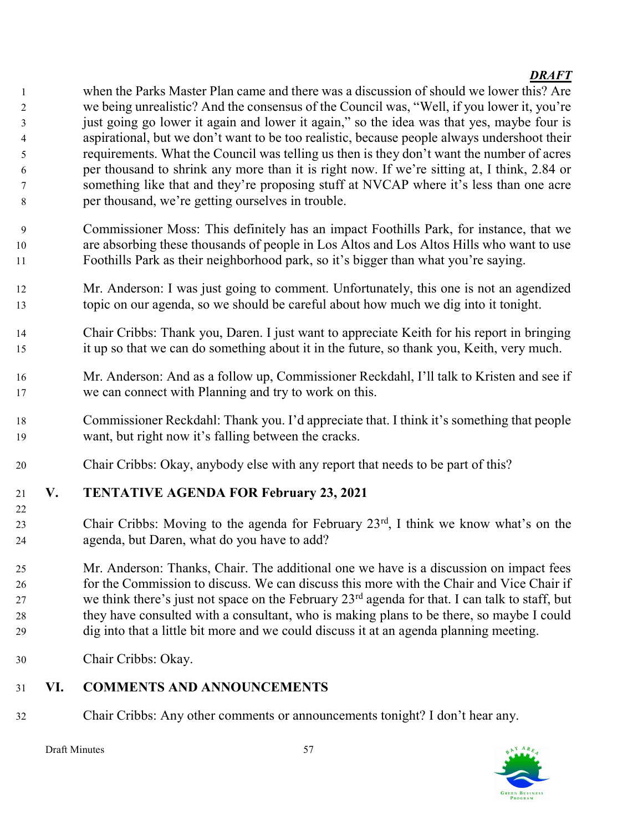when the Parks Master Plan came and there was a discussion of should we lower this? Are we being unrealistic? And the consensus of the Council was, "Well, if you lower it, you're just going go lower it again and lower it again," so the idea was that yes, maybe four is aspirational, but we don't want to be too realistic, because people always undershoot their requirements. What the Council was telling us then is they don't want the number of acres per thousand to shrink any more than it is right now. If we're sitting at, I think, 2.84 or something like that and they're proposing stuff at NVCAP where it's less than one acre per thousand, we're getting ourselves in trouble.

- Commissioner Moss: This definitely has an impact Foothills Park, for instance, that we are absorbing these thousands of people in Los Altos and Los Altos Hills who want to use Foothills Park as their neighborhood park, so it's bigger than what you're saying.
- Mr. Anderson: I was just going to comment. Unfortunately, this one is not an agendized topic on our agenda, so we should be careful about how much we dig into it tonight.
- Chair Cribbs: Thank you, Daren. I just want to appreciate Keith for his report in bringing it up so that we can do something about it in the future, so thank you, Keith, very much.
- Mr. Anderson: And as a follow up, Commissioner Reckdahl, I'll talk to Kristen and see if we can connect with Planning and try to work on this.
- Commissioner Reckdahl: Thank you. I'd appreciate that. I think it's something that people want, but right now it's falling between the cracks.
- Chair Cribbs: Okay, anybody else with any report that needs to be part of this?

# V. TENTATIVE AGENDA FOR February 23, 2021

- 23 Chair Cribbs: Moving to the agenda for February  $23<sup>rd</sup>$ , I think we know what's on the agenda, but Daren, what do you have to add?
- Mr. Anderson: Thanks, Chair. The additional one we have is a discussion on impact fees for the Commission to discuss. We can discuss this more with the Chair and Vice Chair if 27 we think there's just not space on the February  $23<sup>rd</sup>$  agenda for that. I can talk to staff, but they have consulted with a consultant, who is making plans to be there, so maybe I could dig into that a little bit more and we could discuss it at an agenda planning meeting.
- Chair Cribbs: Okay.

# VI. COMMENTS AND ANNOUNCEMENTS

Chair Cribbs: Any other comments or announcements tonight? I don't hear any.

Draft Minutes 57